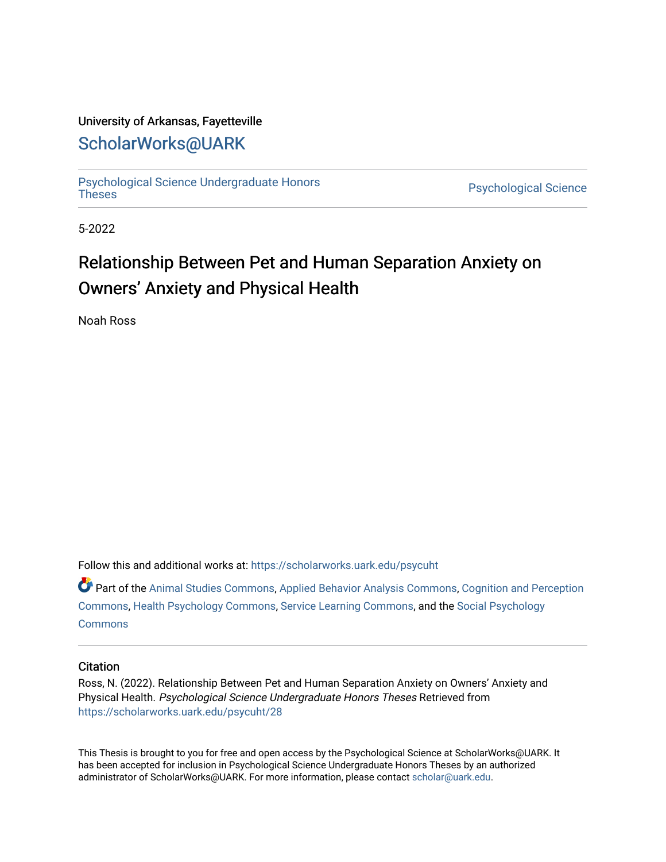### University of Arkansas, Fayetteville

# [ScholarWorks@UARK](https://scholarworks.uark.edu/)

[Psychological Science Undergraduate Honors](https://scholarworks.uark.edu/psycuht) 

Psychological Science

5-2022

# Relationship Between Pet and Human Separation Anxiety on Owners' Anxiety and Physical Health

Noah Ross

Follow this and additional works at: [https://scholarworks.uark.edu/psycuht](https://scholarworks.uark.edu/psycuht?utm_source=scholarworks.uark.edu%2Fpsycuht%2F28&utm_medium=PDF&utm_campaign=PDFCoverPages)

Part of the [Animal Studies Commons,](http://network.bepress.com/hgg/discipline/1306?utm_source=scholarworks.uark.edu%2Fpsycuht%2F28&utm_medium=PDF&utm_campaign=PDFCoverPages) [Applied Behavior Analysis Commons](http://network.bepress.com/hgg/discipline/1235?utm_source=scholarworks.uark.edu%2Fpsycuht%2F28&utm_medium=PDF&utm_campaign=PDFCoverPages), [Cognition and Perception](http://network.bepress.com/hgg/discipline/407?utm_source=scholarworks.uark.edu%2Fpsycuht%2F28&utm_medium=PDF&utm_campaign=PDFCoverPages)  [Commons](http://network.bepress.com/hgg/discipline/407?utm_source=scholarworks.uark.edu%2Fpsycuht%2F28&utm_medium=PDF&utm_campaign=PDFCoverPages), [Health Psychology Commons,](http://network.bepress.com/hgg/discipline/411?utm_source=scholarworks.uark.edu%2Fpsycuht%2F28&utm_medium=PDF&utm_campaign=PDFCoverPages) [Service Learning Commons](http://network.bepress.com/hgg/discipline/1024?utm_source=scholarworks.uark.edu%2Fpsycuht%2F28&utm_medium=PDF&utm_campaign=PDFCoverPages), and the [Social Psychology](http://network.bepress.com/hgg/discipline/414?utm_source=scholarworks.uark.edu%2Fpsycuht%2F28&utm_medium=PDF&utm_campaign=PDFCoverPages) **[Commons](http://network.bepress.com/hgg/discipline/414?utm_source=scholarworks.uark.edu%2Fpsycuht%2F28&utm_medium=PDF&utm_campaign=PDFCoverPages)** 

### **Citation**

Ross, N. (2022). Relationship Between Pet and Human Separation Anxiety on Owners' Anxiety and Physical Health. Psychological Science Undergraduate Honors Theses Retrieved from [https://scholarworks.uark.edu/psycuht/28](https://scholarworks.uark.edu/psycuht/28?utm_source=scholarworks.uark.edu%2Fpsycuht%2F28&utm_medium=PDF&utm_campaign=PDFCoverPages) 

This Thesis is brought to you for free and open access by the Psychological Science at ScholarWorks@UARK. It has been accepted for inclusion in Psychological Science Undergraduate Honors Theses by an authorized administrator of ScholarWorks@UARK. For more information, please contact [scholar@uark.edu](mailto:scholar@uark.edu).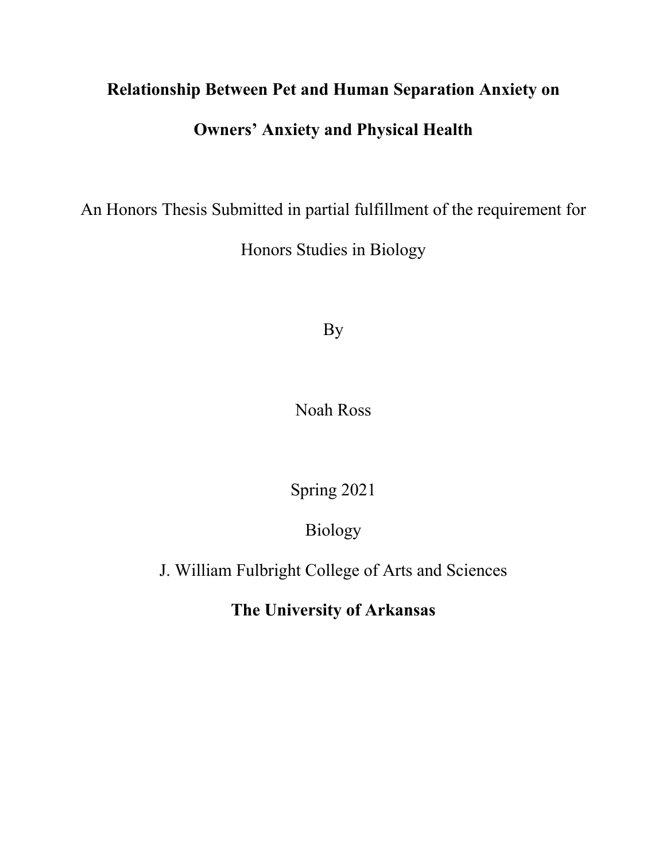# **Relationship Between Pet and Human Separation Anxiety on Owners' Anxiety and Physical Health**

An Honors Thesis Submitted in partial fulfillment of the requirement for

Honors Studies in Biology

By

Noah Ross

Spring 2021

Biology

J. William Fulbright College of Arts and Sciences

**The University of Arkansas**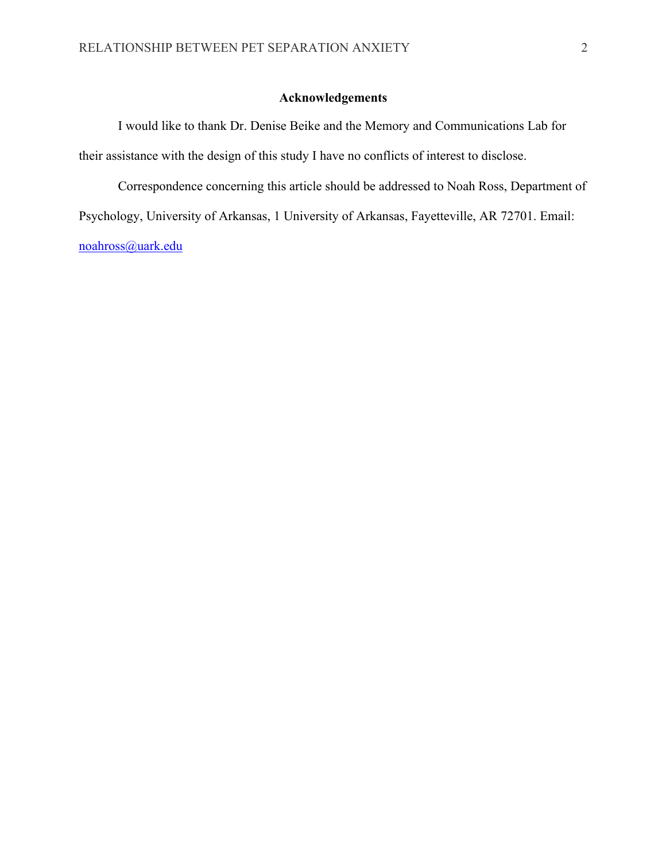### **Acknowledgements**

I would like to thank Dr. Denise Beike and the Memory and Communications Lab for their assistance with the design of this study I have no conflicts of interest to disclose.

Correspondence concerning this article should be addressed to Noah Ross, Department of Psychology, University of Arkansas, 1 University of Arkansas, Fayetteville, AR 72701. Email: noahross@uark.edu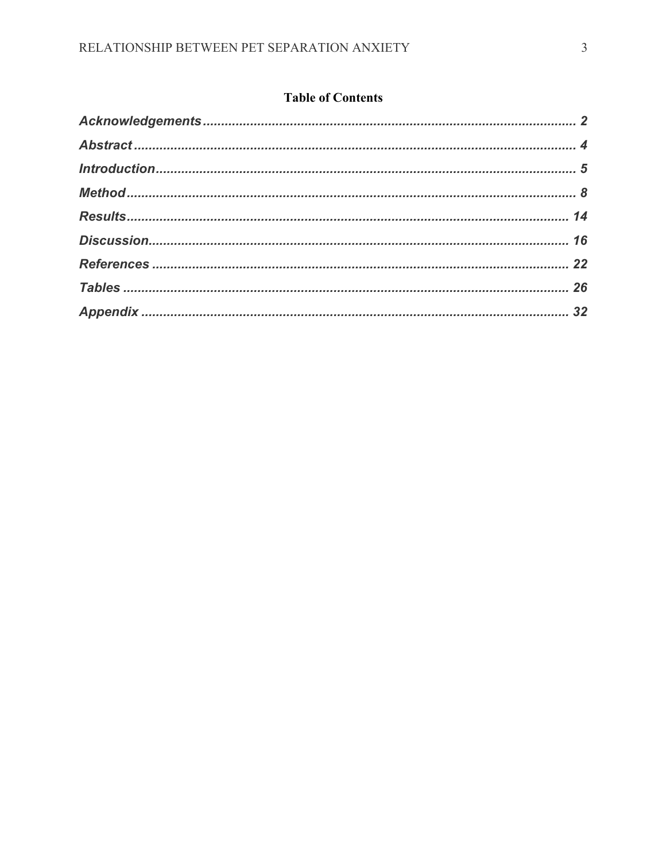### **Table of Contents**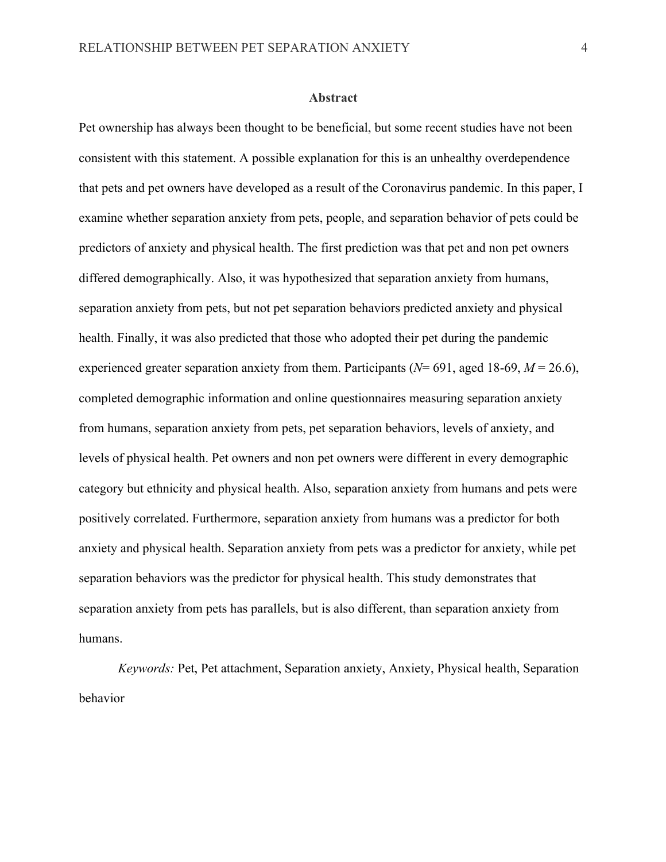#### **Abstract**

Pet ownership has always been thought to be beneficial, but some recent studies have not been consistent with this statement. A possible explanation for this is an unhealthy overdependence that pets and pet owners have developed as a result of the Coronavirus pandemic. In this paper, I examine whether separation anxiety from pets, people, and separation behavior of pets could be predictors of anxiety and physical health. The first prediction was that pet and non pet owners differed demographically. Also, it was hypothesized that separation anxiety from humans, separation anxiety from pets, but not pet separation behaviors predicted anxiety and physical health. Finally, it was also predicted that those who adopted their pet during the pandemic experienced greater separation anxiety from them. Participants (*N*= 691, aged 18-69, *M* = 26.6), completed demographic information and online questionnaires measuring separation anxiety from humans, separation anxiety from pets, pet separation behaviors, levels of anxiety, and levels of physical health. Pet owners and non pet owners were different in every demographic category but ethnicity and physical health. Also, separation anxiety from humans and pets were positively correlated. Furthermore, separation anxiety from humans was a predictor for both anxiety and physical health. Separation anxiety from pets was a predictor for anxiety, while pet separation behaviors was the predictor for physical health. This study demonstrates that separation anxiety from pets has parallels, but is also different, than separation anxiety from humans.

*Keywords:* Pet, Pet attachment, Separation anxiety, Anxiety, Physical health, Separation behavior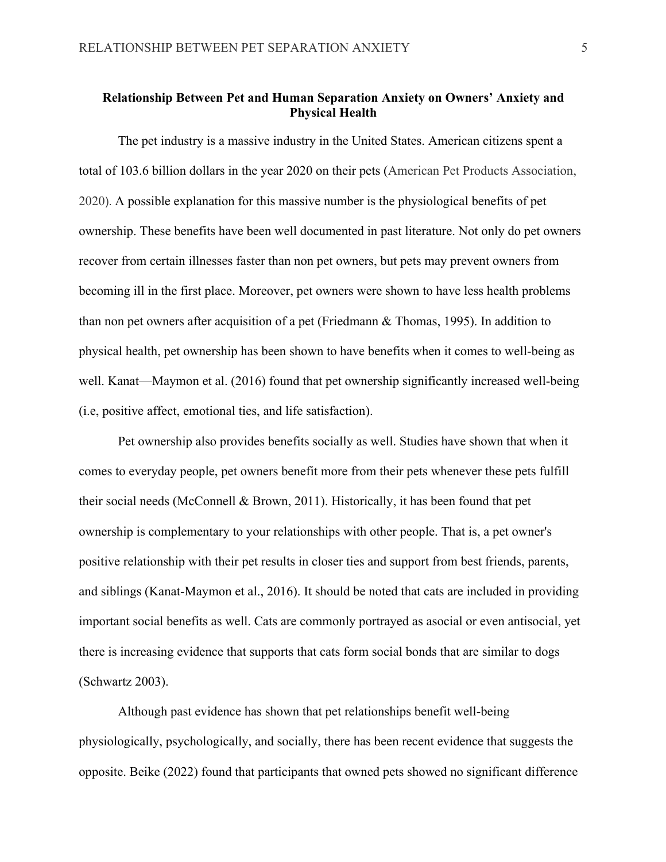### **Relationship Between Pet and Human Separation Anxiety on Owners' Anxiety and Physical Health**

The pet industry is a massive industry in the United States. American citizens spent a total of 103.6 billion dollars in the year 2020 on their pets (American Pet Products Association, 2020). A possible explanation for this massive number is the physiological benefits of pet ownership. These benefits have been well documented in past literature. Not only do pet owners recover from certain illnesses faster than non pet owners, but pets may prevent owners from becoming ill in the first place. Moreover, pet owners were shown to have less health problems than non pet owners after acquisition of a pet (Friedmann & Thomas, 1995). In addition to physical health, pet ownership has been shown to have benefits when it comes to well-being as well. Kanat—Maymon et al. (2016) found that pet ownership significantly increased well-being (i.e, positive affect, emotional ties, and life satisfaction).

Pet ownership also provides benefits socially as well. Studies have shown that when it comes to everyday people, pet owners benefit more from their pets whenever these pets fulfill their social needs (McConnell & Brown, 2011). Historically, it has been found that pet ownership is complementary to your relationships with other people. That is, a pet owner's positive relationship with their pet results in closer ties and support from best friends, parents, and siblings (Kanat-Maymon et al., 2016). It should be noted that cats are included in providing important social benefits as well. Cats are commonly portrayed as asocial or even antisocial, yet there is increasing evidence that supports that cats form social bonds that are similar to dogs (Schwartz 2003).

Although past evidence has shown that pet relationships benefit well-being physiologically, psychologically, and socially, there has been recent evidence that suggests the opposite. Beike (2022) found that participants that owned pets showed no significant difference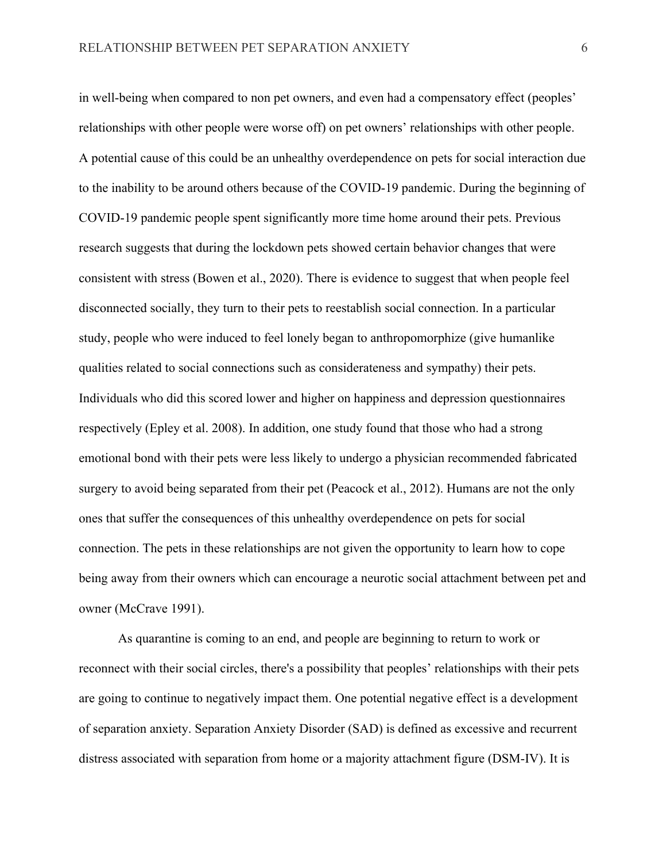in well-being when compared to non pet owners, and even had a compensatory effect (peoples' relationships with other people were worse off) on pet owners' relationships with other people. A potential cause of this could be an unhealthy overdependence on pets for social interaction due to the inability to be around others because of the COVID-19 pandemic. During the beginning of COVID-19 pandemic people spent significantly more time home around their pets. Previous research suggests that during the lockdown pets showed certain behavior changes that were consistent with stress (Bowen et al., 2020). There is evidence to suggest that when people feel disconnected socially, they turn to their pets to reestablish social connection. In a particular study, people who were induced to feel lonely began to anthropomorphize (give humanlike qualities related to social connections such as considerateness and sympathy) their pets. Individuals who did this scored lower and higher on happiness and depression questionnaires respectively (Epley et al. 2008). In addition, one study found that those who had a strong emotional bond with their pets were less likely to undergo a physician recommended fabricated surgery to avoid being separated from their pet (Peacock et al., 2012). Humans are not the only ones that suffer the consequences of this unhealthy overdependence on pets for social connection. The pets in these relationships are not given the opportunity to learn how to cope being away from their owners which can encourage a neurotic social attachment between pet and owner (McCrave 1991).

As quarantine is coming to an end, and people are beginning to return to work or reconnect with their social circles, there's a possibility that peoples' relationships with their pets are going to continue to negatively impact them. One potential negative effect is a development of separation anxiety. Separation Anxiety Disorder (SAD) is defined as excessive and recurrent distress associated with separation from home or a majority attachment figure (DSM-IV). It is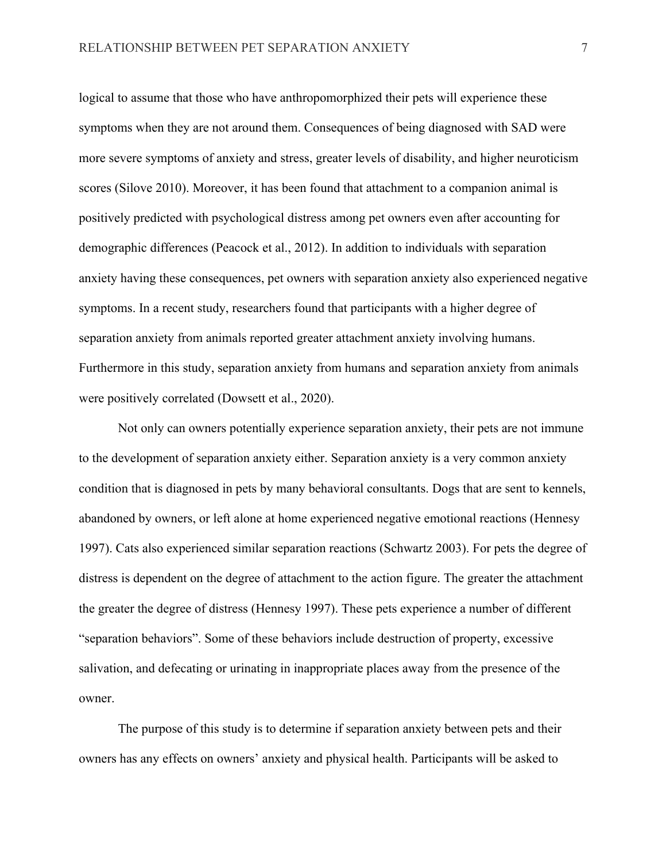logical to assume that those who have anthropomorphized their pets will experience these symptoms when they are not around them. Consequences of being diagnosed with SAD were more severe symptoms of anxiety and stress, greater levels of disability, and higher neuroticism scores (Silove 2010). Moreover, it has been found that attachment to a companion animal is positively predicted with psychological distress among pet owners even after accounting for demographic differences (Peacock et al., 2012). In addition to individuals with separation anxiety having these consequences, pet owners with separation anxiety also experienced negative symptoms. In a recent study, researchers found that participants with a higher degree of separation anxiety from animals reported greater attachment anxiety involving humans. Furthermore in this study, separation anxiety from humans and separation anxiety from animals were positively correlated (Dowsett et al., 2020).

Not only can owners potentially experience separation anxiety, their pets are not immune to the development of separation anxiety either. Separation anxiety is a very common anxiety condition that is diagnosed in pets by many behavioral consultants. Dogs that are sent to kennels, abandoned by owners, or left alone at home experienced negative emotional reactions (Hennesy 1997). Cats also experienced similar separation reactions (Schwartz 2003). For pets the degree of distress is dependent on the degree of attachment to the action figure. The greater the attachment the greater the degree of distress (Hennesy 1997). These pets experience a number of different "separation behaviors". Some of these behaviors include destruction of property, excessive salivation, and defecating or urinating in inappropriate places away from the presence of the owner.

The purpose of this study is to determine if separation anxiety between pets and their owners has any effects on owners' anxiety and physical health. Participants will be asked to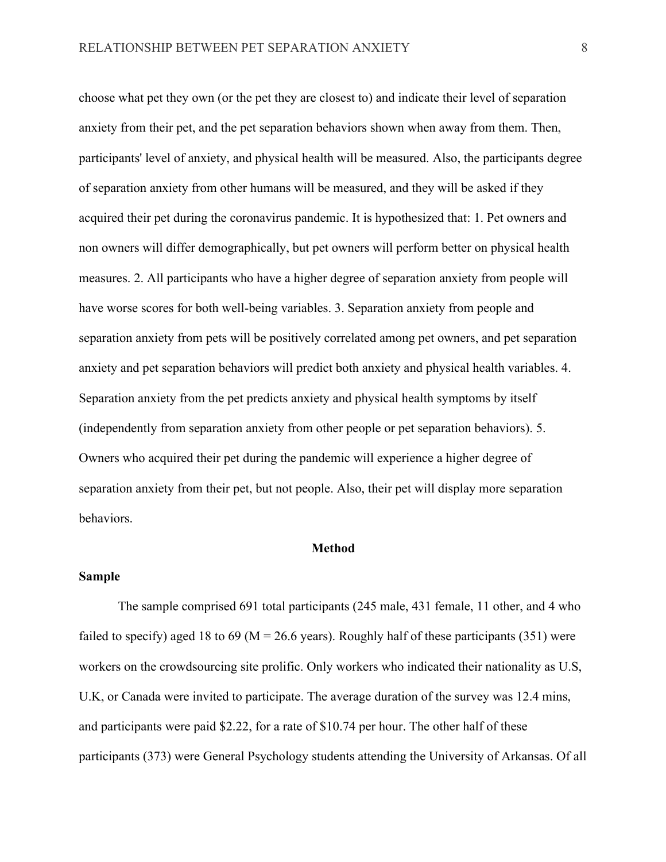choose what pet they own (or the pet they are closest to) and indicate their level of separation anxiety from their pet, and the pet separation behaviors shown when away from them. Then, participants' level of anxiety, and physical health will be measured. Also, the participants degree of separation anxiety from other humans will be measured, and they will be asked if they acquired their pet during the coronavirus pandemic. It is hypothesized that: 1. Pet owners and non owners will differ demographically, but pet owners will perform better on physical health measures. 2. All participants who have a higher degree of separation anxiety from people will have worse scores for both well-being variables. 3. Separation anxiety from people and separation anxiety from pets will be positively correlated among pet owners, and pet separation anxiety and pet separation behaviors will predict both anxiety and physical health variables. 4. Separation anxiety from the pet predicts anxiety and physical health symptoms by itself (independently from separation anxiety from other people or pet separation behaviors). 5. Owners who acquired their pet during the pandemic will experience a higher degree of separation anxiety from their pet, but not people. Also, their pet will display more separation behaviors.

#### **Method**

### **Sample**

The sample comprised 691 total participants (245 male, 431 female, 11 other, and 4 who failed to specify) aged 18 to 69 ( $M = 26.6$  years). Roughly half of these participants (351) were workers on the crowdsourcing site prolific. Only workers who indicated their nationality as U.S, U.K, or Canada were invited to participate. The average duration of the survey was 12.4 mins, and participants were paid \$2.22, for a rate of \$10.74 per hour. The other half of these participants (373) were General Psychology students attending the University of Arkansas. Of all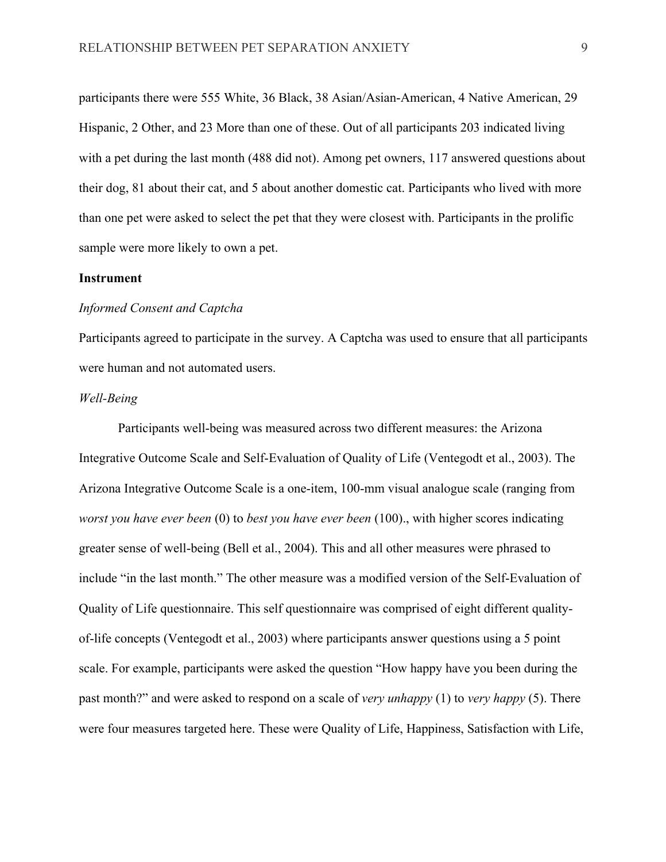participants there were 555 White, 36 Black, 38 Asian/Asian-American, 4 Native American, 29 Hispanic, 2 Other, and 23 More than one of these. Out of all participants 203 indicated living with a pet during the last month (488 did not). Among pet owners, 117 answered questions about their dog, 81 about their cat, and 5 about another domestic cat. Participants who lived with more than one pet were asked to select the pet that they were closest with. Participants in the prolific sample were more likely to own a pet.

### **Instrument**

### *Informed Consent and Captcha*

Participants agreed to participate in the survey. A Captcha was used to ensure that all participants were human and not automated users.

### *Well-Being*

Participants well-being was measured across two different measures: the Arizona Integrative Outcome Scale and Self-Evaluation of Quality of Life (Ventegodt et al., 2003). The Arizona Integrative Outcome Scale is a one-item, 100-mm visual analogue scale (ranging from *worst you have ever been* (0) to *best you have ever been* (100)., with higher scores indicating greater sense of well-being (Bell et al., 2004). This and all other measures were phrased to include "in the last month." The other measure was a modified version of the Self-Evaluation of Quality of Life questionnaire. This self questionnaire was comprised of eight different qualityof-life concepts (Ventegodt et al., 2003) where participants answer questions using a 5 point scale. For example, participants were asked the question "How happy have you been during the past month?" and were asked to respond on a scale of *very unhappy* (1) to *very happy* (5). There were four measures targeted here. These were Quality of Life, Happiness, Satisfaction with Life,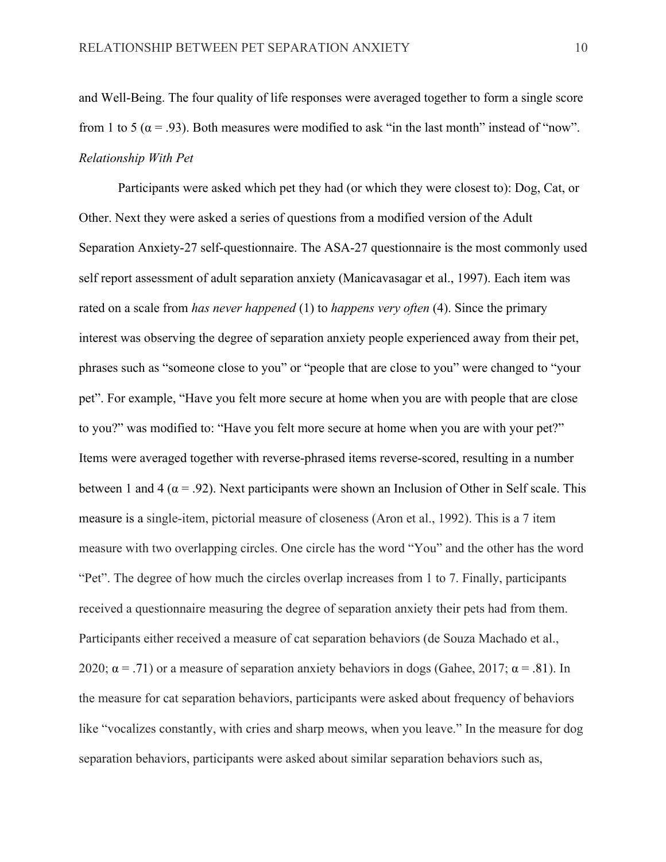and Well-Being. The four quality of life responses were averaged together to form a single score from 1 to 5 ( $\alpha$  = .93). Both measures were modified to ask "in the last month" instead of "now". *Relationship With Pet*

Participants were asked which pet they had (or which they were closest to): Dog, Cat, or Other. Next they were asked a series of questions from a modified version of the Adult Separation Anxiety-27 self-questionnaire. The ASA-27 questionnaire is the most commonly used self report assessment of adult separation anxiety (Manicavasagar et al., 1997). Each item was rated on a scale from *has never happened* (1) to *happens very often* (4). Since the primary interest was observing the degree of separation anxiety people experienced away from their pet, phrases such as "someone close to you" or "people that are close to you" were changed to "your pet". For example, "Have you felt more secure at home when you are with people that are close to you?" was modified to: "Have you felt more secure at home when you are with your pet?" Items were averaged together with reverse-phrased items reverse-scored, resulting in a number between 1 and 4 ( $\alpha$  = .92). Next participants were shown an Inclusion of Other in Self scale. This measure is a single-item, pictorial measure of closeness (Aron et al., 1992). This is a 7 item measure with two overlapping circles. One circle has the word "You" and the other has the word "Pet". The degree of how much the circles overlap increases from 1 to 7. Finally, participants received a questionnaire measuring the degree of separation anxiety their pets had from them. Participants either received a measure of cat separation behaviors (de Souza Machado et al., 2020;  $\alpha$  = .71) or a measure of separation anxiety behaviors in dogs (Gahee, 2017;  $\alpha$  = .81). In the measure for cat separation behaviors, participants were asked about frequency of behaviors like "vocalizes constantly, with cries and sharp meows, when you leave." In the measure for dog separation behaviors, participants were asked about similar separation behaviors such as,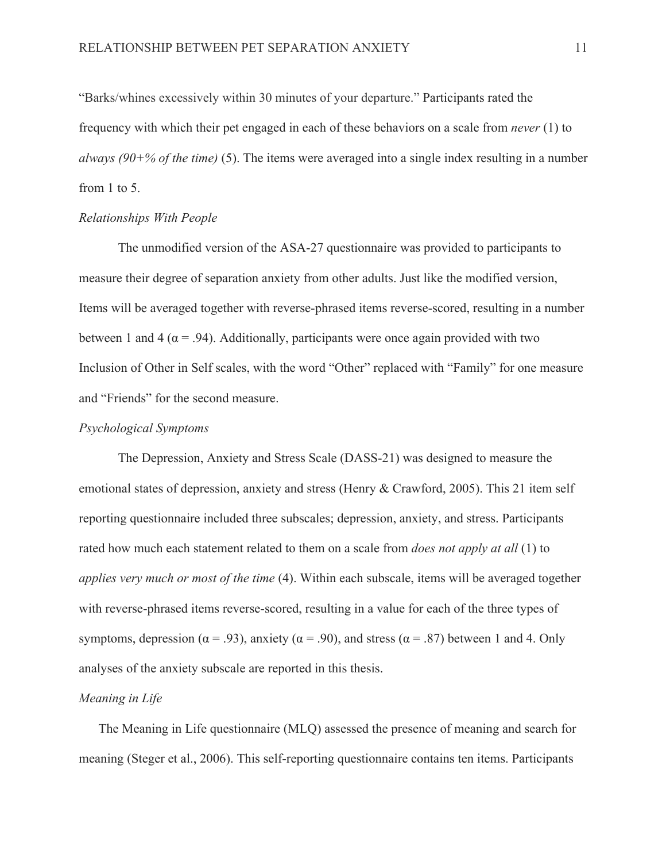"Barks/whines excessively within 30 minutes of your departure." Participants rated the frequency with which their pet engaged in each of these behaviors on a scale from *never* (1) to *always (90+% of the time)* (5). The items were averaged into a single index resulting in a number from 1 to 5.

### *Relationships With People*

The unmodified version of the ASA-27 questionnaire was provided to participants to measure their degree of separation anxiety from other adults. Just like the modified version, Items will be averaged together with reverse-phrased items reverse-scored, resulting in a number between 1 and 4 ( $\alpha$  = .94). Additionally, participants were once again provided with two Inclusion of Other in Self scales, with the word "Other" replaced with "Family" for one measure and "Friends" for the second measure.

### *Psychological Symptoms*

The Depression, Anxiety and Stress Scale (DASS-21) was designed to measure the emotional states of depression, anxiety and stress (Henry & Crawford, 2005). This 21 item self reporting questionnaire included three subscales; depression, anxiety, and stress. Participants rated how much each statement related to them on a scale from *does not apply at all* (1) to *applies very much or most of the time* (4). Within each subscale, items will be averaged together with reverse-phrased items reverse-scored, resulting in a value for each of the three types of symptoms, depression ( $\alpha$  = .93), anxiety ( $\alpha$  = .90), and stress ( $\alpha$  = .87) between 1 and 4. Only analyses of the anxiety subscale are reported in this thesis.

### *Meaning in Life*

The Meaning in Life questionnaire (MLQ) assessed the presence of meaning and search for meaning (Steger et al., 2006). This self-reporting questionnaire contains ten items. Participants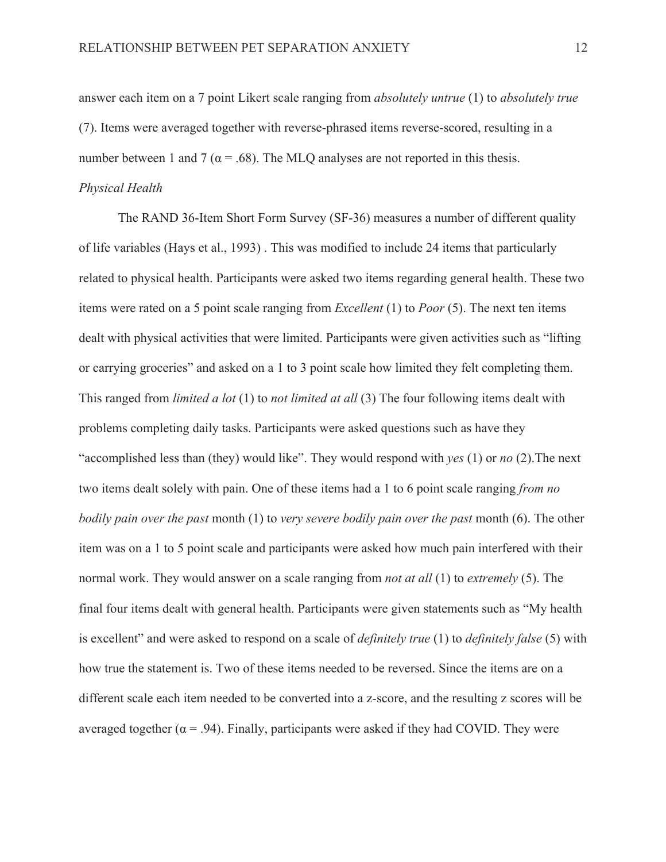answer each item on a 7 point Likert scale ranging from *absolutely untrue* (1) to *absolutely true* (7). Items were averaged together with reverse-phrased items reverse-scored, resulting in a number between 1 and 7 ( $\alpha$  = .68). The MLQ analyses are not reported in this thesis. *Physical Health*

The RAND 36-Item Short Form Survey (SF-36) measures a number of different quality of life variables (Hays et al., 1993) . This was modified to include 24 items that particularly related to physical health. Participants were asked two items regarding general health. These two items were rated on a 5 point scale ranging from *Excellent* (1) to *Poor* (5). The next ten items dealt with physical activities that were limited. Participants were given activities such as "lifting or carrying groceries" and asked on a 1 to 3 point scale how limited they felt completing them. This ranged from *limited a lot* (1) to *not limited at all* (3) The four following items dealt with problems completing daily tasks. Participants were asked questions such as have they "accomplished less than (they) would like". They would respond with *yes* (1) or *no* (2).The next two items dealt solely with pain. One of these items had a 1 to 6 point scale ranging *from no bodily pain over the past* month (1) to *very severe bodily pain over the past* month (6). The other item was on a 1 to 5 point scale and participants were asked how much pain interfered with their normal work. They would answer on a scale ranging from *not at all* (1) to *extremely* (5). The final four items dealt with general health. Participants were given statements such as "My health is excellent" and were asked to respond on a scale of *definitely true* (1) to *definitely false* (5) with how true the statement is. Two of these items needed to be reversed. Since the items are on a different scale each item needed to be converted into a z-score, and the resulting z scores will be averaged together ( $\alpha$  = .94). Finally, participants were asked if they had COVID. They were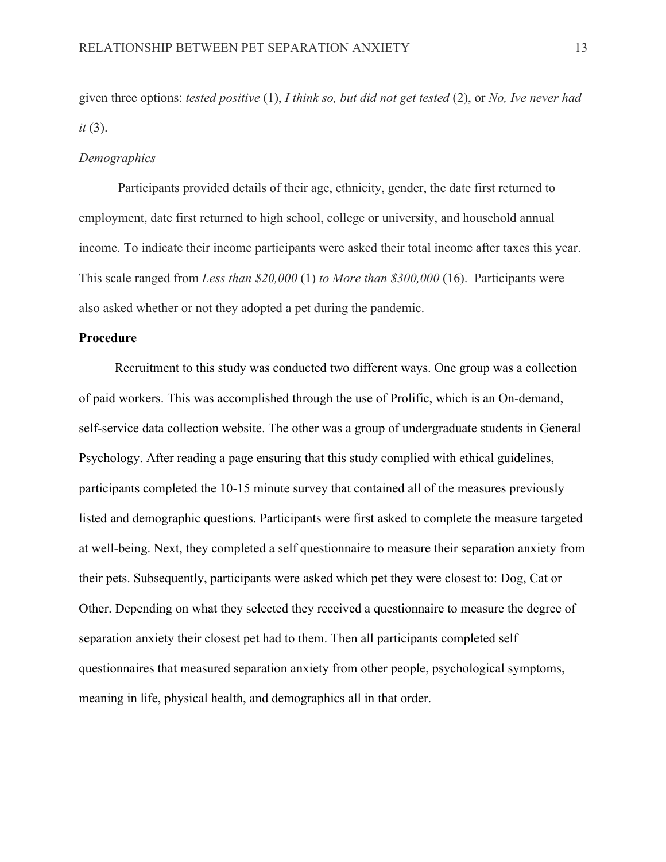given three options: *tested positive* (1), *I think so, but did not get tested* (2), or *No, Ive never had it* (3).

### *Demographics*

Participants provided details of their age, ethnicity, gender, the date first returned to employment, date first returned to high school, college or university, and household annual income. To indicate their income participants were asked their total income after taxes this year. This scale ranged from *Less than \$20,000* (1) *to More than \$300,000* (16). Participants were also asked whether or not they adopted a pet during the pandemic.

### **Procedure**

 Recruitment to this study was conducted two different ways. One group was a collection of paid workers. This was accomplished through the use of Prolific, which is an On-demand, self-service data collection website. The other was a group of undergraduate students in General Psychology. After reading a page ensuring that this study complied with ethical guidelines, participants completed the 10-15 minute survey that contained all of the measures previously listed and demographic questions. Participants were first asked to complete the measure targeted at well-being. Next, they completed a self questionnaire to measure their separation anxiety from their pets. Subsequently, participants were asked which pet they were closest to: Dog, Cat or Other. Depending on what they selected they received a questionnaire to measure the degree of separation anxiety their closest pet had to them. Then all participants completed self questionnaires that measured separation anxiety from other people, psychological symptoms, meaning in life, physical health, and demographics all in that order.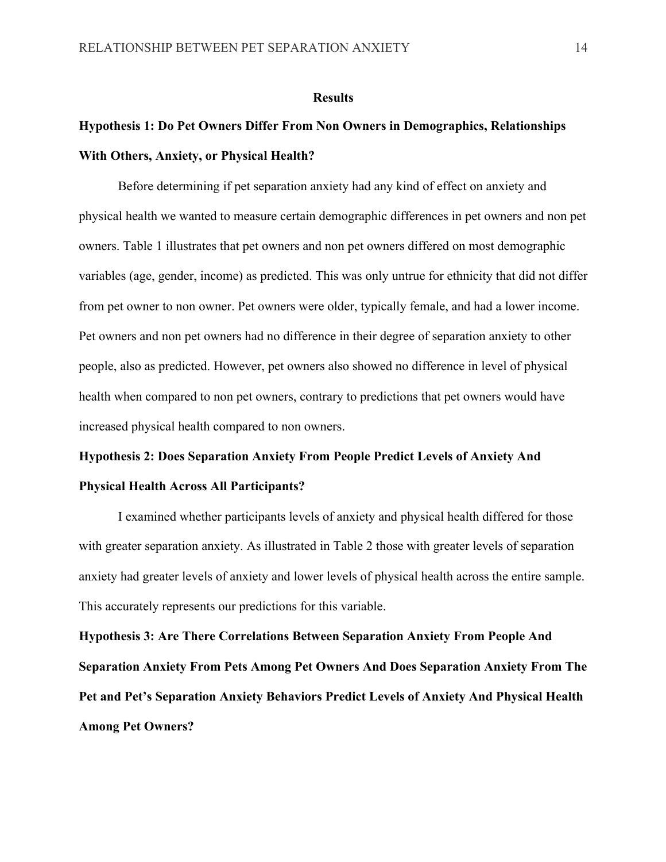#### **Results**

# **Hypothesis 1: Do Pet Owners Differ From Non Owners in Demographics, Relationships With Others, Anxiety, or Physical Health?**

Before determining if pet separation anxiety had any kind of effect on anxiety and physical health we wanted to measure certain demographic differences in pet owners and non pet owners. Table 1 illustrates that pet owners and non pet owners differed on most demographic variables (age, gender, income) as predicted. This was only untrue for ethnicity that did not differ from pet owner to non owner. Pet owners were older, typically female, and had a lower income. Pet owners and non pet owners had no difference in their degree of separation anxiety to other people, also as predicted. However, pet owners also showed no difference in level of physical health when compared to non pet owners, contrary to predictions that pet owners would have increased physical health compared to non owners.

# **Hypothesis 2: Does Separation Anxiety From People Predict Levels of Anxiety And Physical Health Across All Participants?**

I examined whether participants levels of anxiety and physical health differed for those with greater separation anxiety. As illustrated in Table 2 those with greater levels of separation anxiety had greater levels of anxiety and lower levels of physical health across the entire sample. This accurately represents our predictions for this variable.

**Hypothesis 3: Are There Correlations Between Separation Anxiety From People And Separation Anxiety From Pets Among Pet Owners And Does Separation Anxiety From The Pet and Pet's Separation Anxiety Behaviors Predict Levels of Anxiety And Physical Health Among Pet Owners?**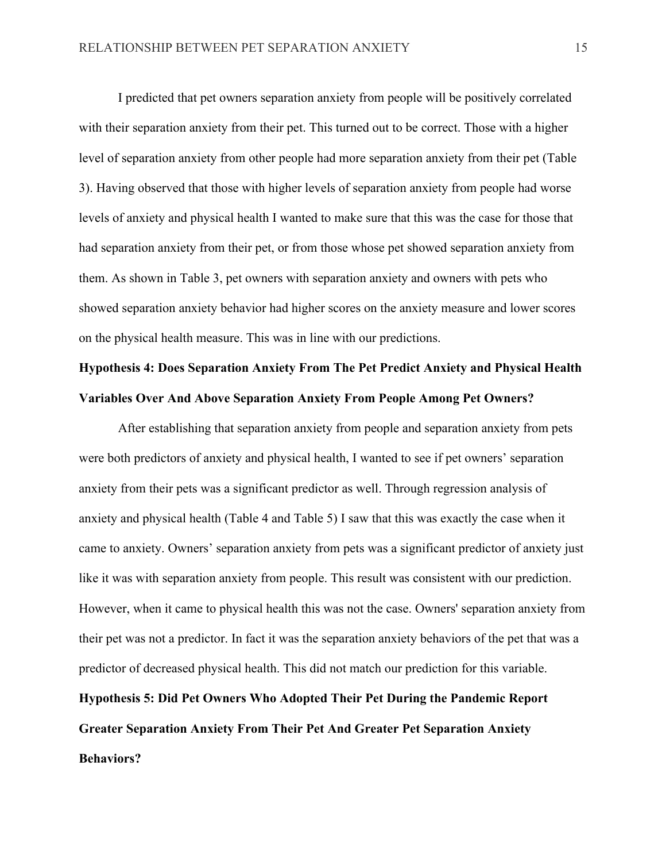I predicted that pet owners separation anxiety from people will be positively correlated with their separation anxiety from their pet. This turned out to be correct. Those with a higher level of separation anxiety from other people had more separation anxiety from their pet (Table 3). Having observed that those with higher levels of separation anxiety from people had worse levels of anxiety and physical health I wanted to make sure that this was the case for those that had separation anxiety from their pet, or from those whose pet showed separation anxiety from them. As shown in Table 3, pet owners with separation anxiety and owners with pets who showed separation anxiety behavior had higher scores on the anxiety measure and lower scores on the physical health measure. This was in line with our predictions.

# **Hypothesis 4: Does Separation Anxiety From The Pet Predict Anxiety and Physical Health Variables Over And Above Separation Anxiety From People Among Pet Owners?**

After establishing that separation anxiety from people and separation anxiety from pets were both predictors of anxiety and physical health, I wanted to see if pet owners' separation anxiety from their pets was a significant predictor as well. Through regression analysis of anxiety and physical health (Table 4 and Table 5) I saw that this was exactly the case when it came to anxiety. Owners' separation anxiety from pets was a significant predictor of anxiety just like it was with separation anxiety from people. This result was consistent with our prediction. However, when it came to physical health this was not the case. Owners' separation anxiety from their pet was not a predictor. In fact it was the separation anxiety behaviors of the pet that was a predictor of decreased physical health. This did not match our prediction for this variable.

**Hypothesis 5: Did Pet Owners Who Adopted Their Pet During the Pandemic Report Greater Separation Anxiety From Their Pet And Greater Pet Separation Anxiety Behaviors?**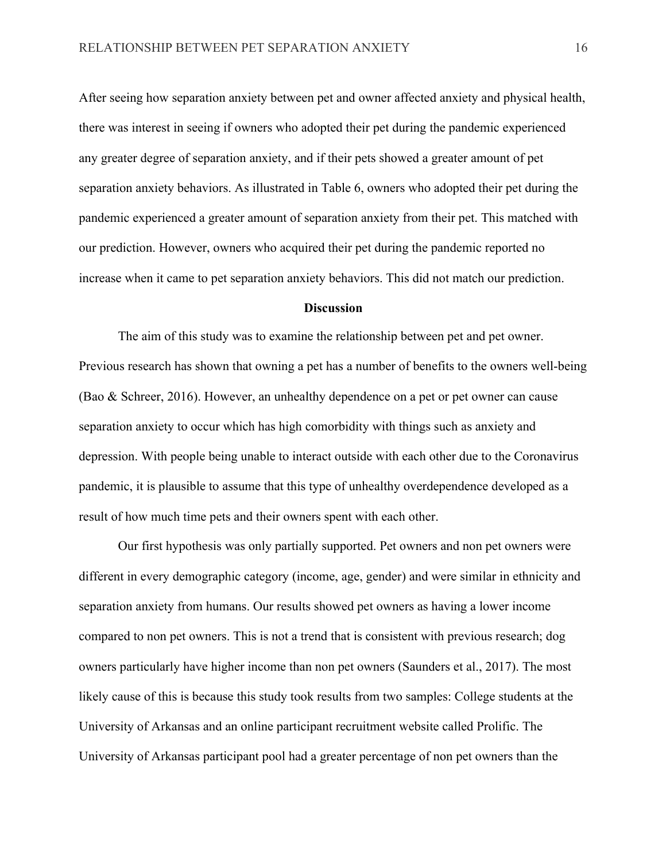After seeing how separation anxiety between pet and owner affected anxiety and physical health, there was interest in seeing if owners who adopted their pet during the pandemic experienced any greater degree of separation anxiety, and if their pets showed a greater amount of pet separation anxiety behaviors. As illustrated in Table 6, owners who adopted their pet during the pandemic experienced a greater amount of separation anxiety from their pet. This matched with our prediction. However, owners who acquired their pet during the pandemic reported no increase when it came to pet separation anxiety behaviors. This did not match our prediction.

### **Discussion**

The aim of this study was to examine the relationship between pet and pet owner. Previous research has shown that owning a pet has a number of benefits to the owners well-being (Bao & Schreer, 2016). However, an unhealthy dependence on a pet or pet owner can cause separation anxiety to occur which has high comorbidity with things such as anxiety and depression. With people being unable to interact outside with each other due to the Coronavirus pandemic, it is plausible to assume that this type of unhealthy overdependence developed as a result of how much time pets and their owners spent with each other.

Our first hypothesis was only partially supported. Pet owners and non pet owners were different in every demographic category (income, age, gender) and were similar in ethnicity and separation anxiety from humans. Our results showed pet owners as having a lower income compared to non pet owners. This is not a trend that is consistent with previous research; dog owners particularly have higher income than non pet owners (Saunders et al., 2017). The most likely cause of this is because this study took results from two samples: College students at the University of Arkansas and an online participant recruitment website called Prolific. The University of Arkansas participant pool had a greater percentage of non pet owners than the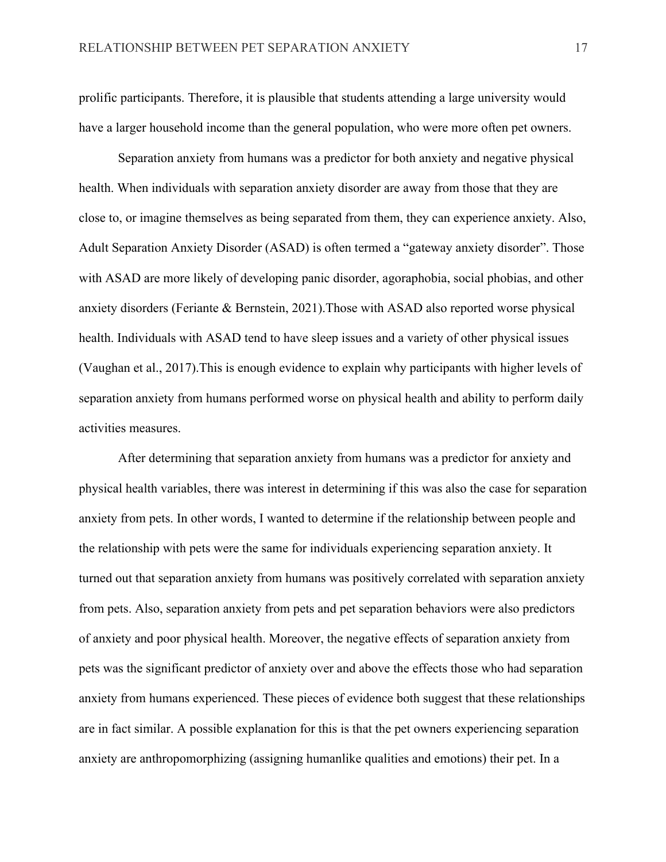prolific participants. Therefore, it is plausible that students attending a large university would have a larger household income than the general population, who were more often pet owners.

Separation anxiety from humans was a predictor for both anxiety and negative physical health. When individuals with separation anxiety disorder are away from those that they are close to, or imagine themselves as being separated from them, they can experience anxiety. Also, Adult Separation Anxiety Disorder (ASAD) is often termed a "gateway anxiety disorder". Those with ASAD are more likely of developing panic disorder, agoraphobia, social phobias, and other anxiety disorders (Feriante & Bernstein, 2021).Those with ASAD also reported worse physical health. Individuals with ASAD tend to have sleep issues and a variety of other physical issues (Vaughan et al., 2017).This is enough evidence to explain why participants with higher levels of separation anxiety from humans performed worse on physical health and ability to perform daily activities measures.

After determining that separation anxiety from humans was a predictor for anxiety and physical health variables, there was interest in determining if this was also the case for separation anxiety from pets. In other words, I wanted to determine if the relationship between people and the relationship with pets were the same for individuals experiencing separation anxiety. It turned out that separation anxiety from humans was positively correlated with separation anxiety from pets. Also, separation anxiety from pets and pet separation behaviors were also predictors of anxiety and poor physical health. Moreover, the negative effects of separation anxiety from pets was the significant predictor of anxiety over and above the effects those who had separation anxiety from humans experienced. These pieces of evidence both suggest that these relationships are in fact similar. A possible explanation for this is that the pet owners experiencing separation anxiety are anthropomorphizing (assigning humanlike qualities and emotions) their pet. In a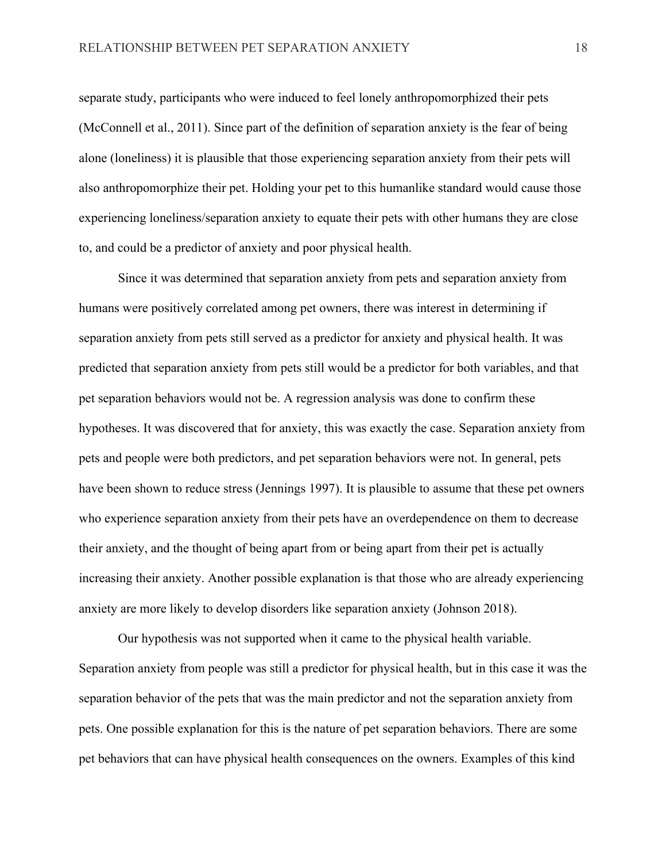separate study, participants who were induced to feel lonely anthropomorphized their pets (McConnell et al., 2011). Since part of the definition of separation anxiety is the fear of being alone (loneliness) it is plausible that those experiencing separation anxiety from their pets will also anthropomorphize their pet. Holding your pet to this humanlike standard would cause those experiencing loneliness/separation anxiety to equate their pets with other humans they are close to, and could be a predictor of anxiety and poor physical health.

Since it was determined that separation anxiety from pets and separation anxiety from humans were positively correlated among pet owners, there was interest in determining if separation anxiety from pets still served as a predictor for anxiety and physical health. It was predicted that separation anxiety from pets still would be a predictor for both variables, and that pet separation behaviors would not be. A regression analysis was done to confirm these hypotheses. It was discovered that for anxiety, this was exactly the case. Separation anxiety from pets and people were both predictors, and pet separation behaviors were not. In general, pets have been shown to reduce stress (Jennings 1997). It is plausible to assume that these pet owners who experience separation anxiety from their pets have an overdependence on them to decrease their anxiety, and the thought of being apart from or being apart from their pet is actually increasing their anxiety. Another possible explanation is that those who are already experiencing anxiety are more likely to develop disorders like separation anxiety (Johnson 2018).

Our hypothesis was not supported when it came to the physical health variable. Separation anxiety from people was still a predictor for physical health, but in this case it was the separation behavior of the pets that was the main predictor and not the separation anxiety from pets. One possible explanation for this is the nature of pet separation behaviors. There are some pet behaviors that can have physical health consequences on the owners. Examples of this kind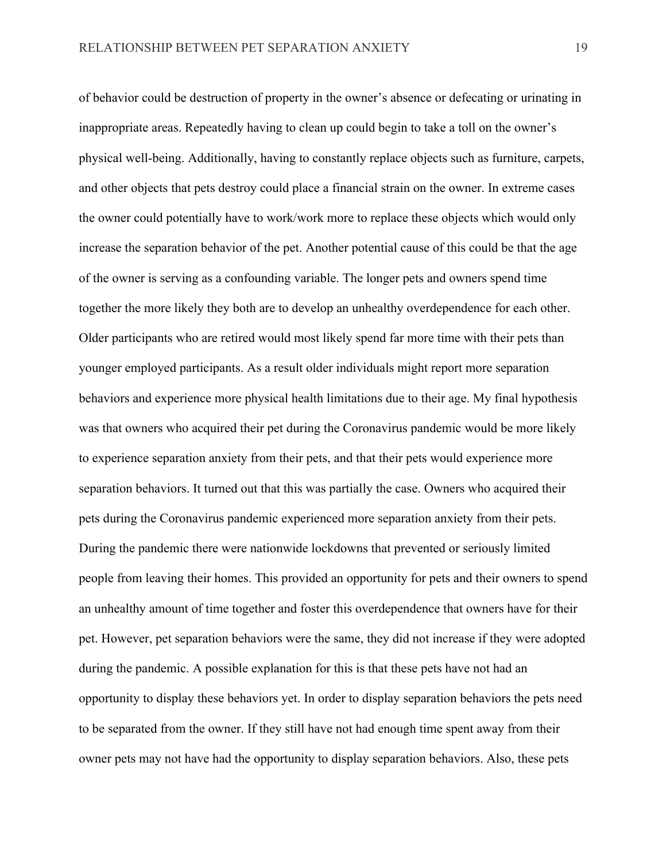of behavior could be destruction of property in the owner's absence or defecating or urinating in inappropriate areas. Repeatedly having to clean up could begin to take a toll on the owner's physical well-being. Additionally, having to constantly replace objects such as furniture, carpets, and other objects that pets destroy could place a financial strain on the owner. In extreme cases the owner could potentially have to work/work more to replace these objects which would only increase the separation behavior of the pet. Another potential cause of this could be that the age of the owner is serving as a confounding variable. The longer pets and owners spend time together the more likely they both are to develop an unhealthy overdependence for each other. Older participants who are retired would most likely spend far more time with their pets than younger employed participants. As a result older individuals might report more separation behaviors and experience more physical health limitations due to their age. My final hypothesis was that owners who acquired their pet during the Coronavirus pandemic would be more likely to experience separation anxiety from their pets, and that their pets would experience more separation behaviors. It turned out that this was partially the case. Owners who acquired their pets during the Coronavirus pandemic experienced more separation anxiety from their pets. During the pandemic there were nationwide lockdowns that prevented or seriously limited people from leaving their homes. This provided an opportunity for pets and their owners to spend an unhealthy amount of time together and foster this overdependence that owners have for their pet. However, pet separation behaviors were the same, they did not increase if they were adopted during the pandemic. A possible explanation for this is that these pets have not had an opportunity to display these behaviors yet. In order to display separation behaviors the pets need to be separated from the owner. If they still have not had enough time spent away from their owner pets may not have had the opportunity to display separation behaviors. Also, these pets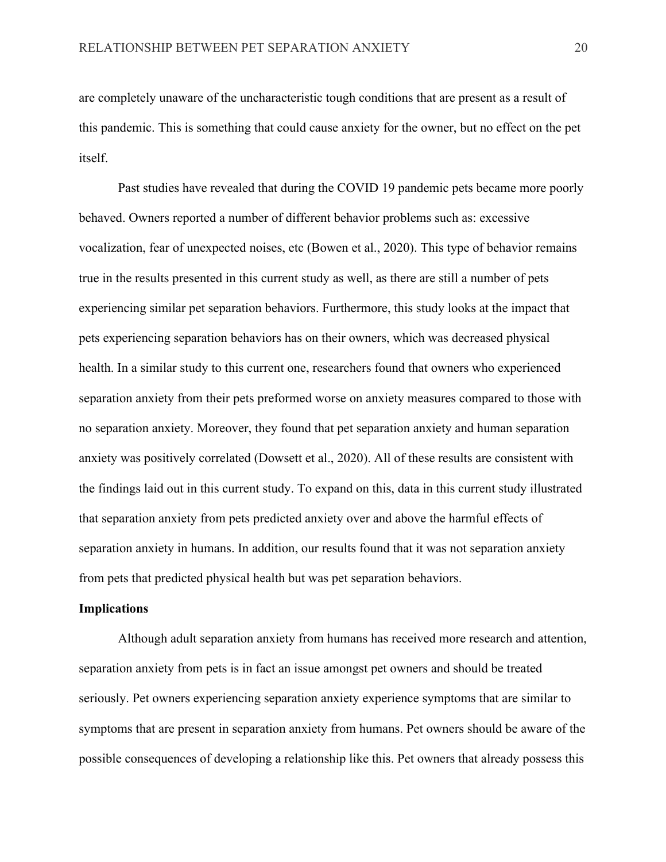are completely unaware of the uncharacteristic tough conditions that are present as a result of this pandemic. This is something that could cause anxiety for the owner, but no effect on the pet itself.

Past studies have revealed that during the COVID 19 pandemic pets became more poorly behaved. Owners reported a number of different behavior problems such as: excessive vocalization, fear of unexpected noises, etc (Bowen et al., 2020). This type of behavior remains true in the results presented in this current study as well, as there are still a number of pets experiencing similar pet separation behaviors. Furthermore, this study looks at the impact that pets experiencing separation behaviors has on their owners, which was decreased physical health. In a similar study to this current one, researchers found that owners who experienced separation anxiety from their pets preformed worse on anxiety measures compared to those with no separation anxiety. Moreover, they found that pet separation anxiety and human separation anxiety was positively correlated (Dowsett et al., 2020). All of these results are consistent with the findings laid out in this current study. To expand on this, data in this current study illustrated that separation anxiety from pets predicted anxiety over and above the harmful effects of separation anxiety in humans. In addition, our results found that it was not separation anxiety from pets that predicted physical health but was pet separation behaviors.

### **Implications**

Although adult separation anxiety from humans has received more research and attention, separation anxiety from pets is in fact an issue amongst pet owners and should be treated seriously. Pet owners experiencing separation anxiety experience symptoms that are similar to symptoms that are present in separation anxiety from humans. Pet owners should be aware of the possible consequences of developing a relationship like this. Pet owners that already possess this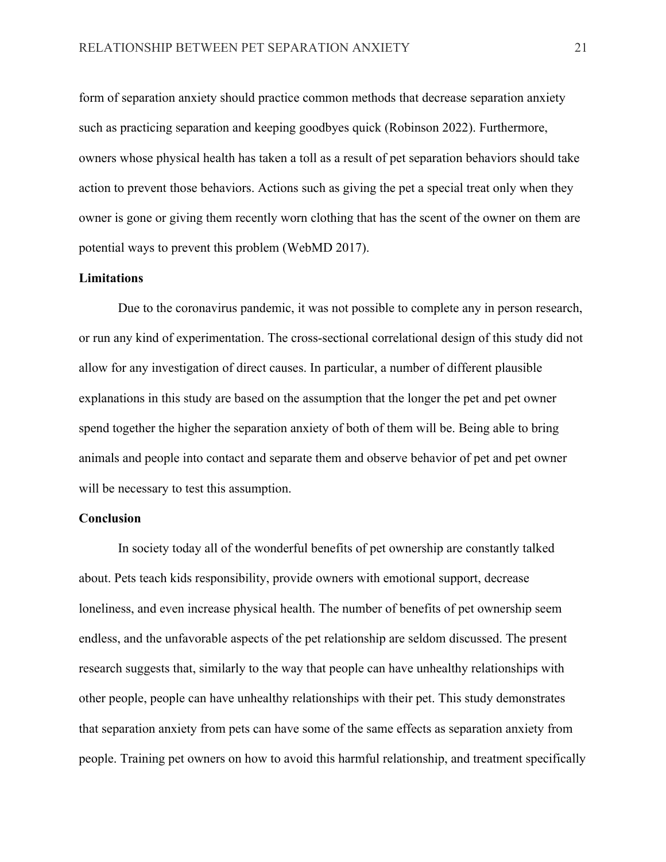form of separation anxiety should practice common methods that decrease separation anxiety such as practicing separation and keeping goodbyes quick (Robinson 2022). Furthermore, owners whose physical health has taken a toll as a result of pet separation behaviors should take action to prevent those behaviors. Actions such as giving the pet a special treat only when they owner is gone or giving them recently worn clothing that has the scent of the owner on them are potential ways to prevent this problem (WebMD 2017).

### **Limitations**

Due to the coronavirus pandemic, it was not possible to complete any in person research, or run any kind of experimentation. The cross-sectional correlational design of this study did not allow for any investigation of direct causes. In particular, a number of different plausible explanations in this study are based on the assumption that the longer the pet and pet owner spend together the higher the separation anxiety of both of them will be. Being able to bring animals and people into contact and separate them and observe behavior of pet and pet owner will be necessary to test this assumption.

### **Conclusion**

In society today all of the wonderful benefits of pet ownership are constantly talked about. Pets teach kids responsibility, provide owners with emotional support, decrease loneliness, and even increase physical health. The number of benefits of pet ownership seem endless, and the unfavorable aspects of the pet relationship are seldom discussed. The present research suggests that, similarly to the way that people can have unhealthy relationships with other people, people can have unhealthy relationships with their pet. This study demonstrates that separation anxiety from pets can have some of the same effects as separation anxiety from people. Training pet owners on how to avoid this harmful relationship, and treatment specifically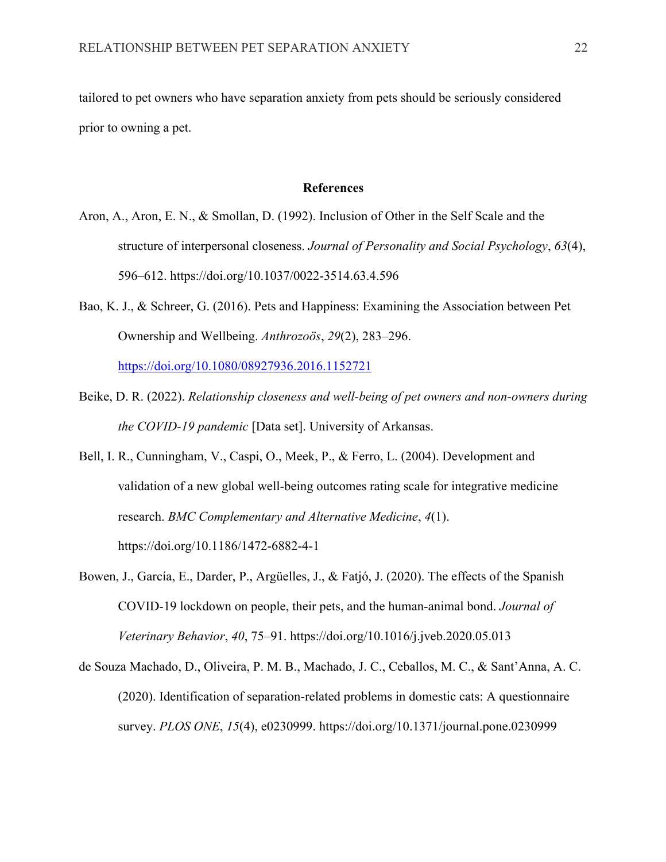tailored to pet owners who have separation anxiety from pets should be seriously considered prior to owning a pet.

### **References**

- Aron, A., Aron, E. N., & Smollan, D. (1992). Inclusion of Other in the Self Scale and the structure of interpersonal closeness. *Journal of Personality and Social Psychology*, *63*(4), 596–612. https://doi.org/10.1037/0022-3514.63.4.596
- Bao, K. J., & Schreer, G. (2016). Pets and Happiness: Examining the Association between Pet Ownership and Wellbeing. *Anthrozoös*, *29*(2), 283–296. https://doi.org/10.1080/08927936.2016.1152721
- Beike, D. R. (2022). *Relationship closeness and well-being of pet owners and non-owners during the COVID-19 pandemic* [Data set]. University of Arkansas.
- Bell, I. R., Cunningham, V., Caspi, O., Meek, P., & Ferro, L. (2004). Development and validation of a new global well-being outcomes rating scale for integrative medicine research. *BMC Complementary and Alternative Medicine*, *4*(1). https://doi.org/10.1186/1472-6882-4-1
- Bowen, J., García, E., Darder, P., Argüelles, J., & Fatjó, J. (2020). The effects of the Spanish COVID-19 lockdown on people, their pets, and the human-animal bond. *Journal of Veterinary Behavior*, *40*, 75–91. https://doi.org/10.1016/j.jveb.2020.05.013
- de Souza Machado, D., Oliveira, P. M. B., Machado, J. C., Ceballos, M. C., & Sant'Anna, A. C. (2020). Identification of separation-related problems in domestic cats: A questionnaire survey. *PLOS ONE*, *15*(4), e0230999. https://doi.org/10.1371/journal.pone.0230999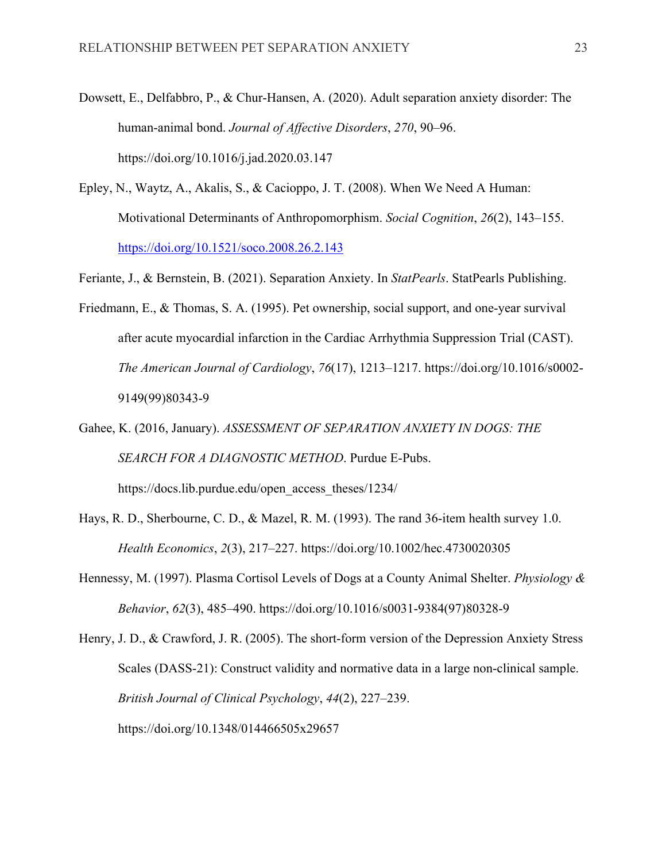- Dowsett, E., Delfabbro, P., & Chur-Hansen, A. (2020). Adult separation anxiety disorder: The human-animal bond. *Journal of Affective Disorders*, *270*, 90–96. https://doi.org/10.1016/j.jad.2020.03.147
- Epley, N., Waytz, A., Akalis, S., & Cacioppo, J. T. (2008). When We Need A Human: Motivational Determinants of Anthropomorphism. *Social Cognition*, *26*(2), 143–155. https://doi.org/10.1521/soco.2008.26.2.143
- Feriante, J., & Bernstein, B. (2021). Separation Anxiety. In *StatPearls*. StatPearls Publishing.
- Friedmann, E., & Thomas, S. A. (1995). Pet ownership, social support, and one-year survival after acute myocardial infarction in the Cardiac Arrhythmia Suppression Trial (CAST). *The American Journal of Cardiology*, *76*(17), 1213–1217. https://doi.org/10.1016/s0002- 9149(99)80343-9
- Gahee, K. (2016, January). *ASSESSMENT OF SEPARATION ANXIETY IN DOGS: THE SEARCH FOR A DIAGNOSTIC METHOD*. Purdue E-Pubs. https://docs.lib.purdue.edu/open\_access\_theses/1234/
- Hays, R. D., Sherbourne, C. D., & Mazel, R. M. (1993). The rand 36-item health survey 1.0. *Health Economics*, *2*(3), 217–227. https://doi.org/10.1002/hec.4730020305
- Hennessy, M. (1997). Plasma Cortisol Levels of Dogs at a County Animal Shelter. *Physiology & Behavior*, *62*(3), 485–490. https://doi.org/10.1016/s0031-9384(97)80328-9

Henry, J. D., & Crawford, J. R. (2005). The short-form version of the Depression Anxiety Stress Scales (DASS-21): Construct validity and normative data in a large non-clinical sample. *British Journal of Clinical Psychology*, *44*(2), 227–239. https://doi.org/10.1348/014466505x29657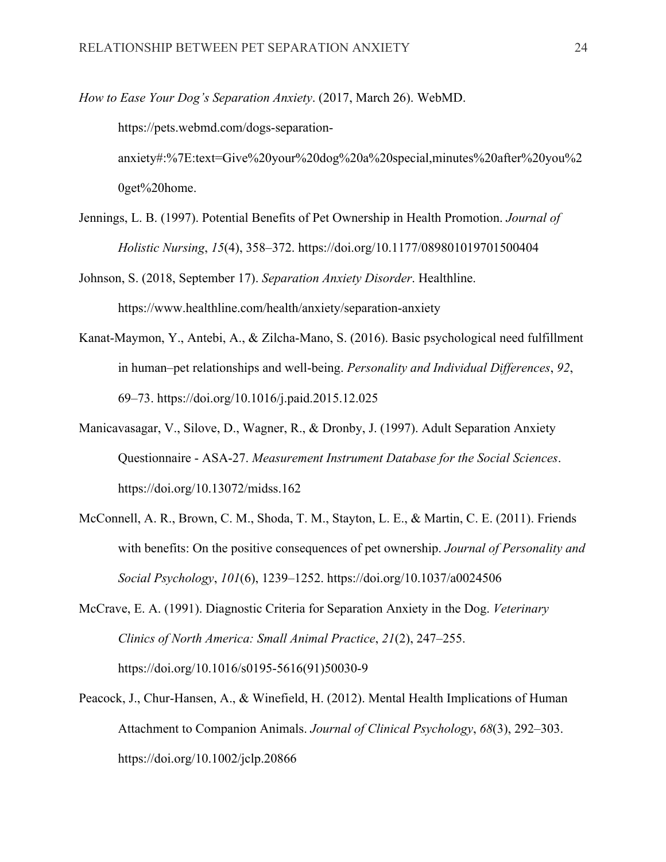*How to Ease Your Dog's Separation Anxiety*. (2017, March 26). WebMD.

https://pets.webmd.com/dogs-separation-

anxiety#:%7E:text=Give%20your%20dog%20a%20special,minutes%20after%20you%2 0get%20home.

- Jennings, L. B. (1997). Potential Benefits of Pet Ownership in Health Promotion. *Journal of Holistic Nursing*, *15*(4), 358–372. https://doi.org/10.1177/089801019701500404
- Johnson, S. (2018, September 17). *Separation Anxiety Disorder*. Healthline. https://www.healthline.com/health/anxiety/separation-anxiety
- Kanat-Maymon, Y., Antebi, A., & Zilcha-Mano, S. (2016). Basic psychological need fulfillment in human–pet relationships and well-being. *Personality and Individual Differences*, *92*, 69–73. https://doi.org/10.1016/j.paid.2015.12.025
- Manicavasagar, V., Silove, D., Wagner, R., & Dronby, J. (1997). Adult Separation Anxiety Questionnaire - ASA-27. *Measurement Instrument Database for the Social Sciences*. https://doi.org/10.13072/midss.162
- McConnell, A. R., Brown, C. M., Shoda, T. M., Stayton, L. E., & Martin, C. E. (2011). Friends with benefits: On the positive consequences of pet ownership. *Journal of Personality and Social Psychology*, *101*(6), 1239–1252. https://doi.org/10.1037/a0024506
- McCrave, E. A. (1991). Diagnostic Criteria for Separation Anxiety in the Dog. *Veterinary Clinics of North America: Small Animal Practice*, *21*(2), 247–255. https://doi.org/10.1016/s0195-5616(91)50030-9
- Peacock, J., Chur-Hansen, A., & Winefield, H. (2012). Mental Health Implications of Human Attachment to Companion Animals. *Journal of Clinical Psychology*, *68*(3), 292–303. https://doi.org/10.1002/jclp.20866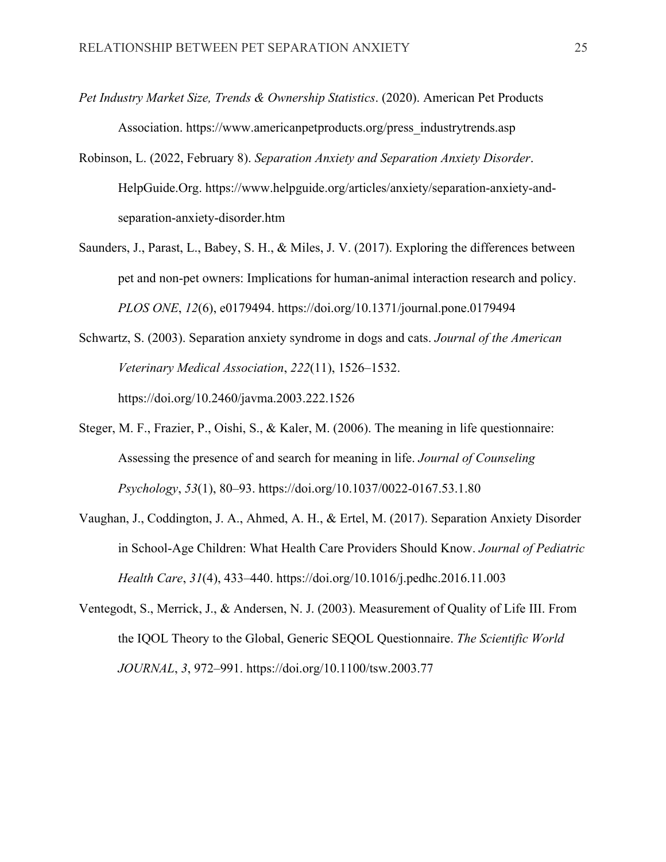- *Pet Industry Market Size, Trends & Ownership Statistics*. (2020). American Pet Products Association. https://www.americanpetproducts.org/press\_industrytrends.asp
- Robinson, L. (2022, February 8). *Separation Anxiety and Separation Anxiety Disorder*. HelpGuide.Org. https://www.helpguide.org/articles/anxiety/separation-anxiety-andseparation-anxiety-disorder.htm
- Saunders, J., Parast, L., Babey, S. H., & Miles, J. V. (2017). Exploring the differences between pet and non-pet owners: Implications for human-animal interaction research and policy. *PLOS ONE*, *12*(6), e0179494. https://doi.org/10.1371/journal.pone.0179494
- Schwartz, S. (2003). Separation anxiety syndrome in dogs and cats. *Journal of the American Veterinary Medical Association*, *222*(11), 1526–1532. https://doi.org/10.2460/javma.2003.222.1526
- Steger, M. F., Frazier, P., Oishi, S., & Kaler, M. (2006). The meaning in life questionnaire: Assessing the presence of and search for meaning in life. *Journal of Counseling Psychology*, *53*(1), 80–93. https://doi.org/10.1037/0022-0167.53.1.80
- Vaughan, J., Coddington, J. A., Ahmed, A. H., & Ertel, M. (2017). Separation Anxiety Disorder in School-Age Children: What Health Care Providers Should Know. *Journal of Pediatric Health Care*, *31*(4), 433–440. https://doi.org/10.1016/j.pedhc.2016.11.003
- Ventegodt, S., Merrick, J., & Andersen, N. J. (2003). Measurement of Quality of Life III. From the IQOL Theory to the Global, Generic SEQOL Questionnaire. *The Scientific World JOURNAL*, *3*, 972–991. https://doi.org/10.1100/tsw.2003.77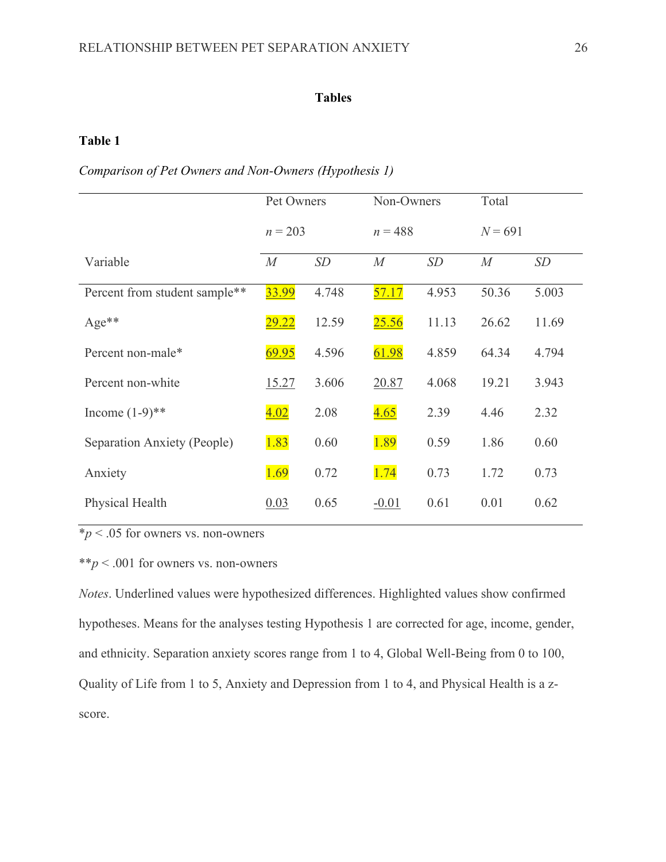### **Table 1**

*Comparison of Pet Owners and Non-Owners (Hypothesis 1)*

|                               | Pet Owners |       | Non-Owners |       | Total     |       |
|-------------------------------|------------|-------|------------|-------|-----------|-------|
|                               | $n = 203$  |       | $n = 488$  |       | $N = 691$ |       |
| Variable                      | M          | SD    | M          | SD    | M         | SD    |
| Percent from student sample** | 33.99      | 4.748 | 57.17      | 4.953 | 50.36     | 5.003 |
| $Age**$                       | 29.22      | 12.59 | 25.56      | 11.13 | 26.62     | 11.69 |
| Percent non-male*             | 69.95      | 4.596 | 61.98      | 4.859 | 64.34     | 4.794 |
| Percent non-white             | 15.27      | 3.606 | 20.87      | 4.068 | 19.21     | 3.943 |
| Income $(1-9)$ **             | 4.02       | 2.08  | 4.65       | 2.39  | 4.46      | 2.32  |
| Separation Anxiety (People)   | 1.83       | 0.60  | 1.89       | 0.59  | 1.86      | 0.60  |
| Anxiety                       | 1.69       | 0.72  | 1.74       | 0.73  | 1.72      | 0.73  |
| Physical Health               | 0.03       | 0.65  | $-0.01$    | 0.61  | 0.01      | 0.62  |

 $**p*$  < .05 for owners vs. non-owners

\*\**p* < .001 for owners vs. non-owners

*Notes*. Underlined values were hypothesized differences. Highlighted values show confirmed hypotheses. Means for the analyses testing Hypothesis 1 are corrected for age, income, gender, and ethnicity. Separation anxiety scores range from 1 to 4, Global Well-Being from 0 to 100, Quality of Life from 1 to 5, Anxiety and Depression from 1 to 4, and Physical Health is a zscore.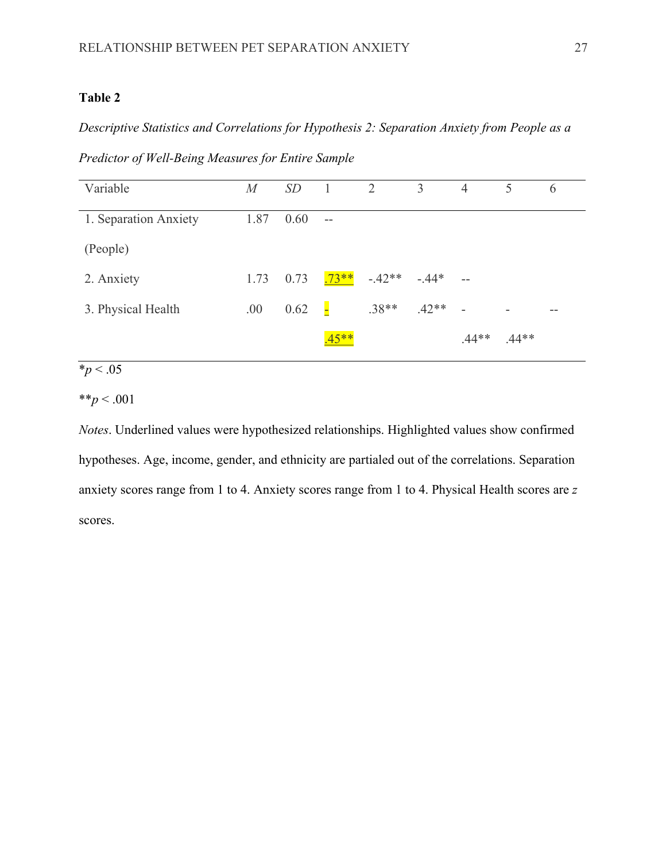*Descriptive Statistics and Correlations for Hypothesis 2: Separation Anxiety from People as a* 

*Predictor of Well-Being Measures for Entire Sample*

| Variable              | $\overline{M}$ | SD   |         | 2        | 3       | $\overline{4}$ | 5       | 6  |
|-----------------------|----------------|------|---------|----------|---------|----------------|---------|----|
| 1. Separation Anxiety | 1.87           | 0.60 | $-$     |          |         |                |         |    |
| (People)              |                |      |         |          |         |                |         |    |
| 2. Anxiety            | 1.73           | 0.73 | $.73**$ | $-.42**$ | $-.44*$ | $-$            |         |    |
| 3. Physical Health    | .00            | 0.62 | Н       | $.38**$  | $.42**$ | $\sim$         | ۰       | -- |
|                       |                |      | $45**$  |          |         | $.44**$        | $.44**$ |    |

# $\frac{1}{2}$  *\*p* < .05

### \*\**p* < .001

*Notes*. Underlined values were hypothesized relationships. Highlighted values show confirmed hypotheses. Age, income, gender, and ethnicity are partialed out of the correlations. Separation anxiety scores range from 1 to 4. Anxiety scores range from 1 to 4. Physical Health scores are *z* scores.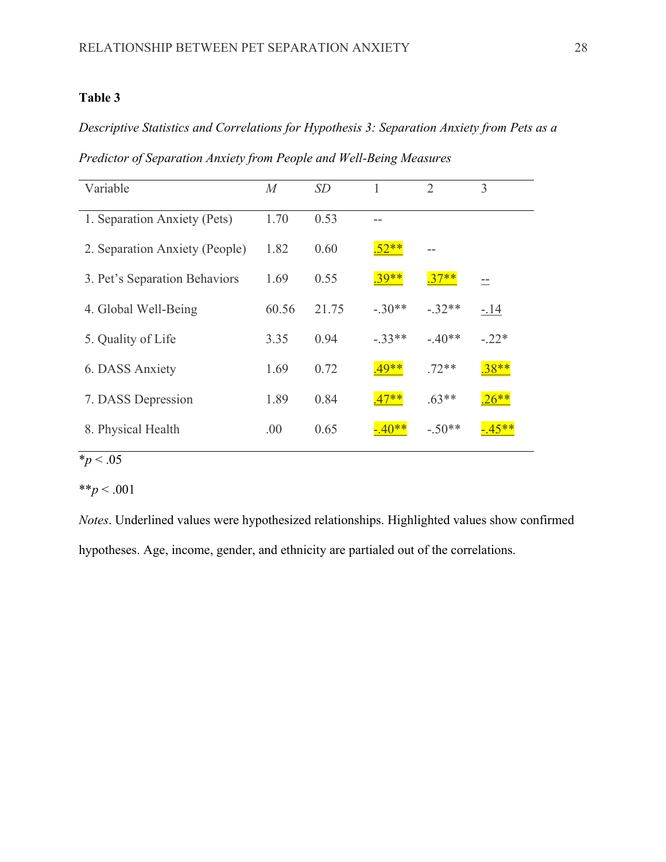*Descriptive Statistics and Correlations for Hypothesis 3: Separation Anxiety from Pets as a Predictor of Separation Anxiety from People and Well-Being Measures*

| Variable                       | $\overline{M}$ | SD    |          | $\overline{2}$ | 3       |
|--------------------------------|----------------|-------|----------|----------------|---------|
| 1. Separation Anxiety (Pets)   | 1.70           | 0.53  |          |                |         |
| 2. Separation Anxiety (People) | 1.82           | 0.60  | $52**$   |                |         |
| 3. Pet's Separation Behaviors  | 1.69           | 0.55  | $.39***$ | $.37**$        |         |
| 4. Global Well-Being           | 60.56          | 21.75 | $-.30**$ | $-.32**$       | $-.14$  |
| 5. Quality of Life             | 3.35           | 0.94  | $-33**$  | $-.40**$       | $-.22*$ |
| 6. DASS Anxiety                | 1.69           | 0.72  | $.49**$  | $.72**$        | $.38**$ |
| 7. DASS Depression             | 1.89           | 0.84  | $.47**$  | $.63**$        | $26**$  |
| 8. Physical Health             | .00            | 0.65  |          | $-.50**$       |         |

# $\frac{1}{2}$  *\*p* < .05

\*\**p* < .001

*Notes*. Underlined values were hypothesized relationships. Highlighted values show confirmed hypotheses. Age, income, gender, and ethnicity are partialed out of the correlations.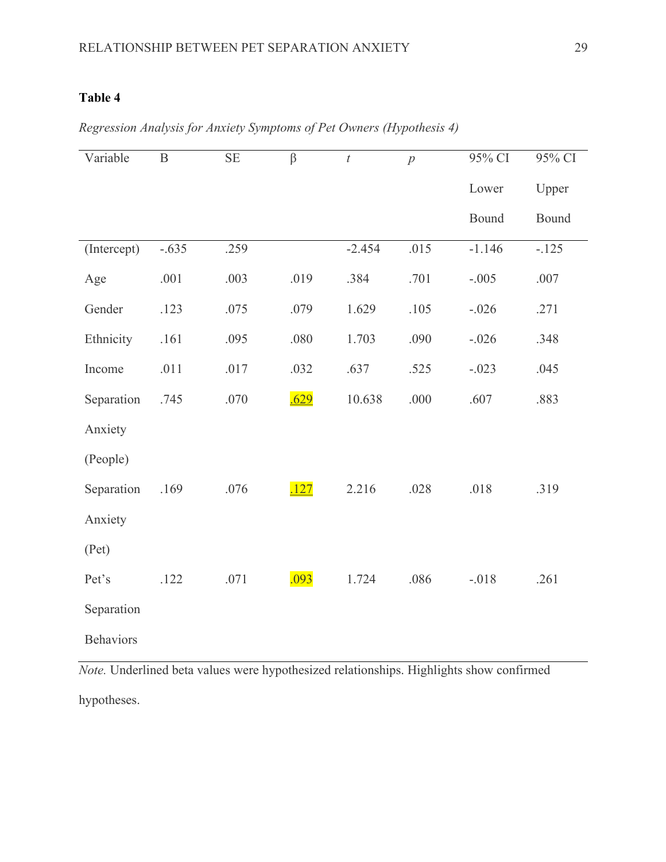| Variable         | $\overline{B}$ | $\rm SE$ | $\beta$ | $\bar{t}$ | $\overline{p}$ | 95% CI   | 95% CI  |
|------------------|----------------|----------|---------|-----------|----------------|----------|---------|
|                  |                |          |         |           |                | Lower    | Upper   |
|                  |                |          |         |           |                | Bound    | Bound   |
| (Intercept)      | $-.635$        | .259     |         | $-2.454$  | .015           | $-1.146$ | $-.125$ |
| Age              | .001           | .003     | .019    | .384      | .701           | $-.005$  | .007    |
| Gender           | .123           | .075     | .079    | 1.629     | .105           | $-.026$  | .271    |
| Ethnicity        | .161           | .095     | .080    | 1.703     | .090           | $-.026$  | .348    |
| Income           | .011           | .017     | .032    | .637      | .525           | $-.023$  | .045    |
| Separation       | .745           | .070     | .629    | 10.638    | .000           | .607     | .883    |
| Anxiety          |                |          |         |           |                |          |         |
| (People)         |                |          |         |           |                |          |         |
| Separation       | .169           | .076     | .127    | 2.216     | .028           | .018     | .319    |
| Anxiety          |                |          |         |           |                |          |         |
| (Pet)            |                |          |         |           |                |          |         |
| Pet's            | .122           | .071     | .093    | 1.724     | .086           | $-.018$  | .261    |
| Separation       |                |          |         |           |                |          |         |
| <b>Behaviors</b> |                |          |         |           |                |          |         |

*Regression Analysis for Anxiety Symptoms of Pet Owners (Hypothesis 4)*

*Note.* Underlined beta values were hypothesized relationships. Highlights show confirmed hypotheses.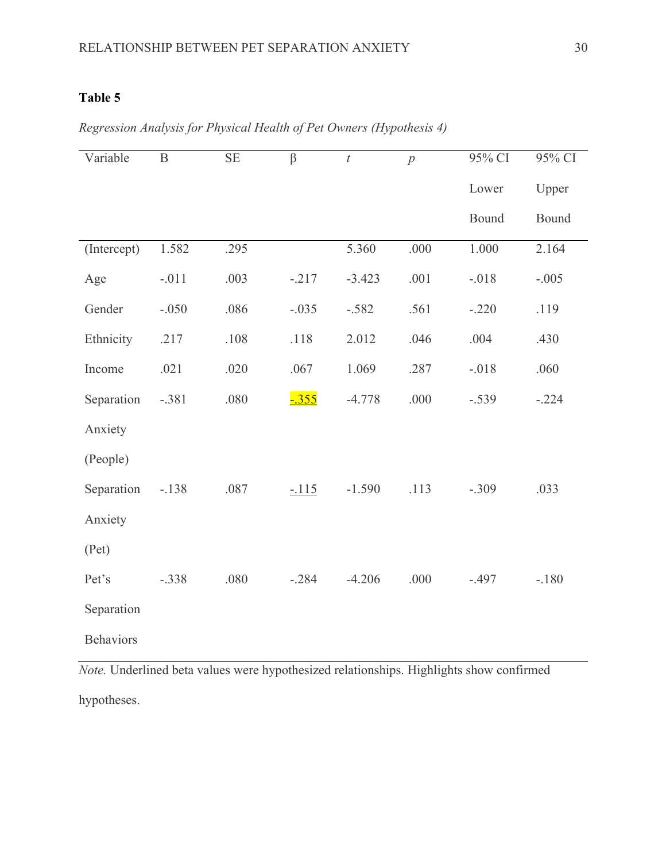| Variable         | $\, {\bf B}$ | $\rm SE$ | $\beta$  | $\boldsymbol{t}$ | $\overline{p}$ | 95% CI  | 95% CI  |
|------------------|--------------|----------|----------|------------------|----------------|---------|---------|
|                  |              |          |          |                  |                | Lower   | Upper   |
|                  |              |          |          |                  |                | Bound   | Bound   |
| (Intercept)      | 1.582        | .295     |          | 5.360            | .000           | 1.000   | 2.164   |
| Age              | $-.011$      | .003     | $-.217$  | $-3.423$         | .001           | $-.018$ | $-.005$ |
| Gender           | $-.050$      | .086     | $-.035$  | $-.582$          | .561           | $-.220$ | .119    |
| Ethnicity        | .217         | .108     | .118     | 2.012            | .046           | .004    | .430    |
| Income           | .021         | .020     | .067     | 1.069            | .287           | $-.018$ | .060    |
| Separation       | $-.381$      | .080     | $-0.355$ | $-4.778$         | .000           | $-.539$ | $-.224$ |
| Anxiety          |              |          |          |                  |                |         |         |
| (People)         |              |          |          |                  |                |         |         |
| Separation       | $-.138$      | .087     | $-.115$  | $-1.590$         | .113           | $-.309$ | .033    |
| Anxiety          |              |          |          |                  |                |         |         |
| (Pet)            |              |          |          |                  |                |         |         |
| Pet's            | $-.338$      | .080     | $-.284$  | $-4.206$         | .000           | $-.497$ | $-.180$ |
| Separation       |              |          |          |                  |                |         |         |
| <b>Behaviors</b> |              |          |          |                  |                |         |         |

*Regression Analysis for Physical Health of Pet Owners (Hypothesis 4)*

*Note.* Underlined beta values were hypothesized relationships. Highlights show confirmed hypotheses.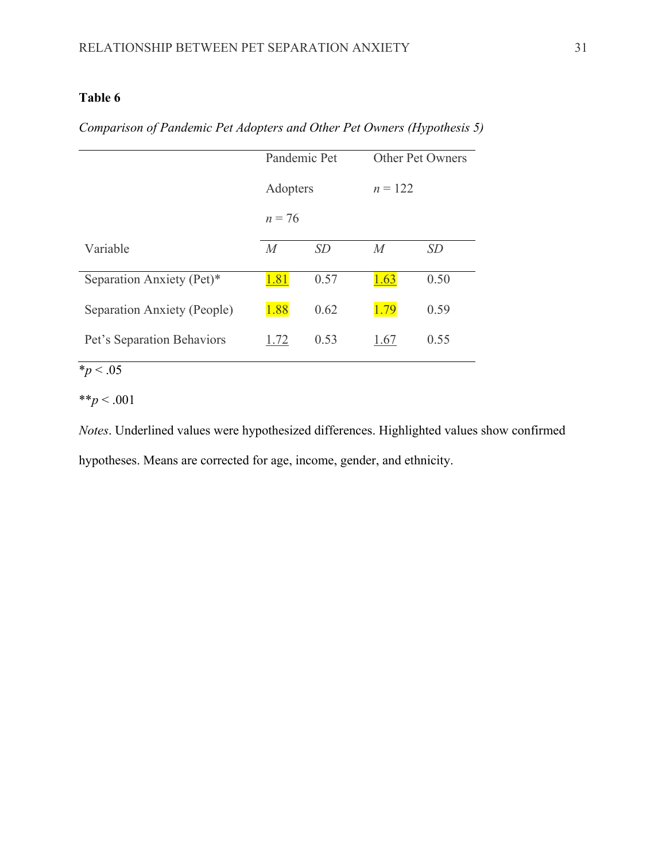*Comparison of Pandemic Pet Adopters and Other Pet Owners (Hypothesis 5)*

|                             | Pandemic Pet   |           |                | Other Pet Owners |
|-----------------------------|----------------|-----------|----------------|------------------|
|                             | Adopters       |           | $n = 122$      |                  |
|                             | $n = 76$       |           |                |                  |
| Variable                    | $\overline{M}$ | <i>SD</i> | $\overline{M}$ | SD               |
| Separation Anxiety (Pet)*   | 1.81           | 0.57      | 1.63           | 0.50             |
| Separation Anxiety (People) | 1.88           | 0.62      | 1.79           | 0.59             |
| Pet's Separation Behaviors  | 1.72           | 0.53      | 1.67           | 0.55             |

 $\frac{1}{2}p < .05$ 

# \*\**p* < .001

*Notes*. Underlined values were hypothesized differences. Highlighted values show confirmed hypotheses. Means are corrected for age, income, gender, and ethnicity.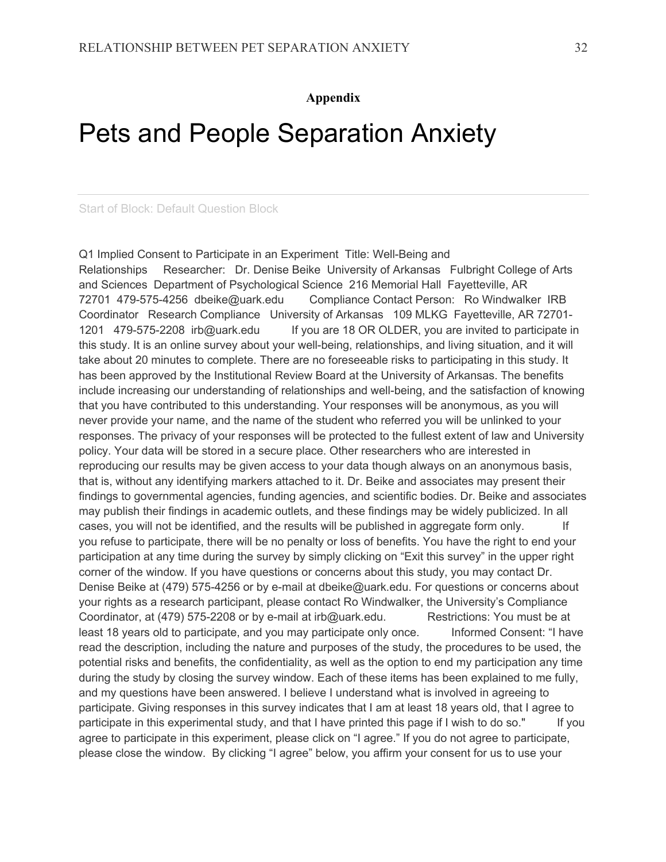#### **Appendix**

# Pets and People Separation Anxiety

Start of Block: Default Question Block

Q1 Implied Consent to Participate in an Experiment Title: Well-Being and Relationships Researcher: Dr. Denise Beike University of Arkansas Fulbright College of Arts and Sciences Department of Psychological Science 216 Memorial Hall Fayetteville, AR 72701 479-575-4256 dbeike@uark.edu Compliance Contact Person: Ro Windwalker IRB Coordinator Research Compliance University of Arkansas 109 MLKG Fayetteville, AR 72701- 1201 479-575-2208 irb@uark.edu If you are 18 OR OLDER, you are invited to participate in this study. It is an online survey about your well-being, relationships, and living situation, and it will take about 20 minutes to complete. There are no foreseeable risks to participating in this study. It has been approved by the Institutional Review Board at the University of Arkansas. The benefits include increasing our understanding of relationships and well-being, and the satisfaction of knowing that you have contributed to this understanding. Your responses will be anonymous, as you will never provide your name, and the name of the student who referred you will be unlinked to your responses. The privacy of your responses will be protected to the fullest extent of law and University policy. Your data will be stored in a secure place. Other researchers who are interested in reproducing our results may be given access to your data though always on an anonymous basis, that is, without any identifying markers attached to it. Dr. Beike and associates may present their findings to governmental agencies, funding agencies, and scientific bodies. Dr. Beike and associates may publish their findings in academic outlets, and these findings may be widely publicized. In all cases, you will not be identified, and the results will be published in aggregate form only. If you refuse to participate, there will be no penalty or loss of benefits. You have the right to end your participation at any time during the survey by simply clicking on "Exit this survey" in the upper right corner of the window. If you have questions or concerns about this study, you may contact Dr. Denise Beike at (479) 575-4256 or by e-mail at dbeike@uark.edu. For questions or concerns about your rights as a research participant, please contact Ro Windwalker, the University's Compliance Coordinator, at (479) 575-2208 or by e-mail at irb@uark.edu. Restrictions: You must be at least 18 years old to participate, and you may participate only once. Informed Consent: "I have read the description, including the nature and purposes of the study, the procedures to be used, the potential risks and benefits, the confidentiality, as well as the option to end my participation any time during the study by closing the survey window. Each of these items has been explained to me fully, and my questions have been answered. I believe I understand what is involved in agreeing to participate. Giving responses in this survey indicates that I am at least 18 years old, that I agree to participate in this experimental study, and that I have printed this page if I wish to do so." If you agree to participate in this experiment, please click on "I agree." If you do not agree to participate, please close the window. By clicking "I agree" below, you affirm your consent for us to use your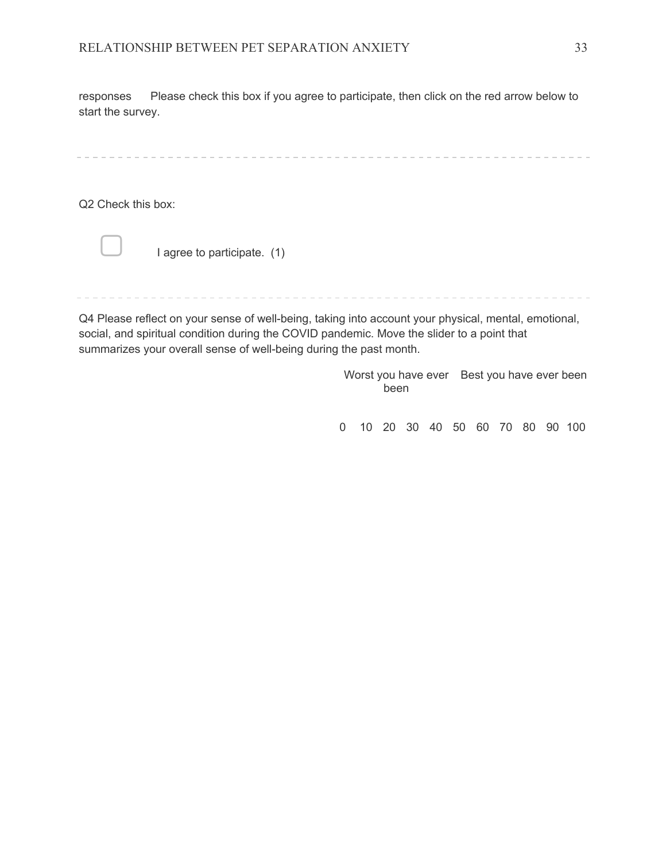responses Please check this box if you agree to participate, then click on the red arrow below to start the survey.

Q2 Check this box:



I agree to participate. (1)

----------------------

Q4 Please reflect on your sense of well-being, taking into account your physical, mental, emotional, social, and spiritual condition during the COVID pandemic. Move the slider to a point that summarizes your overall sense of well-being during the past month.

> Worst you have ever Best you have ever been been

0 10 20 30 40 50 60 70 80 90 100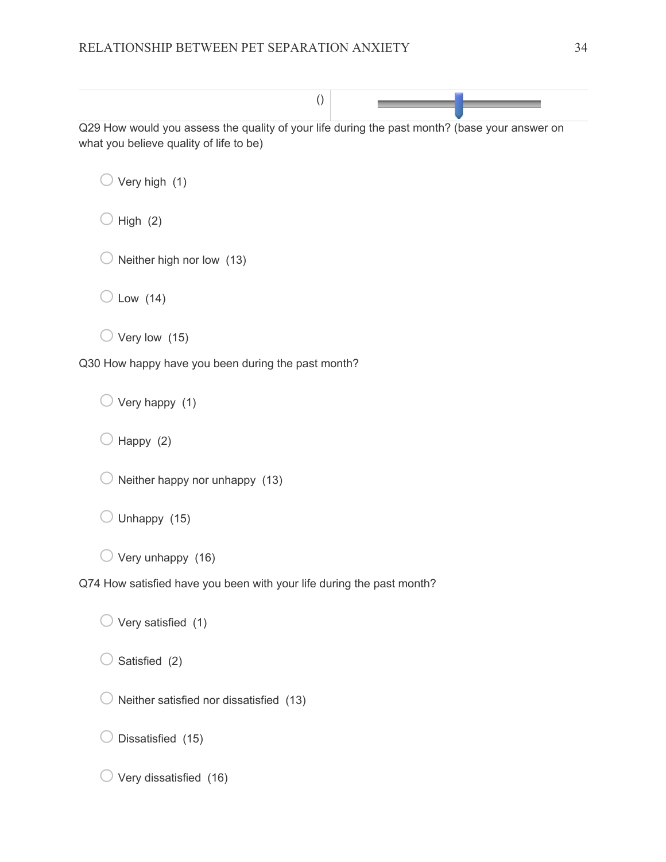| $\left( \right)$                                                                                                                         |
|------------------------------------------------------------------------------------------------------------------------------------------|
| Q29 How would you assess the quality of your life during the past month? (base your answer on<br>what you believe quality of life to be) |
| Very high (1)                                                                                                                            |
| High $(2)$                                                                                                                               |
| Neither high nor low (13)                                                                                                                |
| Low $(14)$                                                                                                                               |
| Very low (15)                                                                                                                            |
| Q30 How happy have you been during the past month?                                                                                       |
| Very happy (1)                                                                                                                           |
| Happy (2)                                                                                                                                |
| Neither happy nor unhappy (13)                                                                                                           |
| Unhappy (15)                                                                                                                             |
| Very unhappy (16)                                                                                                                        |
| Q74 How satisfied have you been with your life during the past month?                                                                    |
| Very satisfied (1)                                                                                                                       |
| Satisfied (2)                                                                                                                            |
| Neither satisfied nor dissatisfied (13)                                                                                                  |
| Dissatisfied (15)                                                                                                                        |

 $\bigcirc$  Very dissatisfied (16)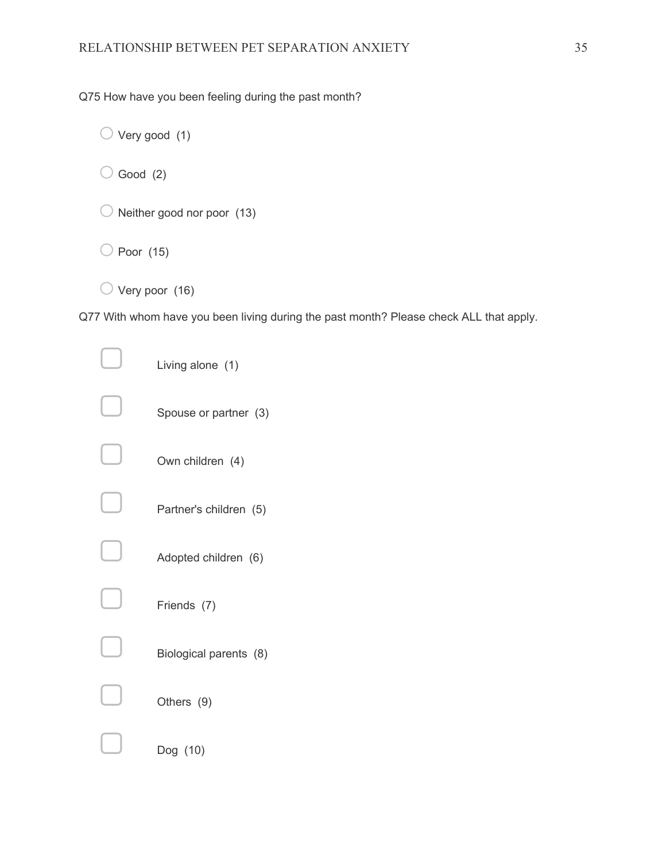Q75 How have you been feeling during the past month?

 $\bigcirc$  Very good (1)

 $\bigcirc$  Good (2)

 $\bigcirc$  Neither good nor poor (13)

 $\bigcirc$  Poor (15)

 $\bigcirc$  Very poor (16)

Q77 With whom have you been living during the past month? Please check ALL that apply.

| Living alone (1)       |
|------------------------|
| Spouse or partner (3)  |
| Own children (4)       |
| Partner's children (5) |
| Adopted children (6)   |
| Friends (7)            |
| Biological parents (8) |
| Others (9)             |
| Dog (10)               |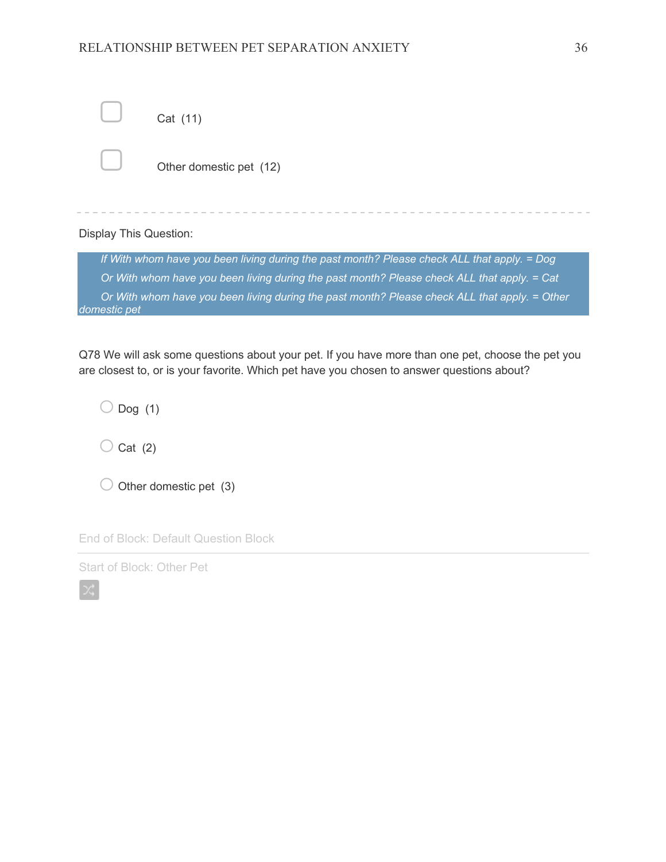#### RELATIONSHIP BETWEEN PET SEPARATION ANXIETY 36

|                               | Cat (11)                                                                                      |
|-------------------------------|-----------------------------------------------------------------------------------------------|
|                               | Other domestic pet (12)                                                                       |
| <b>Display This Question:</b> |                                                                                               |
|                               | If With whom have you been living during the past month? Please check ALL that apply. = Dog   |
|                               | Or With whom have you been living during the past month? Please check ALL that apply. = Cat   |
| domestic pet                  | Or With whom have you been living during the past month? Please check ALL that apply. = Other |
|                               |                                                                                               |

Q78 We will ask some questions about your pet. If you have more than one pet, choose the pet you are closest to, or is your favorite. Which pet have you chosen to answer questions about?

 $\bigcirc$  Dog (1)

 $\bigcirc$  Cat (2)

 $\bigcirc$  Other domestic pet (3)

End of Block: Default Question Block

Start of Block: Other Pet

 $\propto$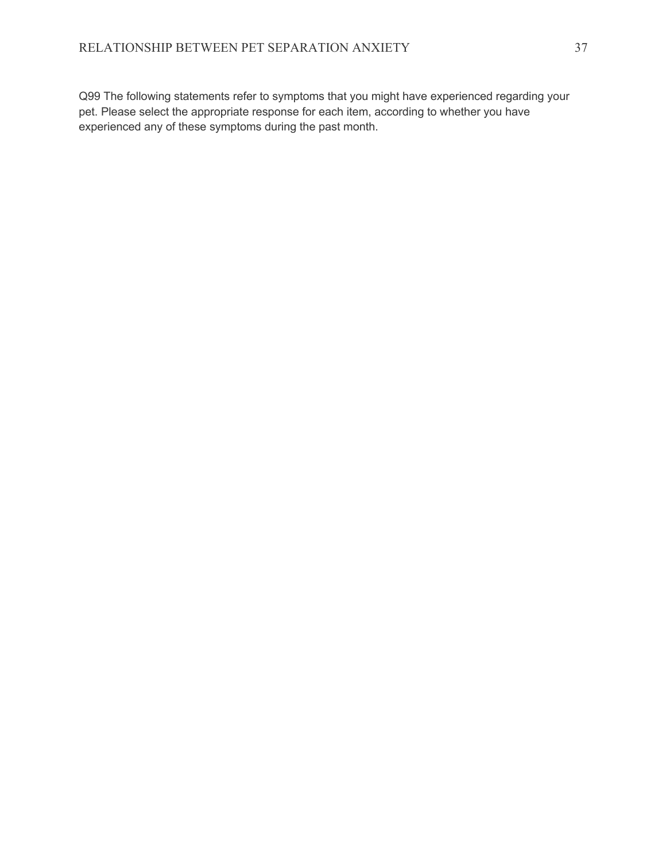Q99 The following statements refer to symptoms that you might have experienced regarding your pet. Please select the appropriate response for each item, according to whether you have experienced any of these symptoms during the past month.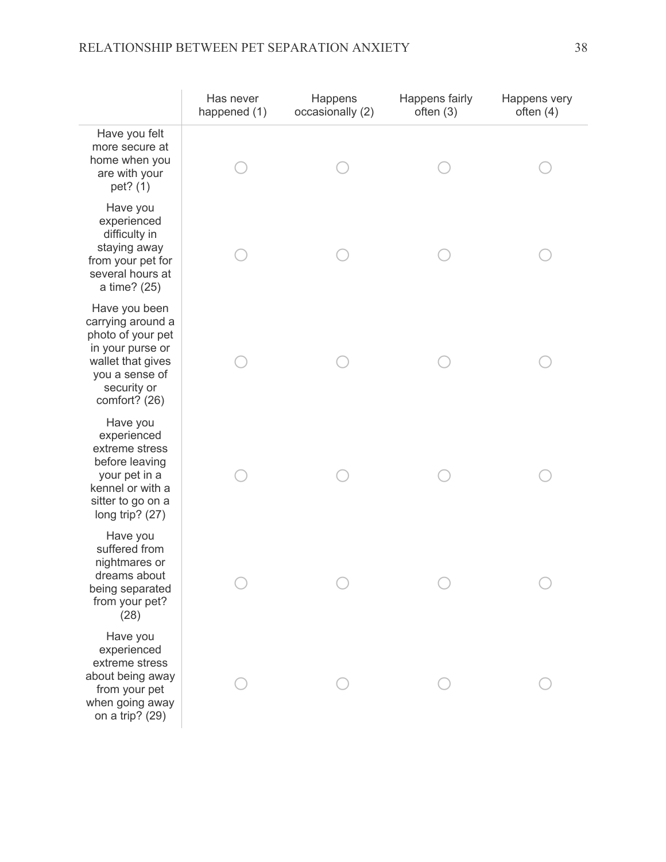# RELATIONSHIP BETWEEN PET SEPARATION ANXIETY 38

|                                                                                                                                                    | Has never<br>happened (1) | Happens<br>occasionally (2) | Happens fairly<br>often $(3)$ | Happens very<br>often $(4)$ |
|----------------------------------------------------------------------------------------------------------------------------------------------------|---------------------------|-----------------------------|-------------------------------|-----------------------------|
| Have you felt<br>more secure at<br>home when you<br>are with your<br>pet? (1)                                                                      |                           |                             |                               |                             |
| Have you<br>experienced<br>difficulty in<br>staying away<br>from your pet for<br>several hours at<br>a time? (25)                                  |                           |                             |                               |                             |
| Have you been<br>carrying around a<br>photo of your pet<br>in your purse or<br>wallet that gives<br>you a sense of<br>security or<br>comfort? (26) |                           |                             |                               |                             |
| Have you<br>experienced<br>extreme stress<br>before leaving<br>your pet in a<br>kennel or with a<br>sitter to go on a<br>long trip? (27)           |                           |                             |                               |                             |
| Have you<br>suffered from<br>nightmares or<br>dreams about<br>being separated<br>from your pet?<br>(28)                                            |                           |                             |                               |                             |
| Have you<br>experienced<br>extreme stress<br>about being away<br>from your pet<br>when going away<br>on a trip? (29)                               |                           |                             |                               |                             |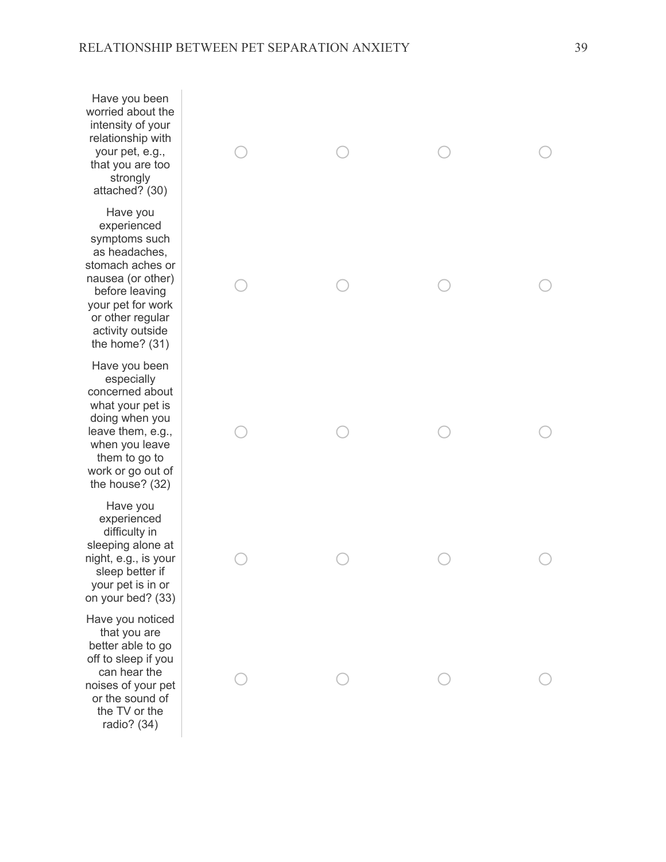Have you been worried about the intensity of your relationship with your pet, e.g., that you are too strongly attached? (30)

Have you experienced symptoms such as headaches, stomach aches or nausea (or other) before leaving your pet for work or other regular activity outside the home? (31)

Have you been especially concerned about what your pet is doing when you leave them, e.g., when you leave them to go to work or go out of the house? (32)

Have you experienced difficulty in sleeping alone at night, e.g., is your sleep better if your pet is in or on your bed? (33)

Have you noticed that you are better able to go off to sleep if you can hear the noises of your pet or the sound of the TV or the radio? (34)

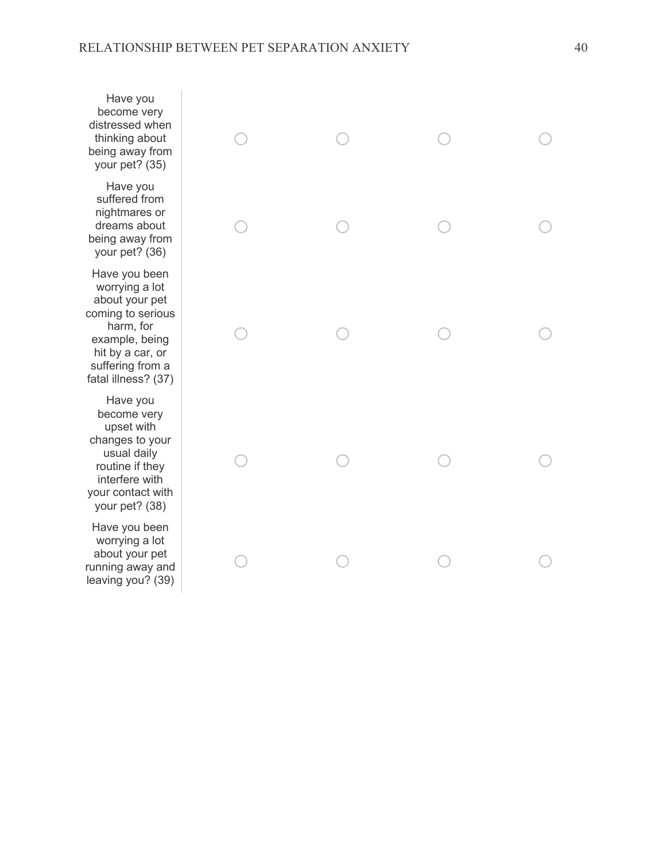Have you become very distressed when thinking about being away from your pet? (35)

Have you suffered from nightmares or dreams about being away from your pet? (36)

Have you been worrying a lot about your pet coming to serious harm, for example, being hit by a car, or suffering from a fatal illness? (37)

Have you become very upset with changes to your usual daily routine if they interfere with your contact with your pet? (38)

Have you been worrying a lot about your pet running away and leaving you? (39)

| $\circ$    | $\begin{array}{ccc} & & \\ \circ & & \\ & & \end{array}$ | $\begin{array}{ccc} & & \\ \circ & & \\ & & \end{array}$ | $\circ$                                         |
|------------|----------------------------------------------------------|----------------------------------------------------------|-------------------------------------------------|
| $\bigcirc$ | $\circ$                                                  | $\begin{array}{c}\n\circ \\ \circ\n\end{array}$          | $\begin{array}{c}\n\circ \\ \circ\n\end{array}$ |
| $\bigcirc$ | $\begin{array}{c}\n\circ \\ \circ\n\end{array}$          | $\begin{array}{c}\n\circ \\ \circ\n\end{array}$          | $\begin{array}{c}\n\circ \\ \circ\n\end{array}$ |
| $\bigcirc$ | $\begin{array}{c}\n\circ \\ \circ\n\end{array}$          | $\begin{array}{c}\n\circ \\ \circ\n\end{array}$          | $\circ$                                         |
| $\bigcirc$ | $\bigcirc$                                               | $\bigcirc$                                               | $\bigcirc$                                      |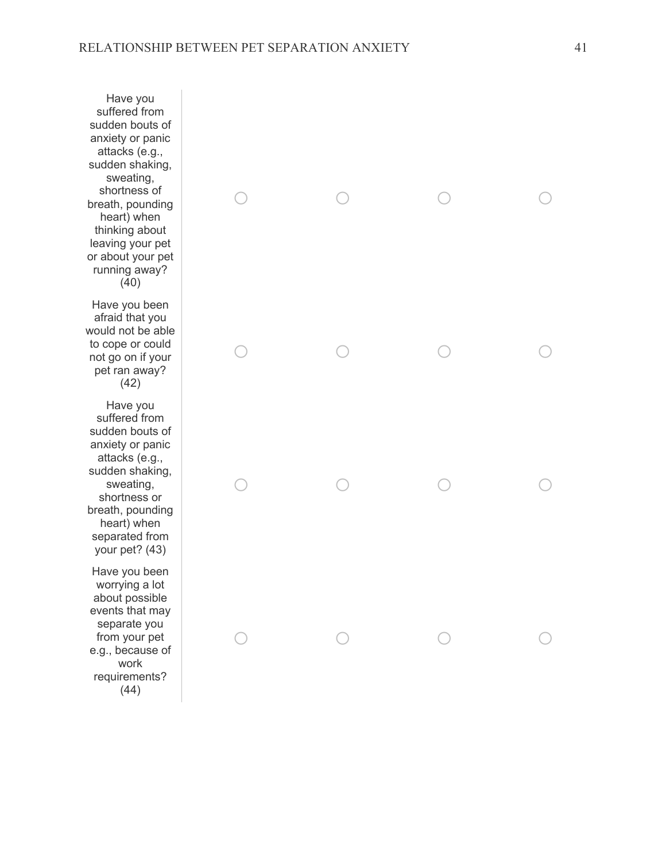Have you suffered from sudden bouts of anxiety or panic attacks (e.g., sudden shaking, sweating, shortness of breath, pounding heart) when thinking about leaving your pet or about your pet running away? (40)

Have you been afraid that you would not be able to cope or could not go on if your pet ran away? (42)

Have you suffered from sudden bouts of anxiety or panic attacks (e.g., sudden shaking, sweating, shortness or breath, pounding heart) when separated from your pet? (43)

Have you been worrying a lot about possible events that may separate you from your pet e.g., because of work requirements? (44)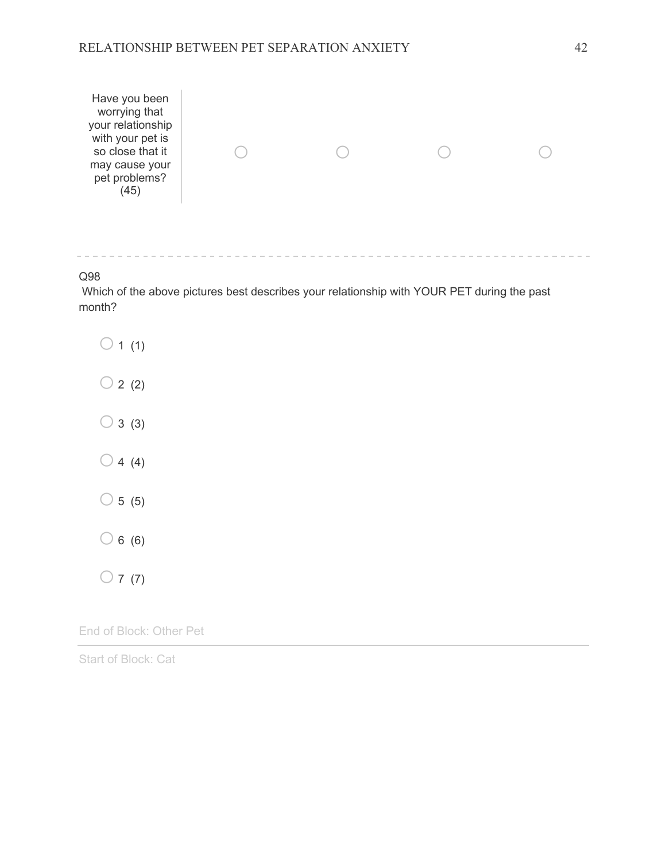

Q98

Which of the above pictures best describes your relationship with YOUR PET during the past month?



End of Block: Other Pet

Start of Block: Cat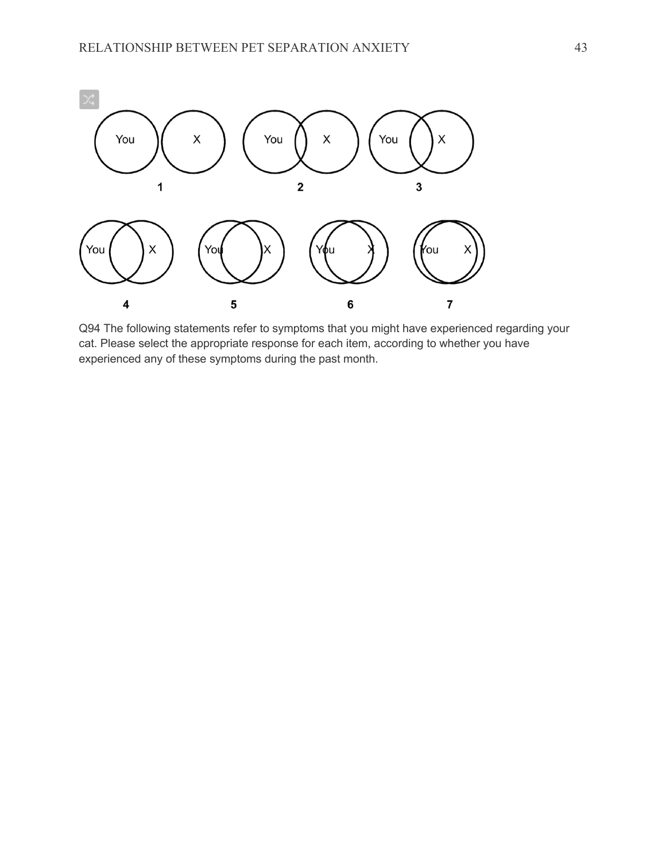

Q94 The following statements refer to symptoms that you might have experienced regarding your cat. Please select the appropriate response for each item, according to whether you have experienced any of these symptoms during the past month.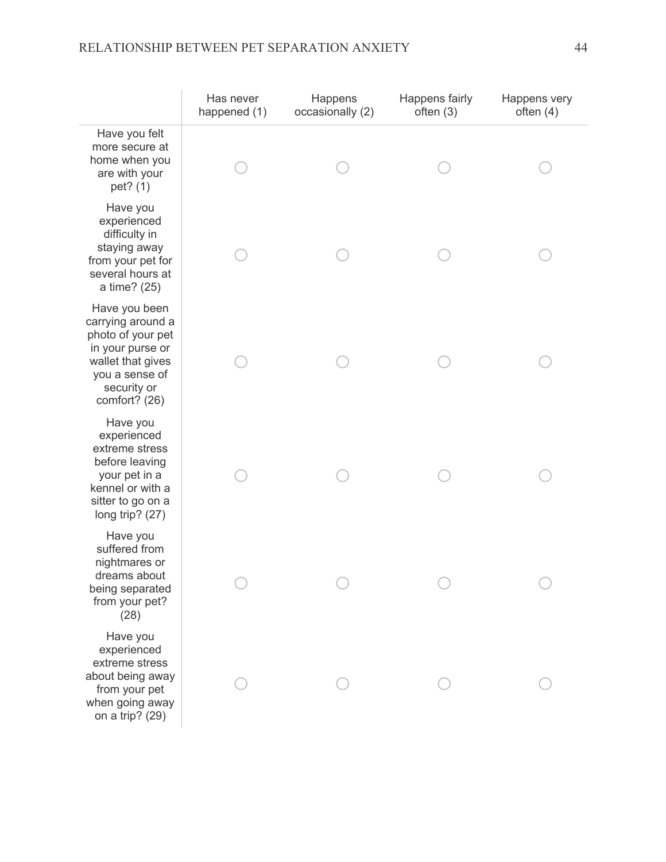# RELATIONSHIP BETWEEN PET SEPARATION ANXIETY 44

|                                                                                                                                                    | Has never<br>happened (1) | Happens<br>occasionally (2) | Happens fairly<br>often $(3)$ | Happens very<br>often $(4)$ |
|----------------------------------------------------------------------------------------------------------------------------------------------------|---------------------------|-----------------------------|-------------------------------|-----------------------------|
| Have you felt<br>more secure at<br>home when you<br>are with your<br>pet? (1)                                                                      |                           |                             |                               |                             |
| Have you<br>experienced<br>difficulty in<br>staying away<br>from your pet for<br>several hours at<br>a time? (25)                                  |                           |                             |                               |                             |
| Have you been<br>carrying around a<br>photo of your pet<br>in your purse or<br>wallet that gives<br>you a sense of<br>security or<br>comfort? (26) |                           |                             |                               |                             |
| Have you<br>experienced<br>extreme stress<br>before leaving<br>your pet in a<br>kennel or with a<br>sitter to go on a<br>long trip? (27)           |                           |                             |                               |                             |
| Have you<br>suffered from<br>nightmares or<br>dreams about<br>being separated<br>from your pet?<br>(28)                                            |                           |                             |                               |                             |
| Have you<br>experienced<br>extreme stress<br>about being away<br>from your pet<br>when going away<br>on a trip? (29)                               |                           |                             |                               |                             |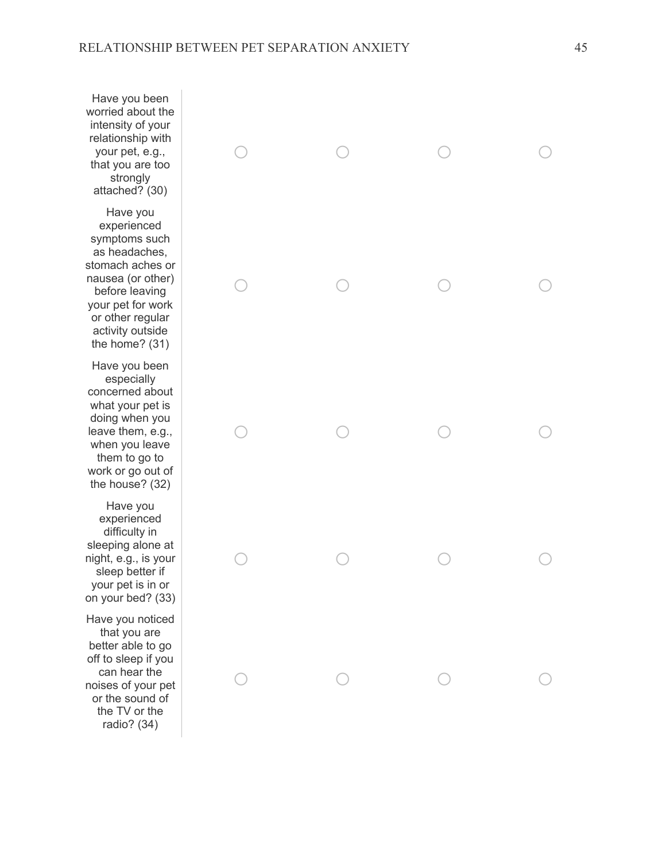Have you been worried about the intensity of your relationship with your pet, e.g., that you are too strongly attached? (30)

Have you experienced symptoms such as headaches, stomach aches or nausea (or other) before leaving your pet for work or other regular activity outside the home? (31)

Have you been especially concerned about what your pet is doing when you leave them, e.g., when you leave them to go to work or go out of the house? (32)

Have you experienced difficulty in sleeping alone at night, e.g., is your sleep better if your pet is in or on your bed? (33)

Have you noticed that you are better able to go off to sleep if you can hear the noises of your pet or the sound of the TV or the radio? (34)

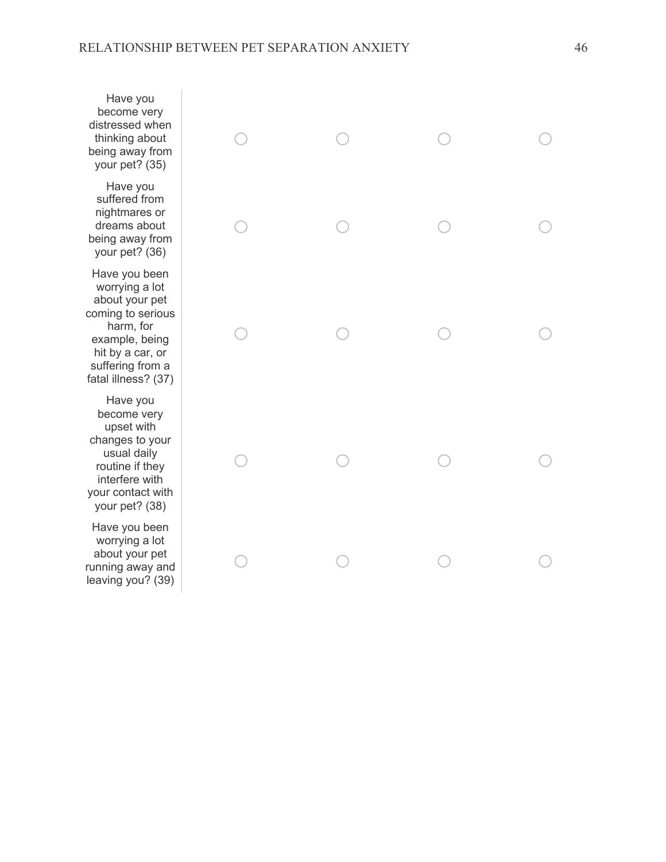Have you become very distressed when thinking about being away from your pet? (35)

Have you suffered from nightmares or dreams about being away from your pet? (36)

Have you been worrying a lot about your pet coming to serious harm, for example, being hit by a car, or suffering from a fatal illness? (37)

Have you become very upset with changes to your usual daily routine if they interfere with your contact with your pet? (38)

Have you been worrying a lot about your pet running away and leaving you? (39)

| $\circ$    | $\begin{array}{ccc} & & \\ \circ & & \\ & & \end{array}$ | $\begin{array}{ccc} & & \\ \circ & & \\ & & \end{array}$ | $\circ$                                         |
|------------|----------------------------------------------------------|----------------------------------------------------------|-------------------------------------------------|
| $\bigcirc$ | $\circ$                                                  | $\begin{array}{c}\n\circ \\ \circ\n\end{array}$          | $\begin{array}{c}\n\circ \\ \circ\n\end{array}$ |
| $\bigcirc$ | $\begin{array}{c}\n\circ \\ \circ\n\end{array}$          | $\begin{array}{c}\n\circ \\ \circ\n\end{array}$          | $\begin{array}{c}\n\circ \\ \circ\n\end{array}$ |
| $\bigcirc$ | $\begin{array}{c}\n\circ \\ \circ\n\end{array}$          | $\begin{array}{c}\n\circ \\ \circ\n\end{array}$          | $\circ$                                         |
| $\bigcirc$ | $\bigcirc$                                               | $\bigcirc$                                               | $\bigcirc$                                      |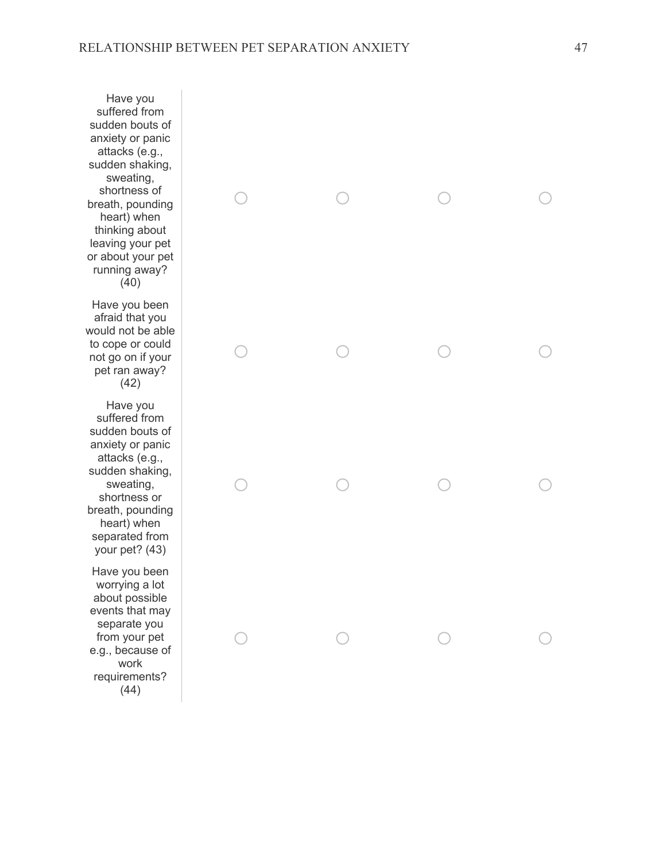Have you suffered from sudden bouts of anxiety or panic attacks (e.g., sudden shaking, sweating, shortness of breath, pounding heart) when thinking about leaving your pet or about your pet running away? (40)

Have you been afraid that you would not be able to cope or could not go on if your pet ran away? (42)

Have you suffered from sudden bouts of anxiety or panic attacks (e.g., sudden shaking, sweating, shortness or breath, pounding heart) when separated from your pet? (43)

Have you been worrying a lot about possible events that may separate you from your pet e.g., because of work requirements? (44)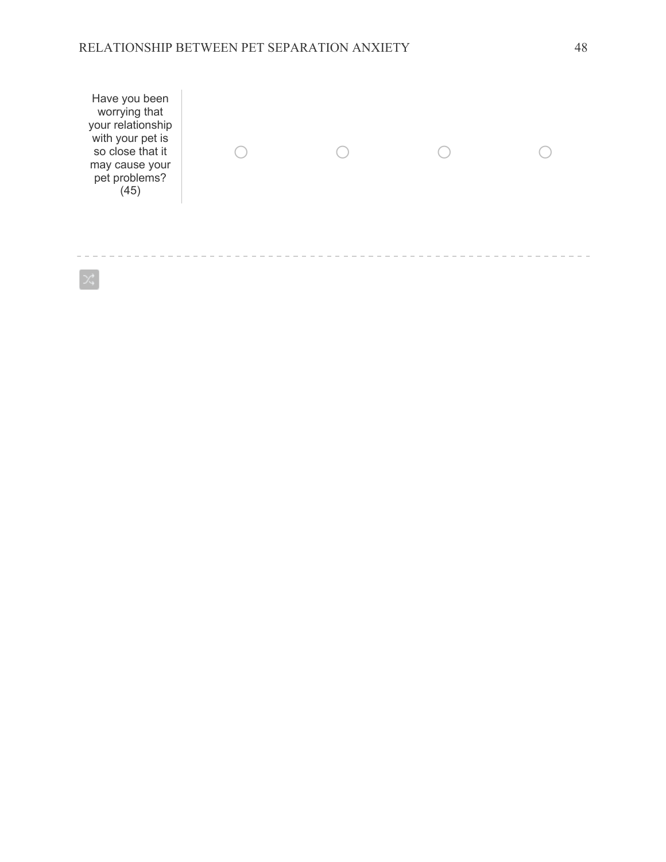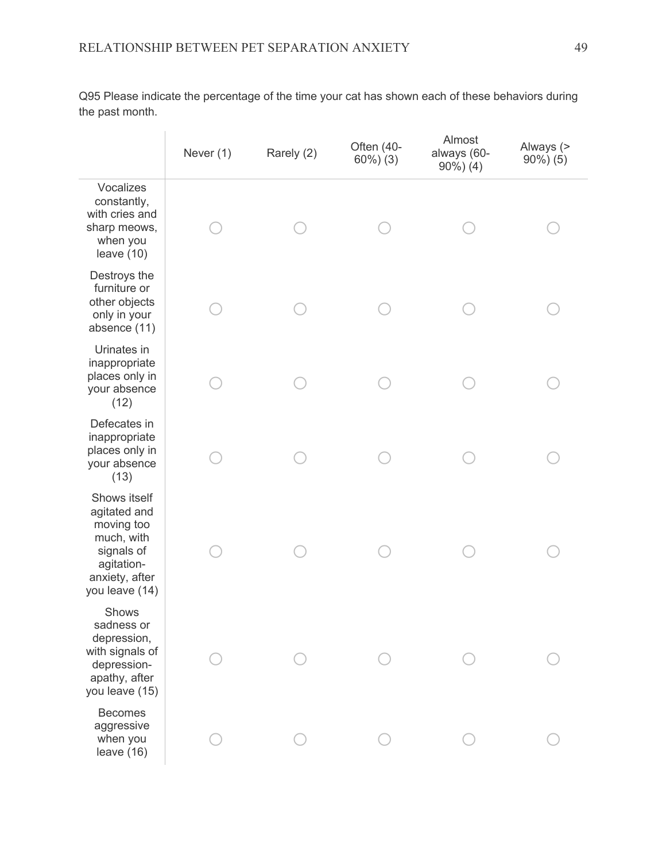Q95 Please indicate the percentage of the time your cat has shown each of these behaviors during the past month.

|                                                                                                                          | Never (1) | Rarely (2) | Often (40-<br>$60\%$ ) $(3)$ | Almost<br>always (60-<br>$90\%$ ) (4) | Always (><br>$90\%$ ) (5) |
|--------------------------------------------------------------------------------------------------------------------------|-----------|------------|------------------------------|---------------------------------------|---------------------------|
| Vocalizes<br>constantly,<br>with cries and<br>sharp meows,<br>when you<br>leave $(10)$                                   |           |            |                              |                                       |                           |
| Destroys the<br>furniture or<br>other objects<br>only in your<br>absence (11)                                            |           |            |                              |                                       |                           |
| Urinates in<br>inappropriate<br>places only in<br>your absence<br>(12)                                                   |           |            |                              |                                       |                           |
| Defecates in<br>inappropriate<br>places only in<br>your absence<br>(13)                                                  |           |            |                              |                                       |                           |
| Shows itself<br>agitated and<br>moving too<br>much, with<br>signals of<br>agitation-<br>anxiety, after<br>you leave (14) |           |            |                              |                                       |                           |
| Shows<br>sadness or<br>depression,<br>with signals of<br>depression-<br>apathy, after<br>you leave (15)                  |           |            |                              |                                       |                           |
| <b>Becomes</b><br>aggressive<br>when you<br>leave (16)                                                                   |           |            |                              |                                       |                           |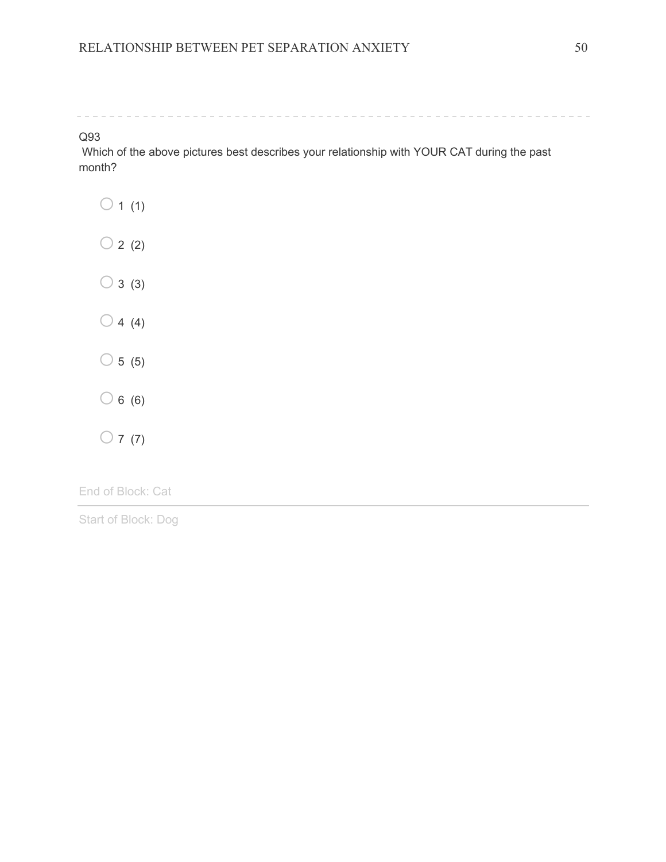#### Q93

Which of the above pictures best describes your relationship with YOUR CAT during the past month?

|            | $\overline{1}$ | (1)           |
|------------|----------------|---------------|
| $\bigcirc$ | $\overline{2}$ | (2)           |
| $\bigcirc$ |                | 3(3)          |
| $\bigcirc$ |                | 4(4)          |
|            |                | $\circ$ 5 (5) |
| $\bigcirc$ | 6              | (6)           |
|            | $\overline{7}$ | (7)           |

End of Block: Cat

Start of Block: Dog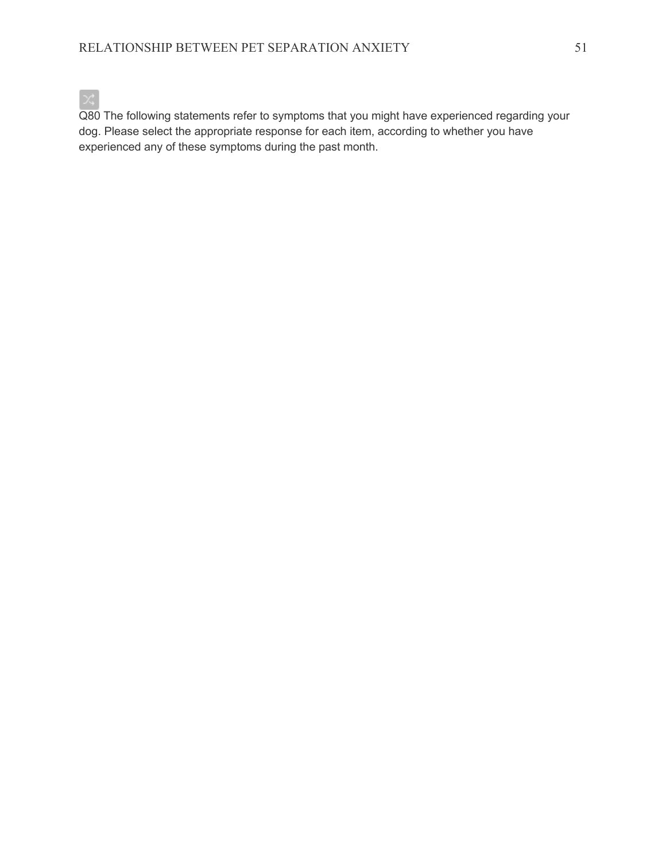

Q80 The following statements refer to symptoms that you might have experienced regarding your dog. Please select the appropriate response for each item, according to whether you have experienced any of these symptoms during the past month.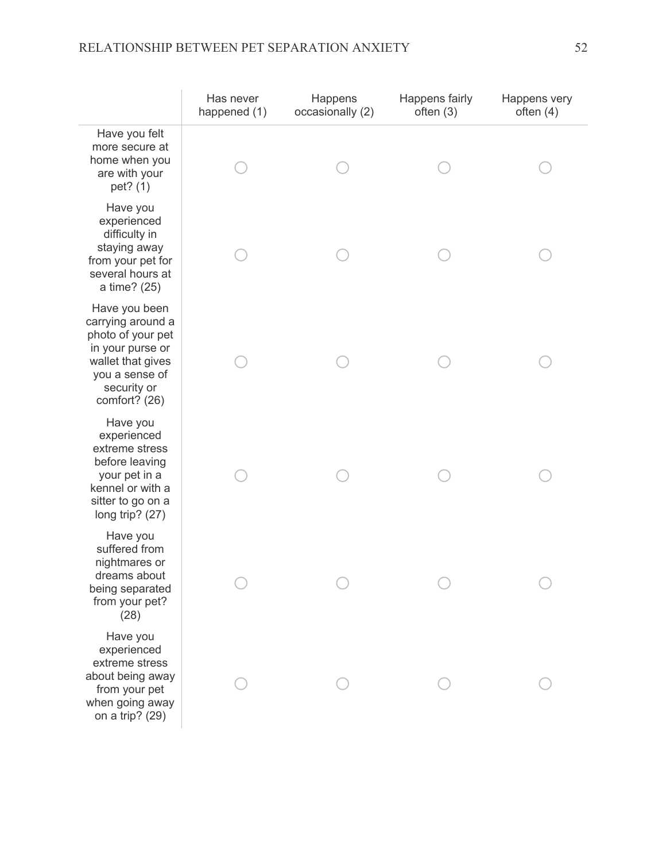# RELATIONSHIP BETWEEN PET SEPARATION ANXIETY 52

|                                                                                                                                                    | Has never<br>happened (1) | Happens<br>occasionally (2) | Happens fairly<br>often $(3)$ | Happens very<br>often $(4)$ |
|----------------------------------------------------------------------------------------------------------------------------------------------------|---------------------------|-----------------------------|-------------------------------|-----------------------------|
| Have you felt<br>more secure at<br>home when you<br>are with your<br>pet? (1)                                                                      |                           |                             |                               |                             |
| Have you<br>experienced<br>difficulty in<br>staying away<br>from your pet for<br>several hours at<br>a time? (25)                                  |                           |                             |                               |                             |
| Have you been<br>carrying around a<br>photo of your pet<br>in your purse or<br>wallet that gives<br>you a sense of<br>security or<br>comfort? (26) |                           |                             |                               |                             |
| Have you<br>experienced<br>extreme stress<br>before leaving<br>your pet in a<br>kennel or with a<br>sitter to go on a<br>long trip? (27)           |                           |                             |                               |                             |
| Have you<br>suffered from<br>nightmares or<br>dreams about<br>being separated<br>from your pet?<br>(28)                                            |                           |                             |                               |                             |
| Have you<br>experienced<br>extreme stress<br>about being away<br>from your pet<br>when going away<br>on a trip? (29)                               |                           |                             |                               |                             |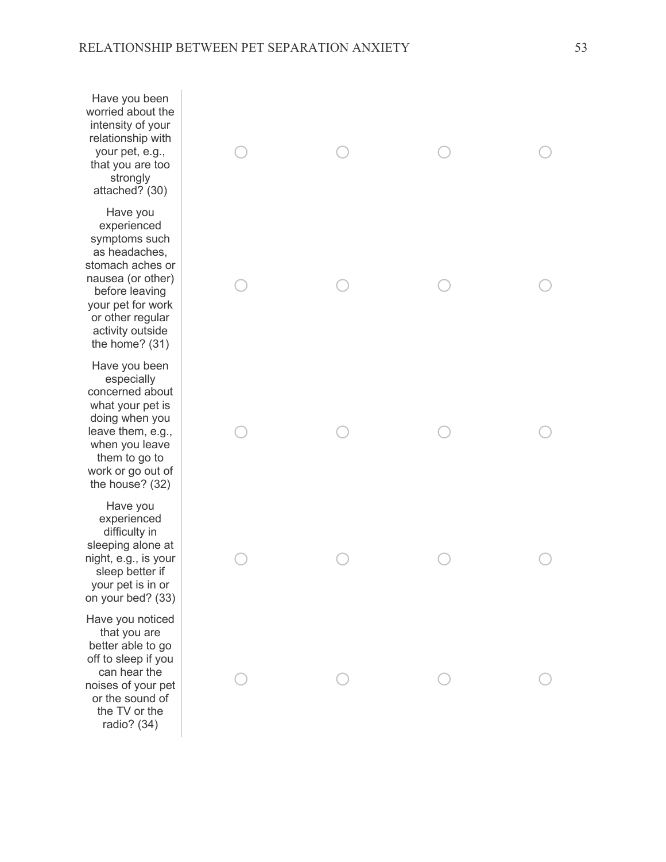Have you been worried about the intensity of your relationship with your pet, e.g., that you are too strongly attached? (30)

Have you experienced symptoms such as headaches, stomach aches or nausea (or other) before leaving your pet for work or other regular activity outside the home? (31)

Have you been especially concerned about what your pet is doing when you leave them, e.g., when you leave them to go to work or go out of the house? (32)

Have you experienced difficulty in sleeping alone at night, e.g., is your sleep better if your pet is in or on your bed? (33)

Have you noticed that you are better able to go off to sleep if you can hear the noises of your pet or the sound of the TV or the radio? (34)

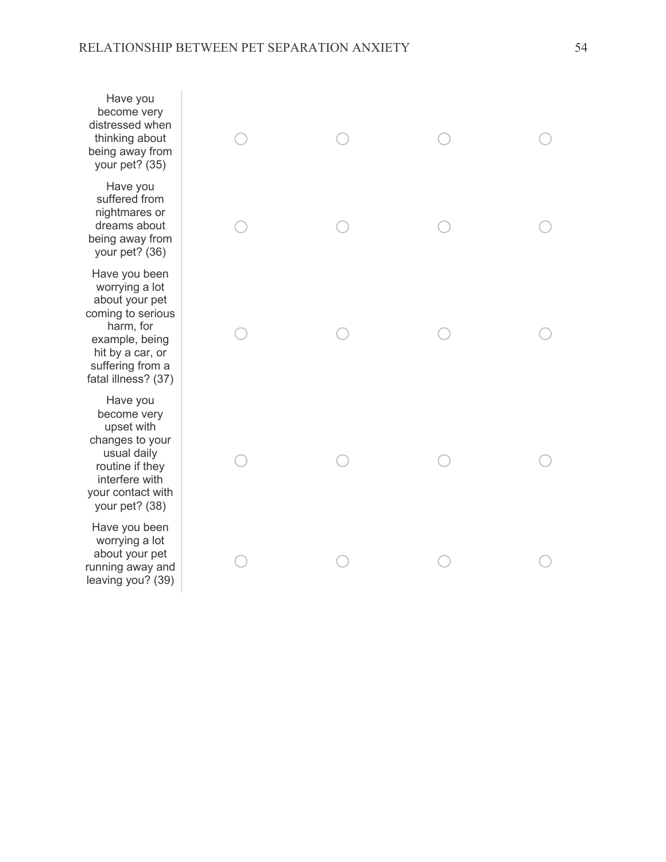Have you become very distressed when thinking about being away from your pet? (35)

Have you suffered from nightmares or dreams about being away from your pet? (36)

Have you been worrying a lot about your pet coming to serious harm, for example, being hit by a car, or suffering from a fatal illness? (37)

Have you become very upset with changes to your usual daily routine if they interfere with your contact with your pet? (38)

Have you been worrying a lot about your pet running away and leaving you? (39)

| $\begin{array}{c}\n\circ \\ \circ \\ \circ\n\end{array}$ |                                                 | $\begin{array}{ccc} & & \\ \circ & & \\ & & \end{array}$ | $\circ$                                         |
|----------------------------------------------------------|-------------------------------------------------|----------------------------------------------------------|-------------------------------------------------|
| $\bigcirc$                                               | $\circ$                                         | $\begin{array}{c}\n\circ \\ \circ\n\end{array}$          | $\begin{array}{c}\n\circ \\ \circ\n\end{array}$ |
| $\bigcirc$                                               | $\begin{array}{c}\n\circ \\ \circ\n\end{array}$ | $\begin{array}{c}\n\circ \\ \circ\n\end{array}$          | $\circ$                                         |
| $\bigcirc$                                               | $\begin{array}{c}\n\circ \\ \circ\n\end{array}$ | $\begin{array}{c}\n\circ \\ \circ\n\end{array}$          | $\circ$                                         |
| $\bigcirc$                                               | $\bigcirc$                                      | $\bigcirc$                                               | $\bigcirc$                                      |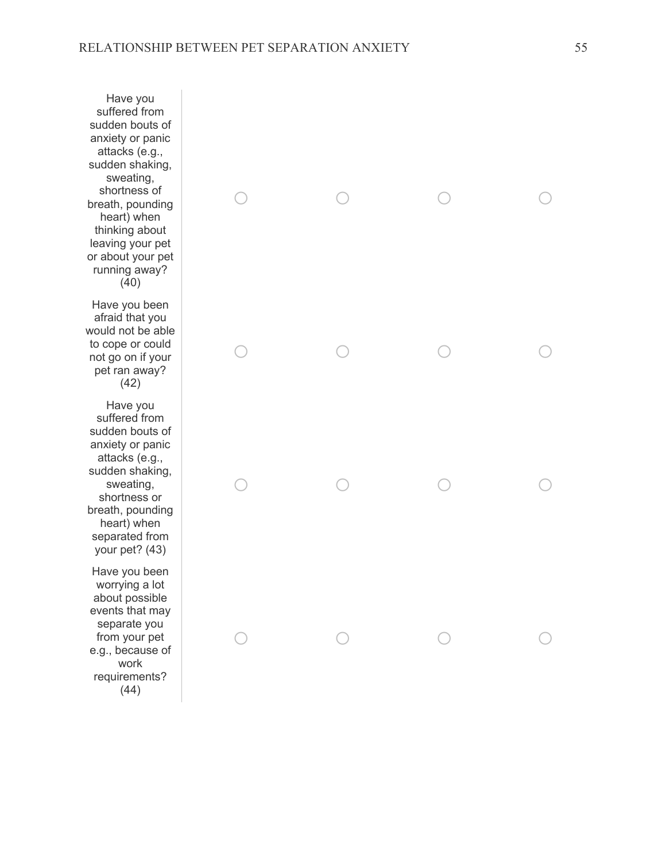Have you suffered from sudden bouts of anxiety or panic attacks (e.g., sudden shaking, sweating, shortness of breath, pounding heart) when thinking about leaving your pet or about your pet running away? (40)

Have you been afraid that you would not be able to cope or could not go on if your pet ran away? (42)

Have you suffered from sudden bouts of anxiety or panic attacks (e.g., sudden shaking, sweating, shortness or breath, pounding heart) when separated from your pet? (43)

Have you been worrying a lot about possible events that may separate you from your pet e.g., because of work requirements? (44)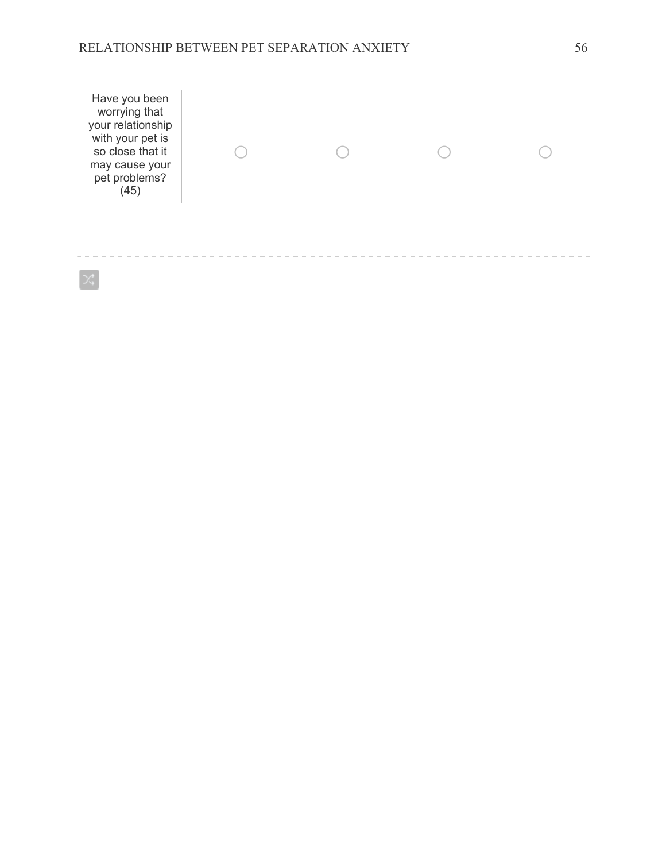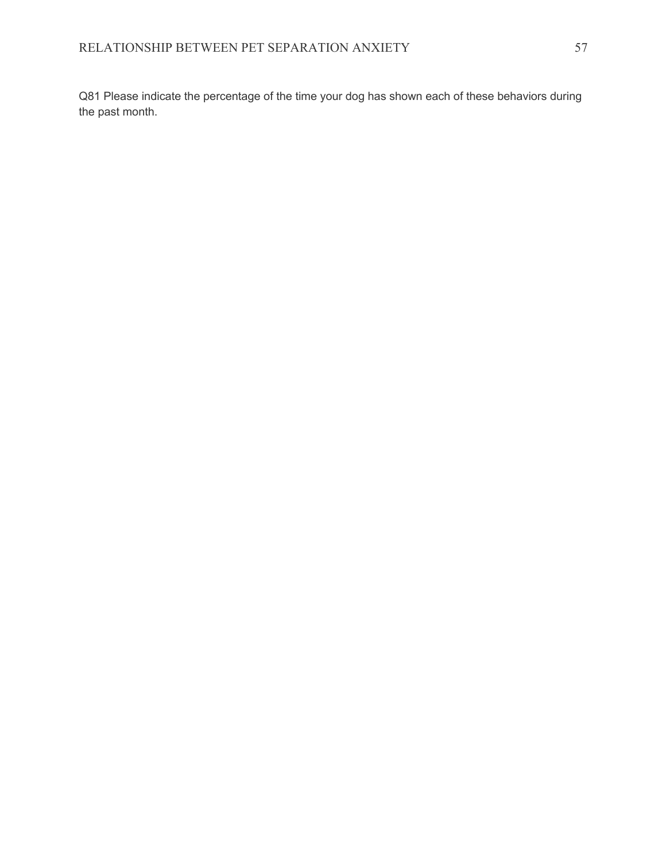Q81 Please indicate the percentage of the time your dog has shown each of these behaviors during the past month.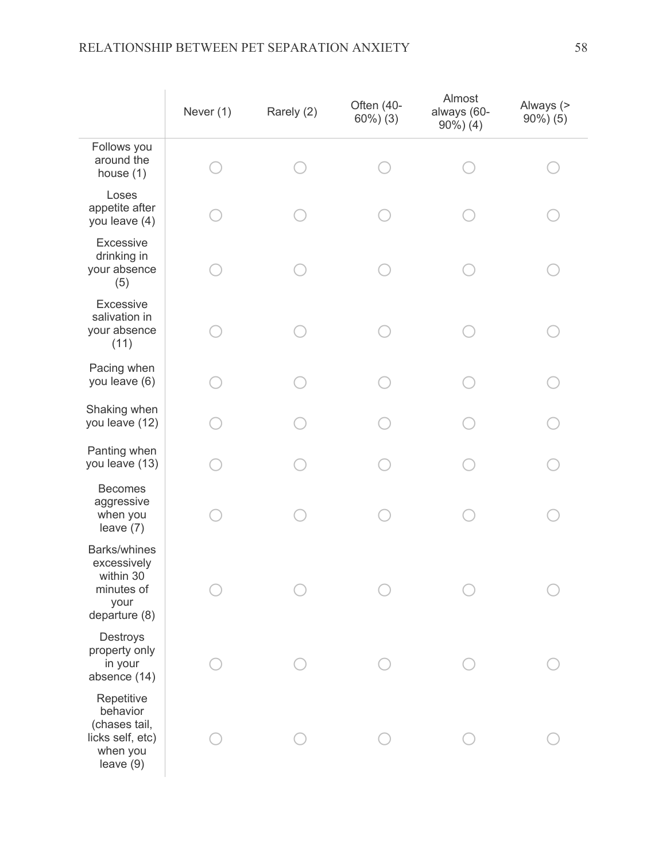|                                                                                     | Never (1) | Rarely (2) | Often (40-<br>$60\%$ ) $(3)$ | Almost<br>always (60-<br>$90\%$ ) (4) | Always (><br>$90\%$ ) (5) |
|-------------------------------------------------------------------------------------|-----------|------------|------------------------------|---------------------------------------|---------------------------|
| Follows you<br>around the<br>house $(1)$                                            |           |            |                              |                                       |                           |
| Loses<br>appetite after<br>you leave (4)                                            |           |            |                              |                                       |                           |
| Excessive<br>drinking in<br>your absence<br>(5)                                     |           |            |                              |                                       |                           |
| Excessive<br>salivation in<br>your absence<br>(11)                                  |           |            |                              |                                       |                           |
| Pacing when<br>you leave (6)                                                        |           |            |                              |                                       |                           |
| Shaking when<br>you leave (12)                                                      |           |            |                              |                                       |                           |
| Panting when<br>you leave (13)                                                      |           |            |                              |                                       |                           |
| <b>Becomes</b><br>aggressive<br>when you<br>leave $(7)$                             |           |            |                              |                                       |                           |
| Barks/whines<br>excessively<br>within 30<br>minutes of<br>your<br>departure (8)     |           |            |                              |                                       |                           |
| Destroys<br>property only<br>in your<br>absence (14)                                |           |            |                              |                                       |                           |
| Repetitive<br>behavior<br>(chases tail,<br>licks self, etc)<br>when you<br>leave(9) |           |            |                              |                                       |                           |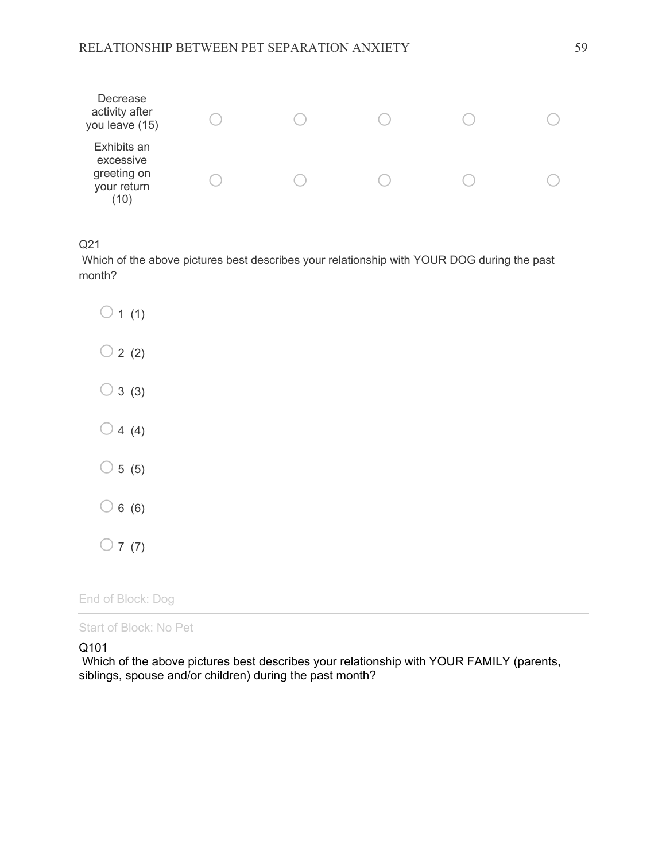

Q21

Which of the above pictures best describes your relationship with YOUR DOG during the past month?

 $\bigcirc$  1 (1)  $\bigcirc$  2 (2)  $\bigcirc$  3 (3)  $\bigcirc$  4 (4)  $\bigcirc$  5 (5)  $\bigcirc$  6 (6)  $\bigcirc$  7 (7)

End of Block: Dog

Start of Block: No Pet

Q101

Which of the above pictures best describes your relationship with YOUR FAMILY (parents, siblings, spouse and/or children) during the past month?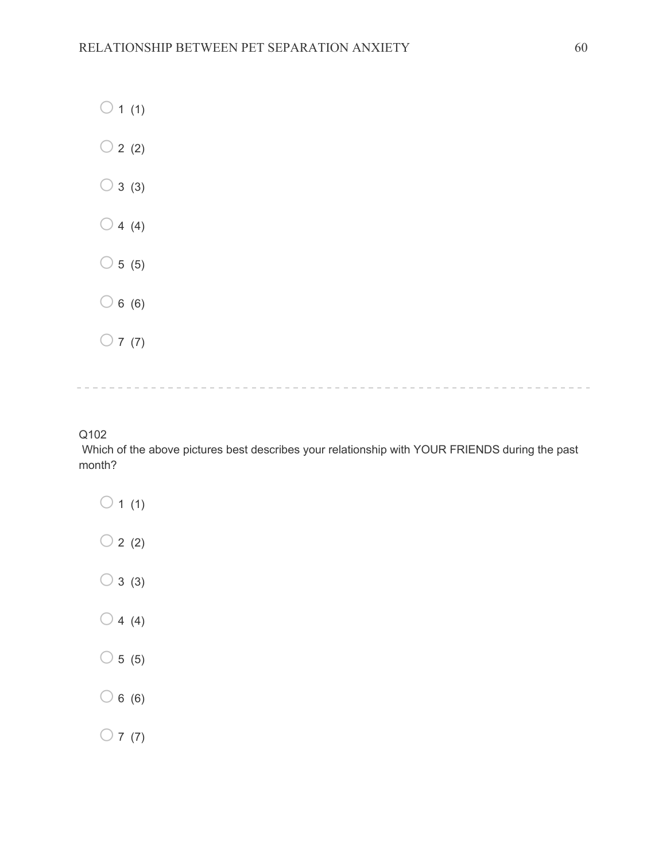- $\bigcirc$  1 (1)
- $\bigcirc$  2 (2)
- $\bigcirc$  3 (3)
- $\bigcirc$  4 (4)
- $\circ$  5 (5)
- $\bigcirc$  6 (6)
- $\bigcirc$  7 (7)

## 

### Q102

Which of the above pictures best describes your relationship with YOUR FRIENDS during the past month?

- $\bigcirc$  1 (1)  $\bigcirc$  2 (2)  $\bigcirc$  3 (3)  $\bigcirc$  4 (4)  $\bigcirc$  5 (5)  $\bigcirc$  6 (6)
- $\bigcirc$  7 (7)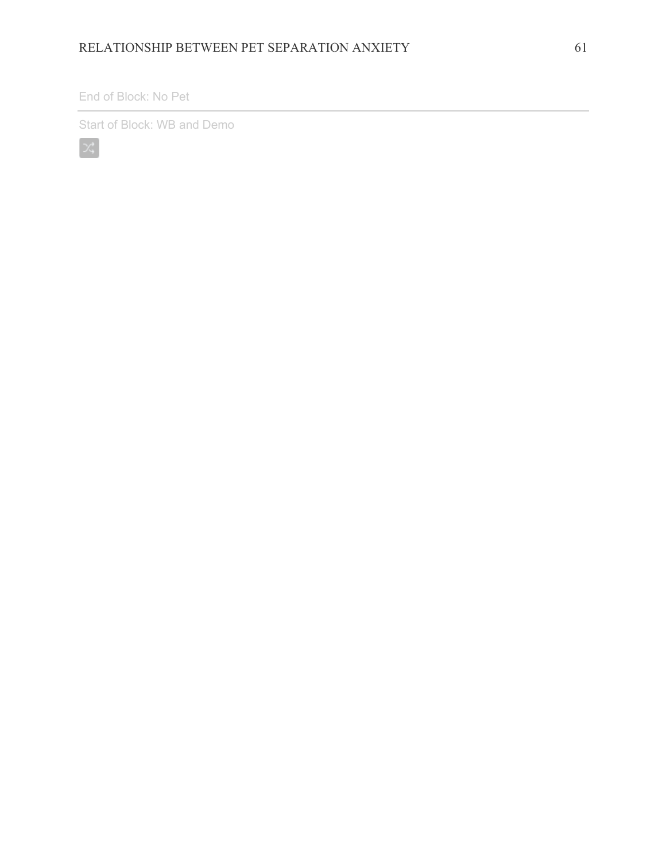### End of Block: No Pet

Start of Block: WB and Demo

 $\mathbb{R}^2$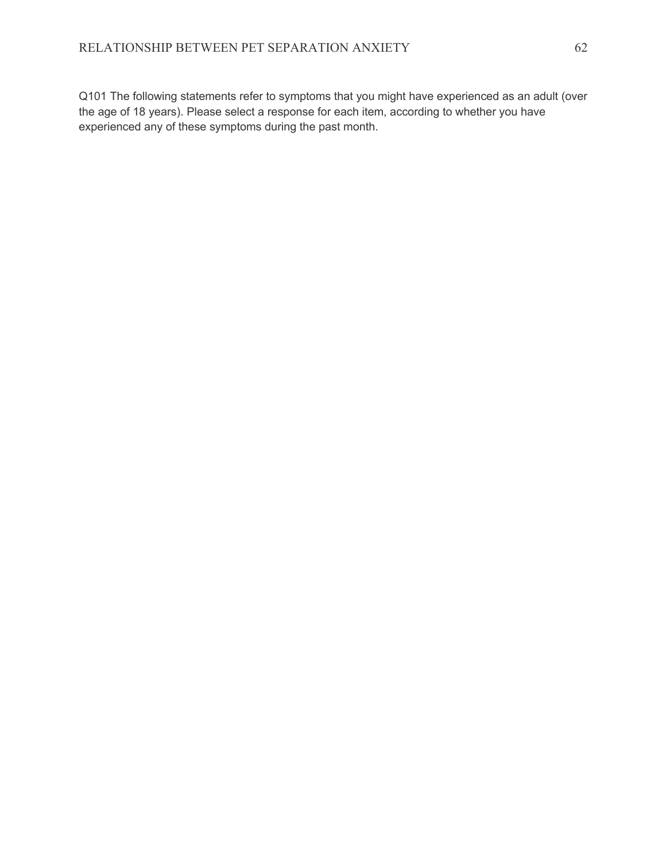Q101 The following statements refer to symptoms that you might have experienced as an adult (over the age of 18 years). Please select a response for each item, according to whether you have experienced any of these symptoms during the past month.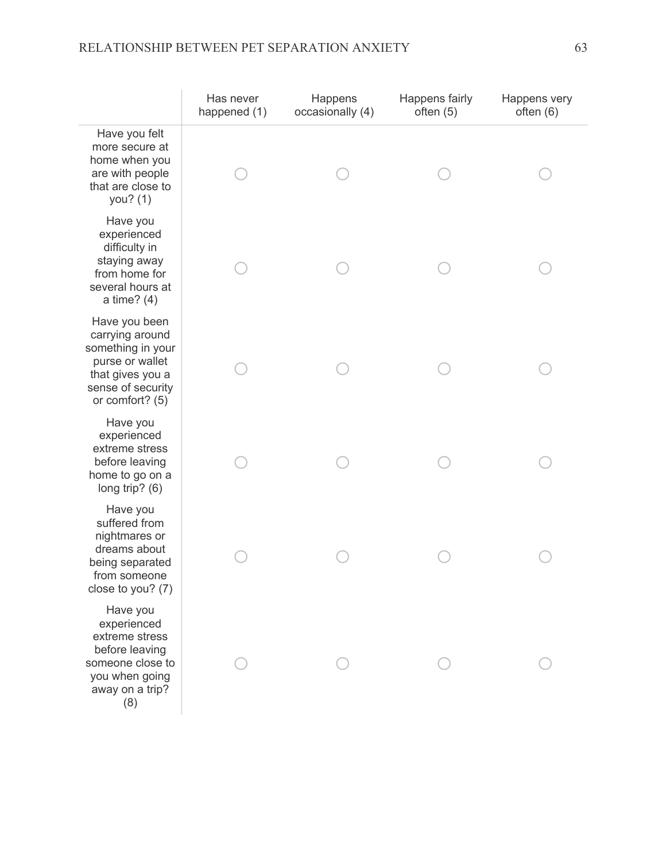# RELATIONSHIP BETWEEN PET SEPARATION ANXIETY 63

|                                                                                                                                      | Has never<br>happened (1) | Happens<br>occasionally (4) | Happens fairly<br>often $(5)$ | Happens very<br>often $(6)$ |
|--------------------------------------------------------------------------------------------------------------------------------------|---------------------------|-----------------------------|-------------------------------|-----------------------------|
| Have you felt<br>more secure at<br>home when you<br>are with people<br>that are close to<br>you? (1)                                 |                           |                             |                               |                             |
| Have you<br>experienced<br>difficulty in<br>staying away<br>from home for<br>several hours at<br>a time? $(4)$                       |                           |                             |                               |                             |
| Have you been<br>carrying around<br>something in your<br>purse or wallet<br>that gives you a<br>sense of security<br>or comfort? (5) |                           |                             |                               |                             |
| Have you<br>experienced<br>extreme stress<br>before leaving<br>home to go on a<br>long trip? (6)                                     |                           |                             |                               |                             |
| Have you<br>suffered from<br>nightmares or<br>dreams about<br>being separated<br>from someone<br>close to you? (7)                   |                           |                             |                               |                             |
| Have you<br>experienced<br>extreme stress<br>before leaving<br>someone close to<br>you when going<br>away on a trip?<br>(8)          |                           |                             |                               |                             |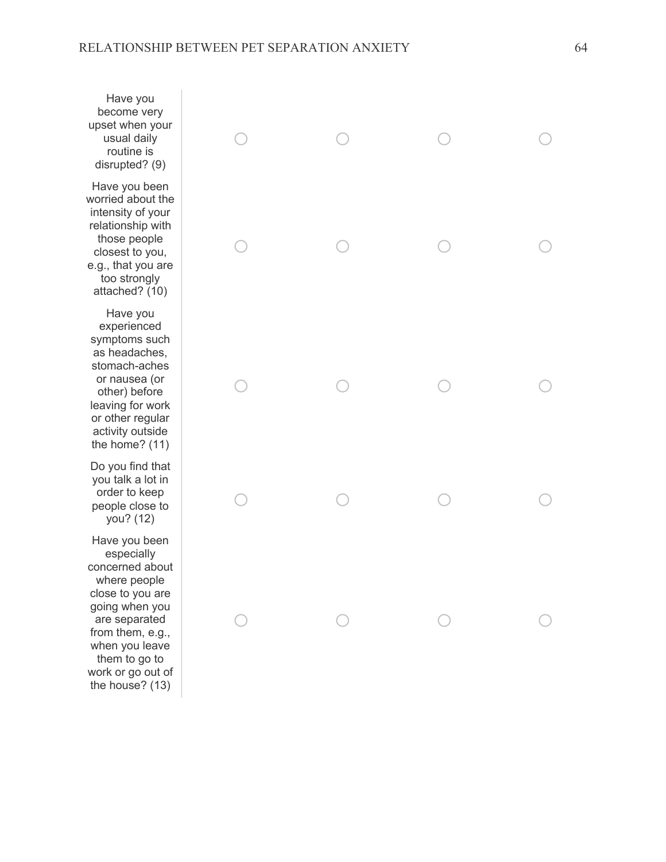Have you become very upset when your usual daily routine is disrupted? (9)

Have you been worried about the intensity of your relationship with those people closest to you, e.g., that you are too strongly attached? (10)

Have you experienced symptoms such as headaches, stomach-aches or nausea (or other) before leaving for work or other regular activity outside the home? (11)

Do you find that you talk a lot in order to keep people close to you? (12)

Have you been especially concerned about where people close to you are going when you are separated from them, e.g., when you leave them to go to work or go out of the house? (13)

|            |                                              |                                              | $\begin{array}{c}\n\circ \\ \circ\n\end{array}$ |
|------------|----------------------------------------------|----------------------------------------------|-------------------------------------------------|
|            | $\begin{matrix} 0 & 0 \\ 0 & 0 \end{matrix}$ |                                              | $\begin{array}{c}\n\circ \\ \circ\n\end{array}$ |
|            |                                              |                                              | $\begin{array}{c}\n\circ \\ \circ\n\end{array}$ |
| $\bigcirc$ | $\circ$                                      | $\circ$                                      | $\begin{array}{c}\n\circ \\ \circ\n\end{array}$ |
| $\circ$    |                                              | $\begin{matrix} 0 & 0 \\ 0 & 0 \end{matrix}$ | $\begin{array}{c}\n\circ \\ \circ\n\end{array}$ |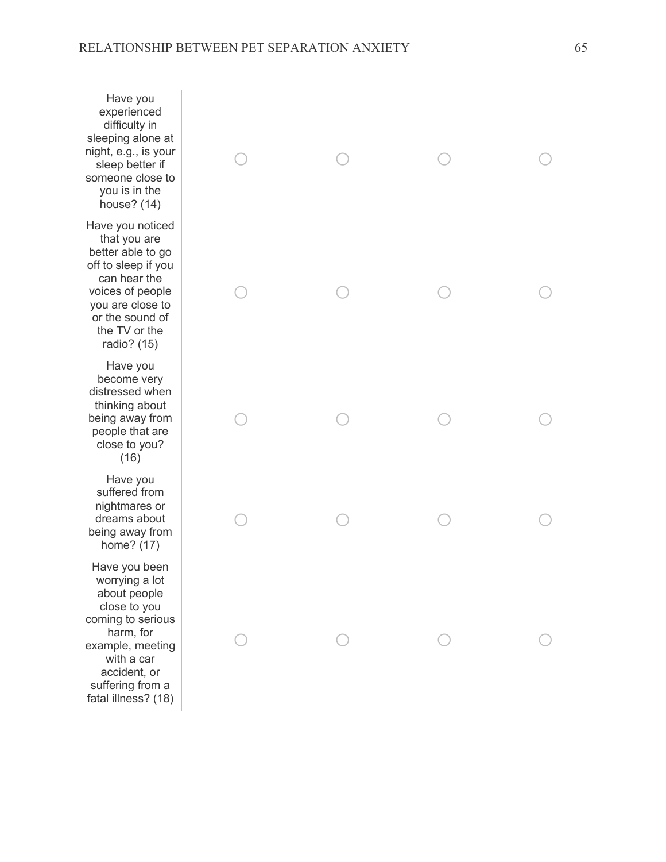Have you experienced difficulty in sleeping alone at night, e.g., is your sleep better if someone close to you is in the house? (14) Have you noticed that you are better able to go off to sleep if you can hear the voices of people you are close to or the sound of the TV or the

Have you become very distressed when thinking about being away from people that are close to you? (16)

radio? (15)

Have you suffered from nightmares or dreams about being away from home? (17)

Have you been worrying a lot about people close to you coming to serious harm, for example, meeting with a car accident, or suffering from a fatal illness? (18)

|  | $\begin{array}{c}\n\circ \\ \circ\n\end{array}$ |
|--|-------------------------------------------------|
|  | $\begin{array}{c}\n\circ \\ \circ\n\end{array}$ |
|  |                                                 |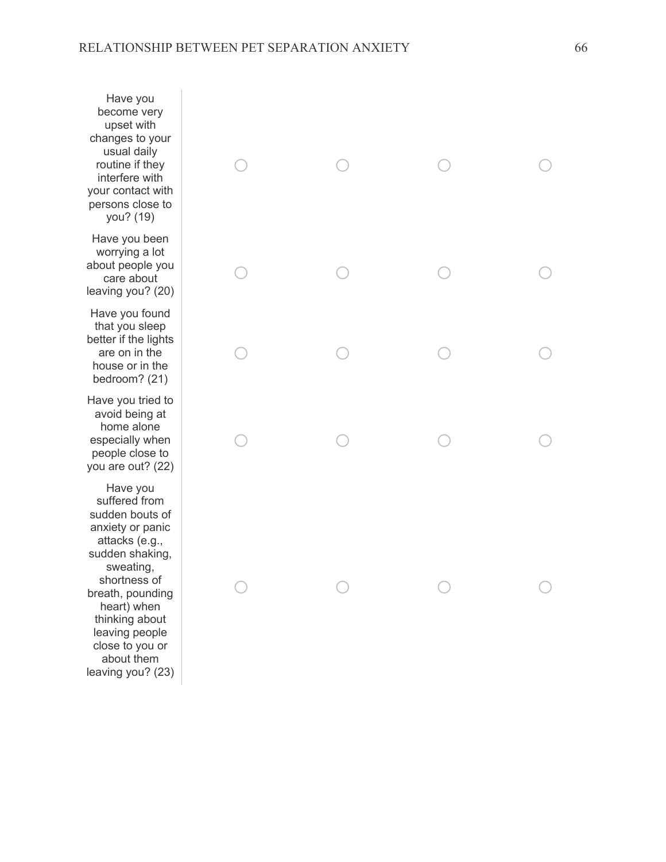Have you become very upset with changes to your usual daily routine if they interfere with your contact with persons close to you? (19)

Have you been worrying a lot about people you care about leaving you? (20)

Have you found that you sleep better if the lights are on in the house or in the bedroom? (21)

Have you tried to avoid being at home alone especially when people close to you are out? (22)

Have you suffered from sudden bouts of anxiety or panic attacks (e.g., sudden shaking, sweating, shortness of breath, pounding heart) when thinking about leaving people close to you or about them leaving you? (23)

|                                                 |                                                 | $\begin{matrix} \circ & \circ & \circ & \circ \end{matrix}$ | $\bigcirc$                                      |
|-------------------------------------------------|-------------------------------------------------|-------------------------------------------------------------|-------------------------------------------------|
| $\begin{array}{c}\n\circ \\ \circ\n\end{array}$ | $\circ$                                         | $\overline{O}$                                              | $\bigcirc$                                      |
| $\begin{array}{c}\n\circ \\ \circ\n\end{array}$ | $\bigcirc$                                      | $\bigcirc$                                                  | $\bigcirc$                                      |
| $\begin{array}{c}\n\circ \\ \circ\n\end{array}$ | $\begin{array}{c}\n\circ \\ \circ\n\end{array}$ | $\circ$                                                     | $\begin{array}{c}\n\circ \\ \circ\n\end{array}$ |
|                                                 |                                                 |                                                             |                                                 |
| $\begin{array}{c}\n\circ \\ \circ\n\end{array}$ |                                                 |                                                             | $\begin{array}{c}\n\circ \\ \circ\n\end{array}$ |
|                                                 |                                                 |                                                             |                                                 |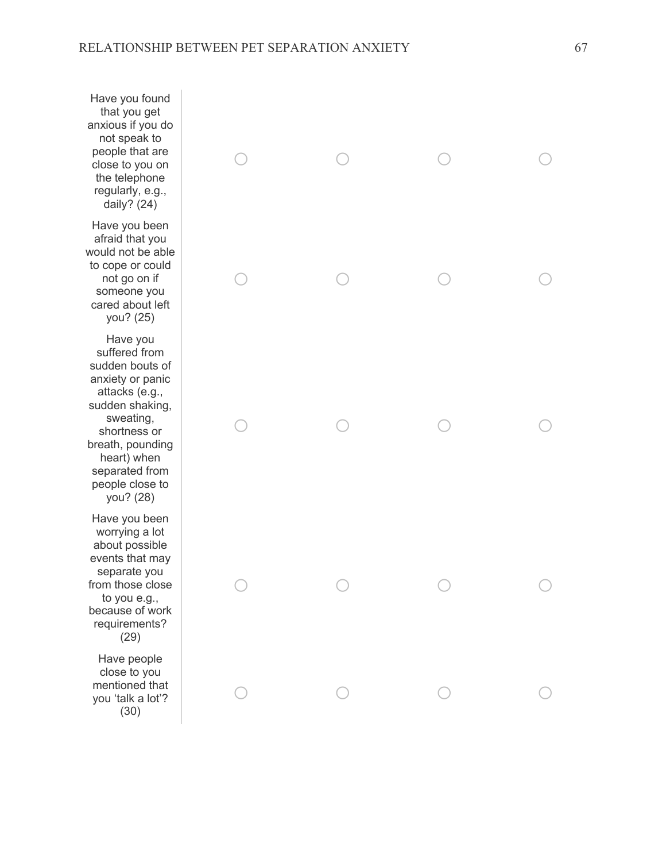Have you found that you get anxious if you do not speak to people that are close to you on the telephone regularly, e.g., daily? (24)

Have you been afraid that you would not be able to cope or could not go on if someone you cared about left you? (25)

Have you suffered from sudden bouts of anxiety or panic attacks (e.g., sudden shaking, sweating, shortness or breath, pounding heart) when separated from people close to you? (28)

Have you been worrying a lot about possible events that may separate you from those close to you e.g., because of work requirements? (29)

Have people close to you mentioned that you 'talk a lot'? (30)

| $\begin{matrix} 0 & 0 & 0 \end{matrix}$ |   | $\circ$ |
|-----------------------------------------|---|---------|
| ◯                                       | ○ |         |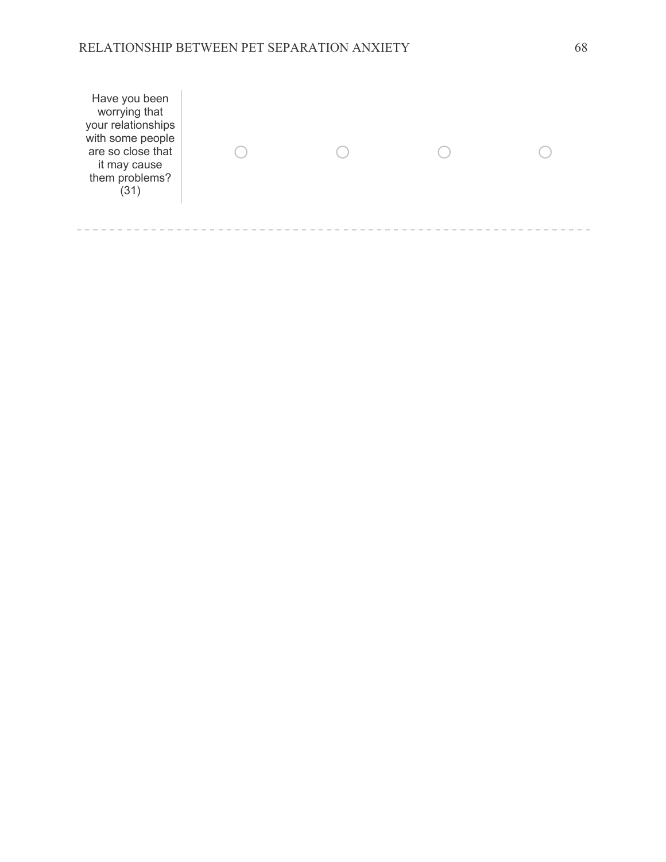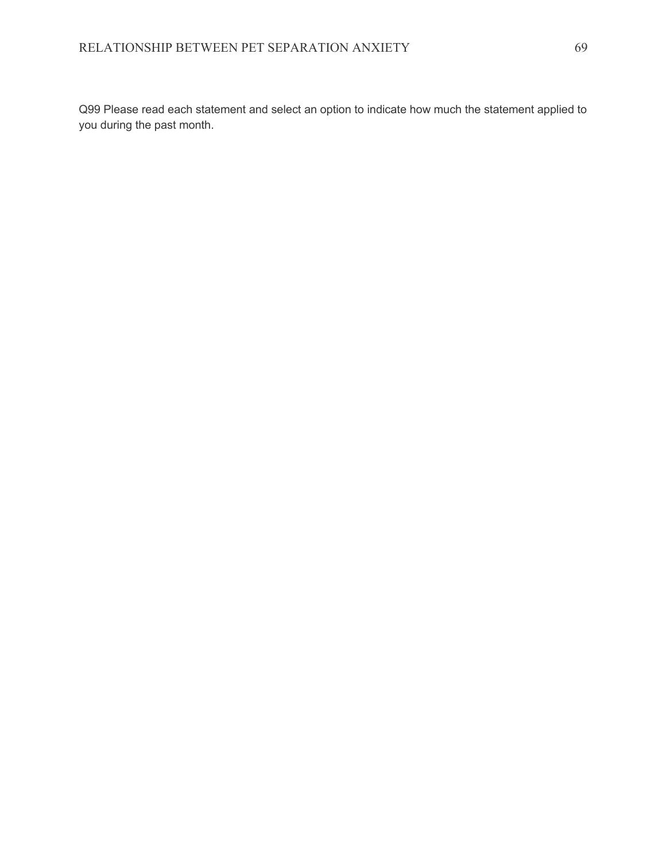Q99 Please read each statement and select an option to indicate how much the statement applied to you during the past month.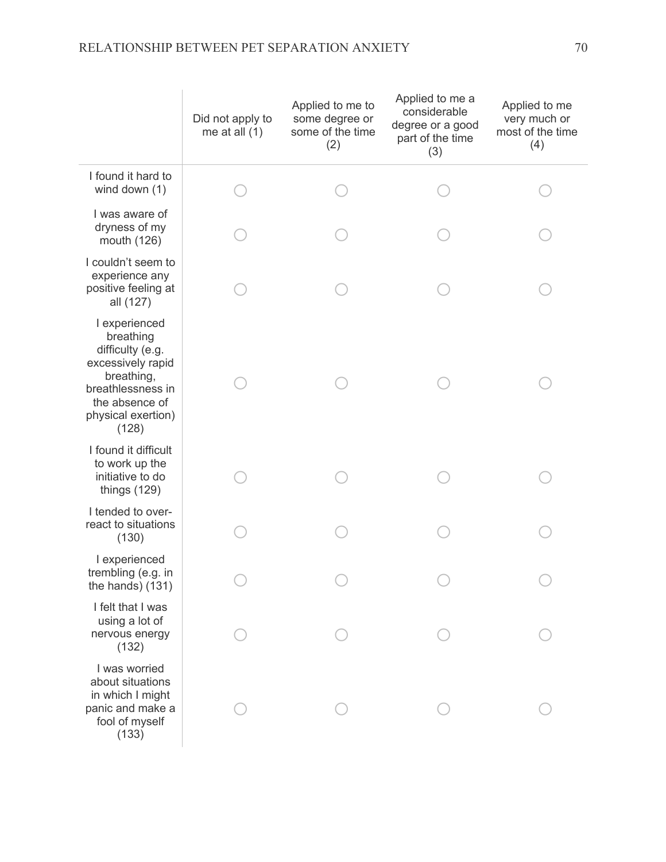|                                                                                                                                                         | Did not apply to<br>me at all $(1)$ | Applied to me to<br>some degree or<br>some of the time<br>(2) | Applied to me a<br>considerable<br>degree or a good<br>part of the time<br>(3) | Applied to me<br>very much or<br>most of the time<br>(4) |
|---------------------------------------------------------------------------------------------------------------------------------------------------------|-------------------------------------|---------------------------------------------------------------|--------------------------------------------------------------------------------|----------------------------------------------------------|
| I found it hard to<br>wind down (1)                                                                                                                     |                                     |                                                               |                                                                                |                                                          |
| I was aware of<br>dryness of my<br>mouth (126)                                                                                                          |                                     |                                                               |                                                                                |                                                          |
| I couldn't seem to<br>experience any<br>positive feeling at<br>all (127)                                                                                |                                     |                                                               |                                                                                |                                                          |
| I experienced<br>breathing<br>difficulty (e.g.<br>excessively rapid<br>breathing,<br>breathlessness in<br>the absence of<br>physical exertion)<br>(128) |                                     |                                                               |                                                                                |                                                          |
| I found it difficult<br>to work up the<br>initiative to do<br>things (129)                                                                              |                                     |                                                               |                                                                                |                                                          |
| I tended to over-<br>react to situations<br>(130)                                                                                                       |                                     |                                                               |                                                                                |                                                          |
| I experienced<br>trembling (e.g. in<br>the hands) $(131)$                                                                                               |                                     |                                                               |                                                                                |                                                          |
| I felt that I was<br>using a lot of<br>nervous energy<br>(132)                                                                                          |                                     |                                                               |                                                                                |                                                          |
| I was worried<br>about situations<br>in which I might<br>panic and make a<br>fool of myself<br>(133)                                                    |                                     |                                                               |                                                                                |                                                          |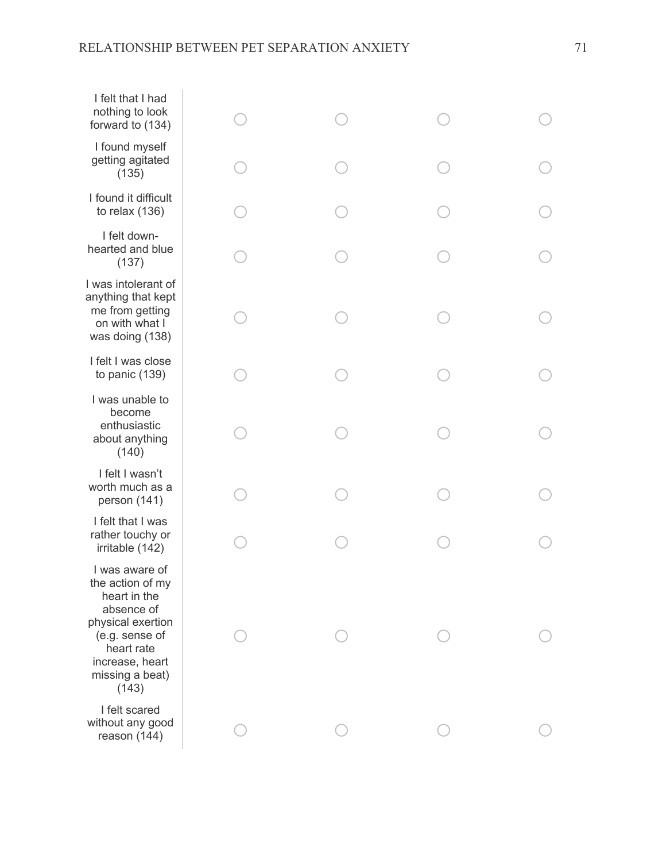| I felt that I had<br>nothing to look<br>forward to (134)                                                                                                             |  |  |
|----------------------------------------------------------------------------------------------------------------------------------------------------------------------|--|--|
| I found myself<br>getting agitated<br>(135)                                                                                                                          |  |  |
| I found it difficult<br>to relax $(136)$                                                                                                                             |  |  |
| I felt down-<br>hearted and blue<br>(137)                                                                                                                            |  |  |
| I was intolerant of<br>anything that kept<br>me from getting<br>on with what I<br>was doing (138)                                                                    |  |  |
| I felt I was close<br>to panic (139)                                                                                                                                 |  |  |
| I was unable to<br>become<br>enthusiastic<br>about anything<br>(140)                                                                                                 |  |  |
| I felt I wasn't<br>worth much as a<br>person (141)                                                                                                                   |  |  |
| I felt that I was<br>rather touchy or<br>irritable (142)                                                                                                             |  |  |
| I was aware of<br>the action of my<br>heart in the<br>absence of<br>physical exertion<br>(e.g. sense of<br>heart rate<br>increase, heart<br>missing a beat)<br>(143) |  |  |
| I felt scared<br>without any good<br>reason (144)                                                                                                                    |  |  |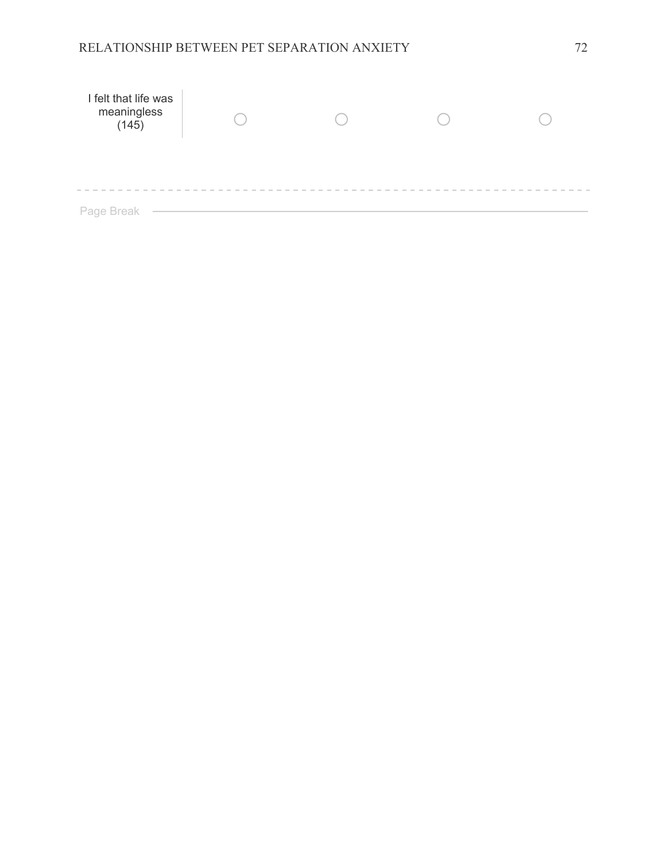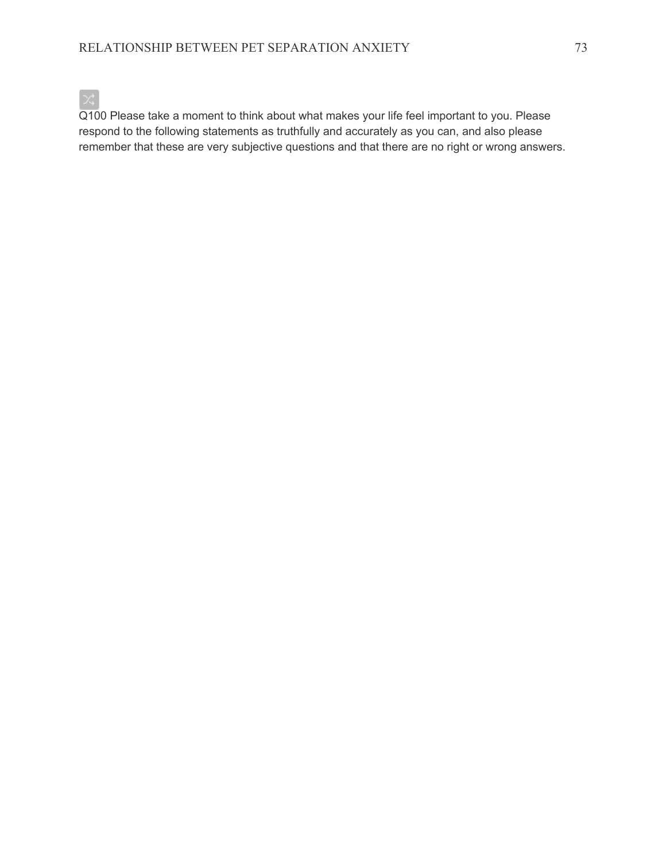

Q100 Please take a moment to think about what makes your life feel important to you. Please respond to the following statements as truthfully and accurately as you can, and also please remember that these are very subjective questions and that there are no right or wrong answers.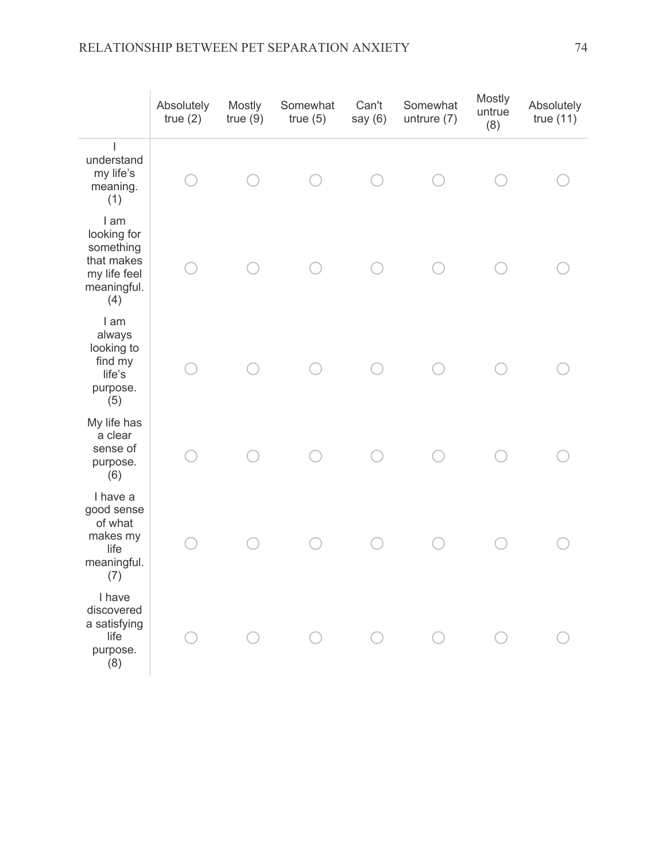|                                                                                      | Absolutely<br>true(2) | <b>Mostly</b><br>true(9) | Somewhat<br>true(5) | Can't<br>say $(6)$ | Somewhat<br>untrure (7) | Mostly<br>untrue<br>(8) | Absolutely<br>true(11) |
|--------------------------------------------------------------------------------------|-----------------------|--------------------------|---------------------|--------------------|-------------------------|-------------------------|------------------------|
| understand<br>my life's<br>meaning.<br>(1)                                           |                       |                          |                     |                    |                         |                         |                        |
| I am<br>looking for<br>something<br>that makes<br>my life feel<br>meaningful.<br>(4) |                       |                          |                     |                    |                         |                         |                        |
| I am<br>always<br>looking to<br>find my<br>life's<br>purpose.<br>(5)                 |                       |                          |                     |                    |                         |                         |                        |
| My life has<br>a clear<br>sense of<br>purpose.<br>(6)                                |                       |                          |                     |                    |                         |                         |                        |
| I have a<br>good sense<br>of what<br>makes my<br>life<br>meaningful.<br>(7)          |                       |                          |                     |                    |                         |                         |                        |
| I have<br>discovered<br>a satisfying<br>life<br>purpose.<br>(8)                      |                       |                          |                     |                    |                         |                         |                        |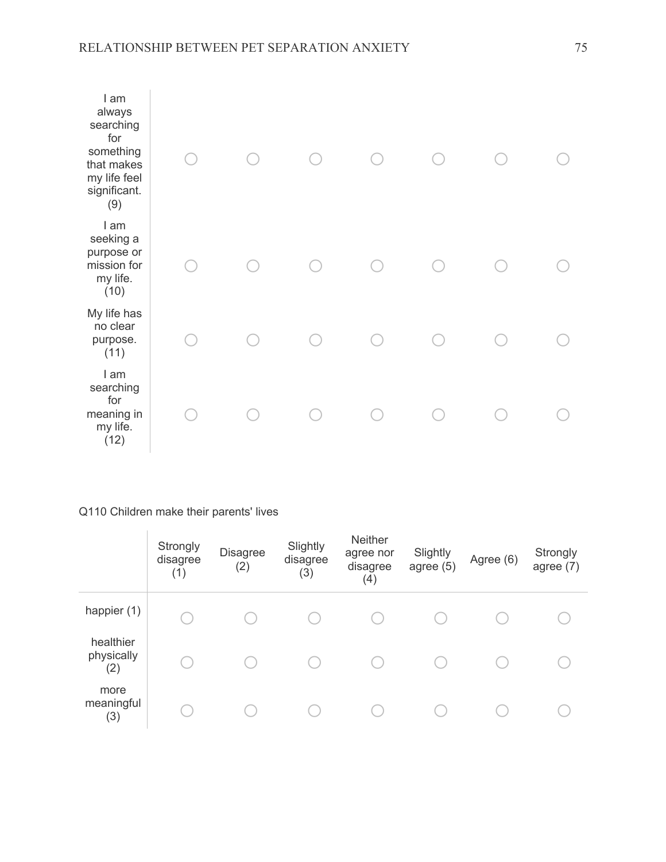| I am<br>always<br>searching<br>for<br>something<br>that makes<br>my life feel<br>significant.<br>(9) |  |  |  |  |
|------------------------------------------------------------------------------------------------------|--|--|--|--|
| I am<br>seeking a<br>purpose or<br>mission for<br>my life.<br>(10)                                   |  |  |  |  |
| My life has<br>no clear<br>purpose.<br>(11)                                                          |  |  |  |  |
| I am<br>searching<br>for<br>meaning in<br>my life.<br>(12)                                           |  |  |  |  |

## Q110 Children make their parents' lives

|                                | Strongly<br>disagree<br>(1) | Disagree<br>(2) | Slightly<br>disagree<br>(3) | <b>Neither</b><br>agree nor<br>disagree<br>(4) | Slightly<br>agree $(5)$ | Agree (6) | Strongly<br>agree $(7)$ |
|--------------------------------|-----------------------------|-----------------|-----------------------------|------------------------------------------------|-------------------------|-----------|-------------------------|
| happier $(1)$                  |                             |                 |                             |                                                |                         |           |                         |
| healthier<br>physically<br>(2) |                             |                 |                             |                                                |                         |           |                         |
| more<br>meaningful<br>(3)      |                             |                 |                             |                                                |                         |           |                         |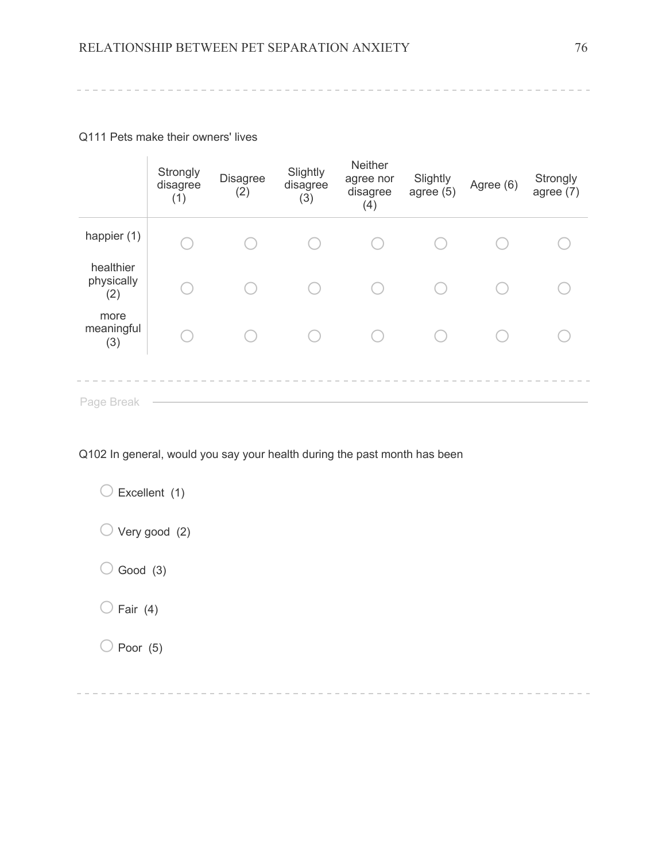Q111 Pets make their owners' lives

 $\mathcal{L}_{\mathcal{A}}$ 

|                                | Strongly<br>disagree<br>(1) | <b>Disagree</b><br>(2) | Slightly<br>disagree<br>(3) | Neither<br>agree nor<br>disagree<br>(4) | Slightly<br>agree $(5)$ | Agree (6) | Strongly<br>agree $(7)$ |
|--------------------------------|-----------------------------|------------------------|-----------------------------|-----------------------------------------|-------------------------|-----------|-------------------------|
| happier (1)                    |                             |                        |                             |                                         |                         |           |                         |
| healthier<br>physically<br>(2) |                             |                        |                             |                                         |                         |           |                         |
| more<br>meaningful<br>(3)      |                             |                        |                             |                                         |                         |           |                         |
| Page Break                     |                             |                        |                             |                                         |                         |           |                         |

Q102 In general, would you say your health during the past month has been

 $\bigcirc$  Excellent (1)  $\bigcirc$  Very good (2)  $\bigcirc$  Good (3)  $\bigcirc$  Fair (4)  $\bigcirc$  Poor (5)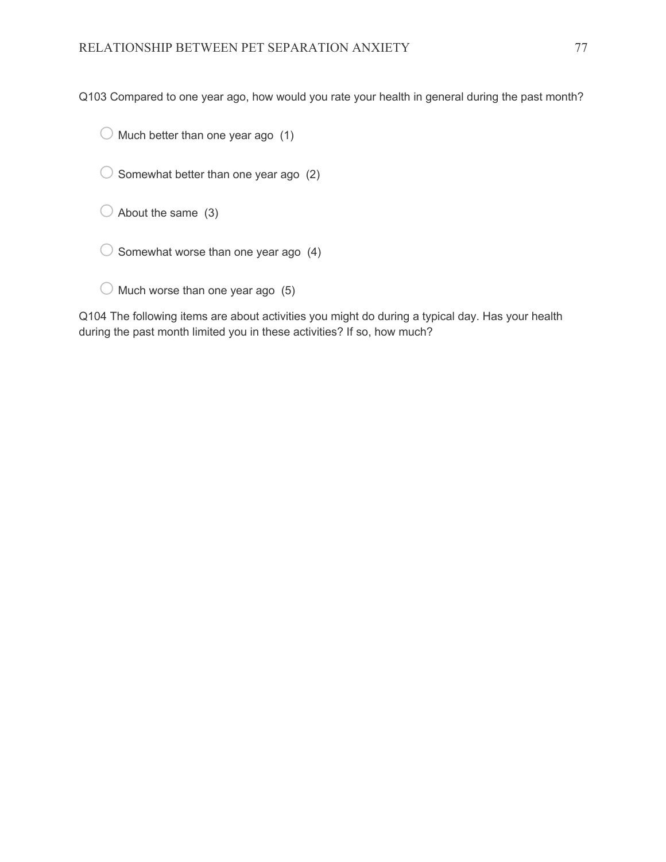Q103 Compared to one year ago, how would you rate your health in general during the past month?

 $\bigcirc$  Much better than one year ago (1)

 $\bigcirc$  Somewhat better than one year ago (2)

 $\bigcirc$  About the same (3)

 $\bigcirc$  Somewhat worse than one year ago (4)

|  | $\bigcirc$ Much worse than one year ago (5) |  |  |  |
|--|---------------------------------------------|--|--|--|

Q104 The following items are about activities you might do during a typical day. Has your health during the past month limited you in these activities? If so, how much?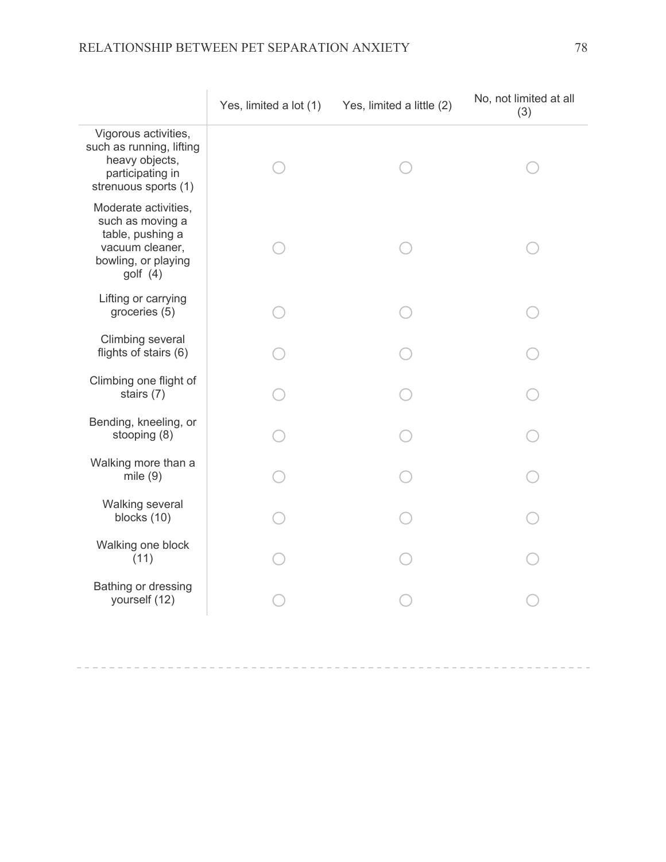|                                                                                                                      | Yes, limited a lot (1) | Yes, limited a little (2) | No, not limited at all<br>(3) |
|----------------------------------------------------------------------------------------------------------------------|------------------------|---------------------------|-------------------------------|
| Vigorous activities,<br>such as running, lifting<br>heavy objects,<br>participating in<br>strenuous sports (1)       |                        |                           |                               |
| Moderate activities,<br>such as moving a<br>table, pushing a<br>vacuum cleaner,<br>bowling, or playing<br>golf $(4)$ |                        |                           |                               |
| Lifting or carrying<br>groceries (5)                                                                                 |                        |                           |                               |
| Climbing several<br>flights of stairs (6)                                                                            |                        |                           |                               |
| Climbing one flight of<br>stairs (7)                                                                                 |                        |                           |                               |
| Bending, kneeling, or<br>stooping (8)                                                                                |                        |                           |                               |
| Walking more than a<br>mile $(9)$                                                                                    |                        |                           |                               |
| Walking several<br>blocks (10)                                                                                       |                        |                           |                               |
| Walking one block<br>(11)                                                                                            |                        |                           |                               |
| Bathing or dressing<br>yourself (12)                                                                                 |                        |                           |                               |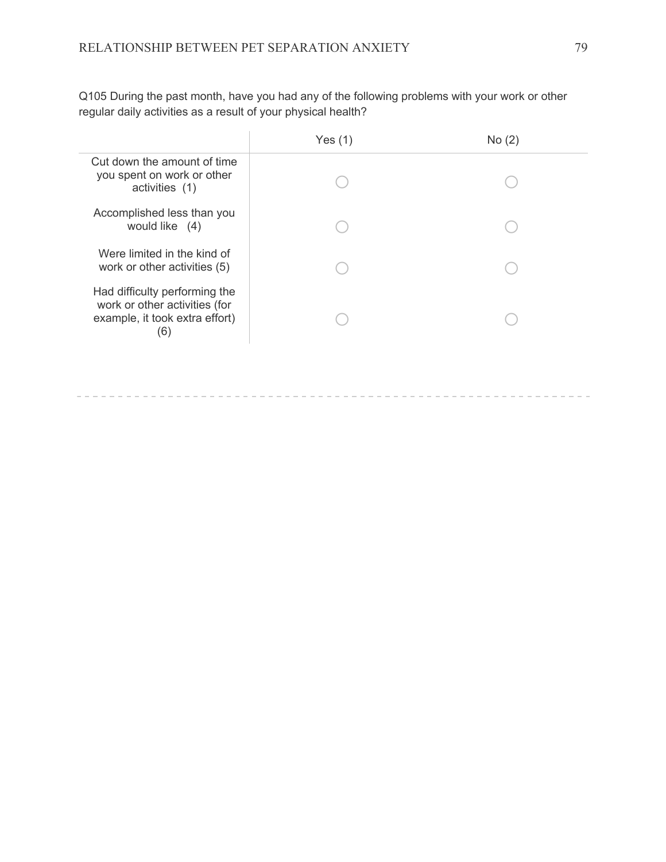|                                                                                                         | Yes $(1)$ | No(2) |
|---------------------------------------------------------------------------------------------------------|-----------|-------|
| Cut down the amount of time<br>you spent on work or other<br>activities (1)                             |           |       |
| Accomplished less than you<br>would like (4)                                                            |           |       |
| Were limited in the kind of<br>work or other activities (5)                                             |           |       |
| Had difficulty performing the<br>work or other activities (for<br>example, it took extra effort)<br>(6) |           |       |

Q105 During the past month, have you had any of the following problems with your work or other regular daily activities as a result of your physical health?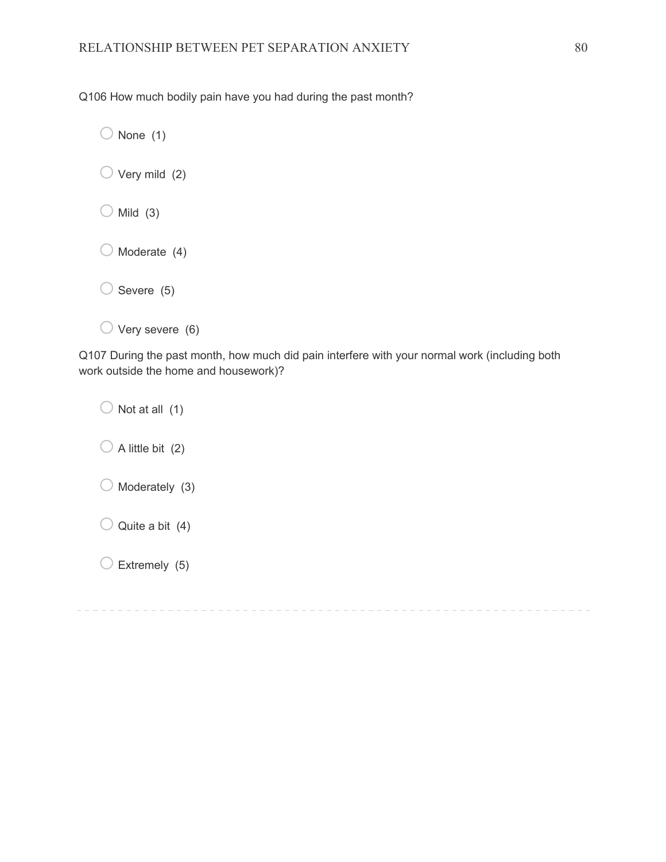Q106 How much bodily pain have you had during the past month?

 $\bigcirc$  None (1)

| $\bigcup$ Very mild (2) |  |
|-------------------------|--|
|                         |  |

 $\bigcirc$  Mild (3)

 $\bigcirc$  Moderate (4)

 $\bigcirc$  Severe (5)

 $\bigcirc$  Very severe (6)

Q107 During the past month, how much did pain interfere with your normal work (including both work outside the home and housework)?

 $\bigcirc$  Not at all (1)  $\bigcirc$  A little bit (2)  $\bigcirc$  Moderately (3)  $\bigcirc$  Quite a bit (4)  $\bigcirc$  Extremely (5)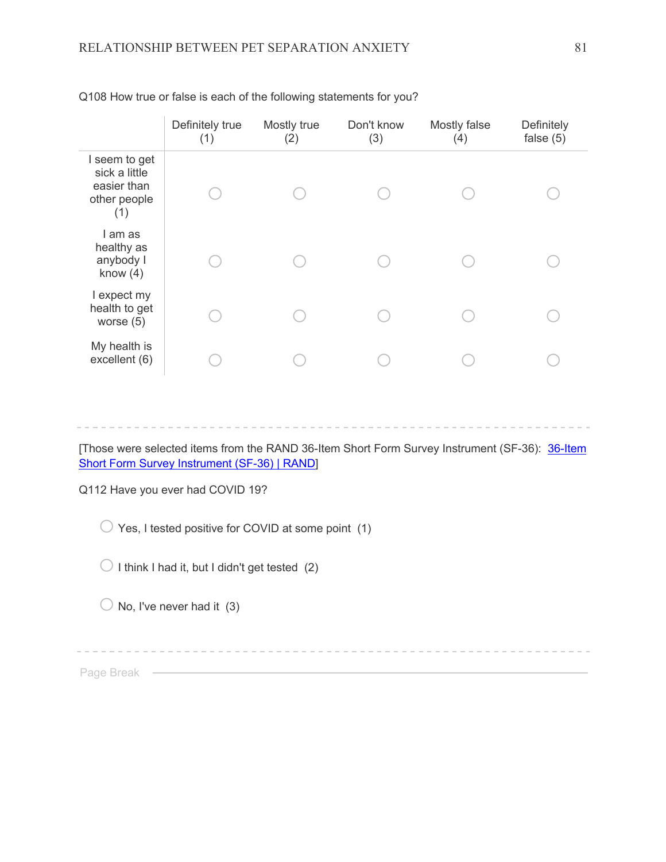|                                                                      | Definitely true<br>(1) | Mostly true<br>(2) | Don't know<br>(3) | Mostly false<br>(4) | Definitely<br>false $(5)$ |
|----------------------------------------------------------------------|------------------------|--------------------|-------------------|---------------------|---------------------------|
| I seem to get<br>sick a little<br>easier than<br>other people<br>(1) |                        |                    |                   |                     |                           |
| l am as<br>healthy as<br>anybody I<br>know $(4)$                     |                        |                    |                   |                     |                           |
| I expect my<br>health to get<br>worse $(5)$                          |                        |                    |                   |                     |                           |
| My health is<br>excellent (6)                                        |                        |                    |                   |                     |                           |

Q108 How true or false is each of the following statements for you?

- - - -

[Those were selected items from the RAND 36-Item Short Form Survey Instrument (SF-36): 36-Item Short Form Survey Instrument (SF-36) | RAND]

Q112 Have you ever had COVID 19?

 $\bigcirc$  Yes, I tested positive for COVID at some point (1)

 $\bigcirc$  I think I had it, but I didn't get tested (2)

 $\bigcirc$  No, I've never had it (3)

Page Break – Entertainment of the Break (Figure 2014)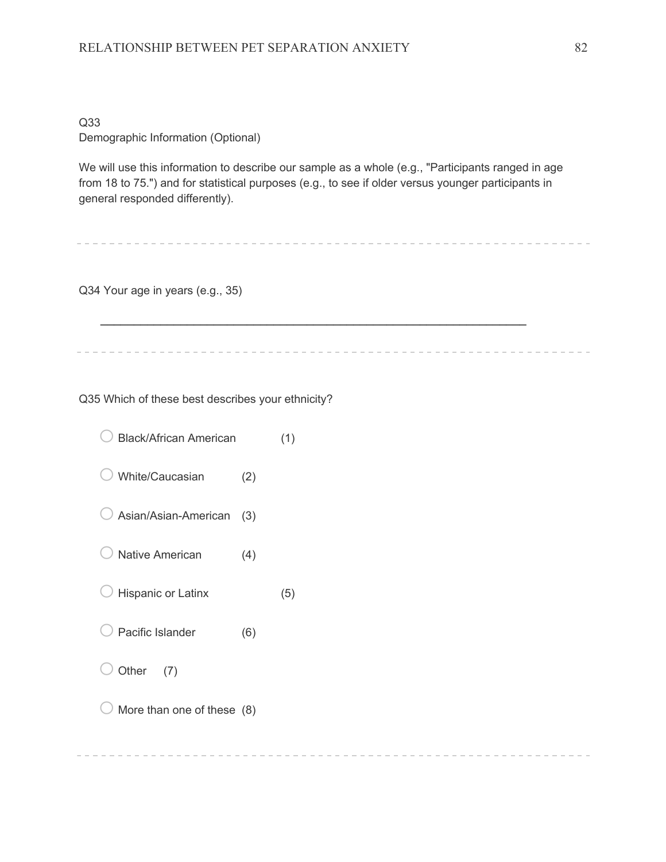## Q33 Demographic Information (Optional)

We will use this information to describe our sample as a whole (e.g., "Participants ranged in age from 18 to 75.") and for statistical purposes (e.g., to see if older versus younger participants in general responded differently).

 $\mathcal{L}_\text{max}$  and  $\mathcal{L}_\text{max}$  and  $\mathcal{L}_\text{max}$  and  $\mathcal{L}_\text{max}$  and  $\mathcal{L}_\text{max}$  and  $\mathcal{L}_\text{max}$ 

Q34 Your age in years (e.g., 35)

Q35 Which of these best describes your ethnicity?

- $\bigcirc$  Black/African American (1)
- $\bigcirc$  White/Caucasian (2)
- $\bigcirc$  Asian/Asian-American (3)
- $\bigcirc$  Native American (4)
- $\bigcirc$  Hispanic or Latinx (5)
- $\bigcirc$  Pacific Islander (6)
- Other  $(7)$
- $\bigcirc$  More than one of these (8)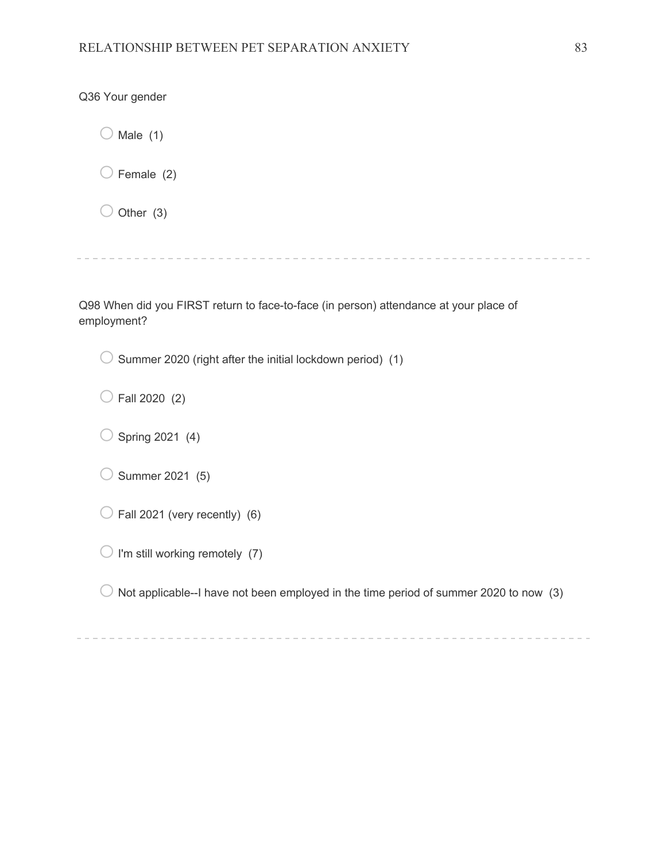$\bigcirc$  Male (1)  $\bigcirc$  Female (2)

 $\bigcirc$  Other (3)

Q36 Your gender

Q98 When did you FIRST return to face-to-face (in person) attendance at your place of employment?

 $\bigcirc$  Summer 2020 (right after the initial lockdown period) (1)

 $\bigcirc$  Fall 2020 (2)

 $\bigcirc$  Spring 2021 (4)

 $\bigcirc$  Summer 2021 (5)

 $\bigcirc$  Fall 2021 (very recently) (6)

 $\bigcirc$  I'm still working remotely (7)

 $\bigcirc$  Not applicable--I have not been employed in the time period of summer 2020 to now (3)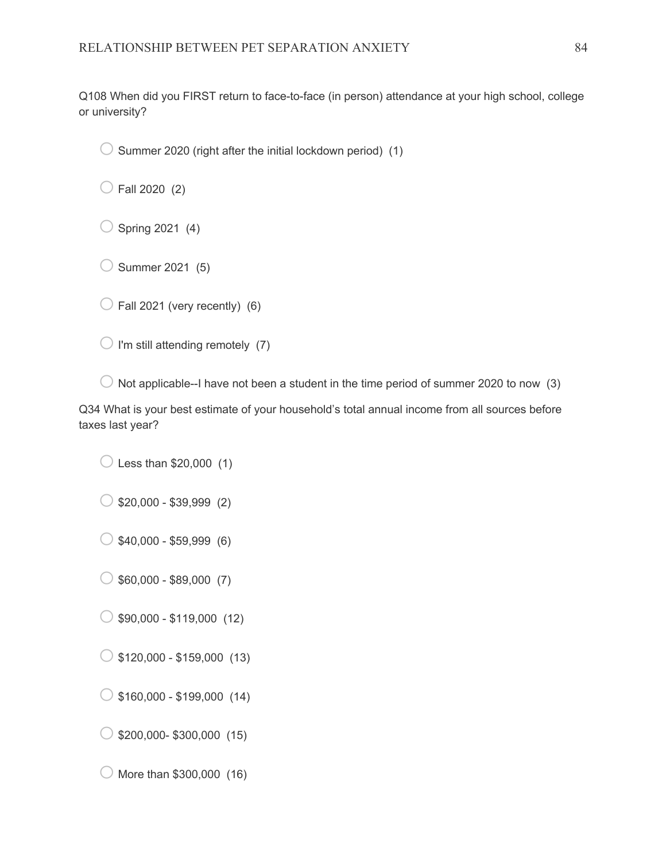Q108 When did you FIRST return to face-to-face (in person) attendance at your high school, college or university?

 $\bigcirc$  Summer 2020 (right after the initial lockdown period) (1)

 $\bigcirc$  Fall 2020 (2)

 $\bigcirc$  Spring 2021 (4)

 $\bigcirc$  Summer 2021 (5)

 $\bigcirc$  Fall 2021 (very recently) (6)

 $\bigcirc$  I'm still attending remotely (7)

 $\bigcirc$  Not applicable--I have not been a student in the time period of summer 2020 to now (3)

Q34 What is your best estimate of your household's total annual income from all sources before taxes last year?

 $\bigcirc$  Less than \$20,000 (1)

 $\circ$  \$20,000 - \$39,999 (2)

 $\bigcirc$  \$40,000 - \$59,999 (6)

 $\circ$  \$60,000 - \$89,000 (7)

 $\bigcirc$  \$90,000 - \$119,000 (12)

 $\bigcirc$  \$120,000 - \$159,000 (13)

 $\circ$  \$160,000 - \$199,000 (14)

 $\bigcirc$  \$200,000- \$300,000 (15)

 $\bigcirc$  More than \$300,000 (16)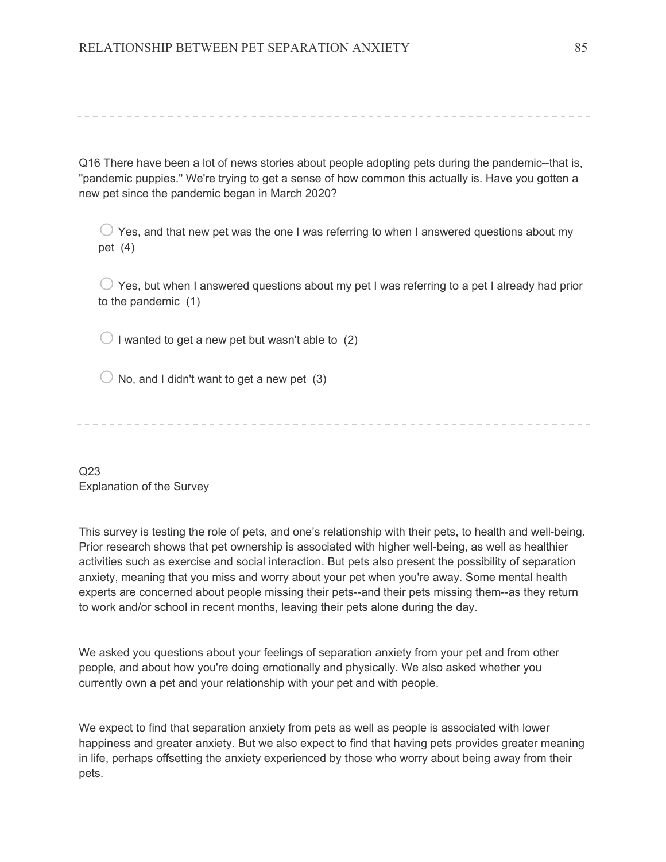Q16 There have been a lot of news stories about people adopting pets during the pandemic--that is, "pandemic puppies." We're trying to get a sense of how common this actually is. Have you gotten a new pet since the pandemic began in March 2020?

 $\bigcirc$  Yes, and that new pet was the one I was referring to when I answered questions about my pet (4)

 $\bigcirc$  Yes, but when I answered questions about my pet I was referring to a pet I already had prior to the pandemic (1)

 $\bigcirc$  I wanted to get a new pet but wasn't able to (2)

 $\bigcirc$  No, and I didn't want to get a new pet (3)

Q23 Explanation of the Survey

This survey is testing the role of pets, and one's relationship with their pets, to health and well-being. Prior research shows that pet ownership is associated with higher well-being, as well as healthier activities such as exercise and social interaction. But pets also present the possibility of separation anxiety, meaning that you miss and worry about your pet when you're away. Some mental health experts are concerned about people missing their pets--and their pets missing them--as they return to work and/or school in recent months, leaving their pets alone during the day.

We asked you questions about your feelings of separation anxiety from your pet and from other people, and about how you're doing emotionally and physically. We also asked whether you currently own a pet and your relationship with your pet and with people.

We expect to find that separation anxiety from pets as well as people is associated with lower happiness and greater anxiety. But we also expect to find that having pets provides greater meaning in life, perhaps offsetting the anxiety experienced by those who worry about being away from their pets.